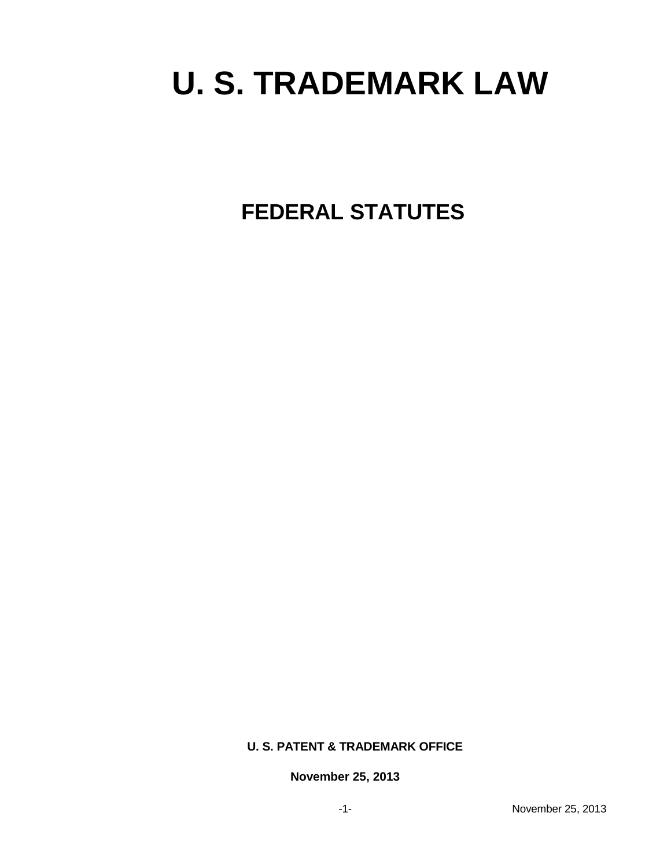# **U. S. TRADEMARK LAW**

**FEDERAL STATUTES**

# **U. S. PATENT & TRADEMARK OFFICE**

**November 25, 2013**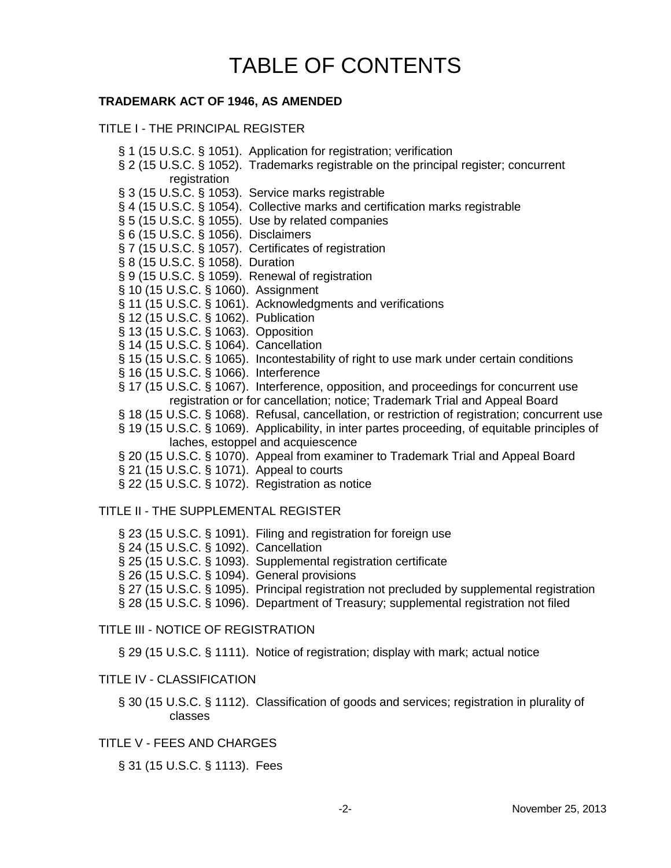# TABLE OF CONTENTS

# **[TRADEMARK ACT OF 1946, AS AMENDED](#page-5-0)**

#### TITLE I - [THE PRINCIPAL REGISTER](#page-6-0)

- § 1 (15 U.S.C. § [1051\). Application for registration; verification](#page-6-1)
- § 2 (15 U.S.C. § [1052\). Trademarks registrable on the principal register; concurrent](#page-8-0)  [registration](#page-8-0)
- § 3 (15 U.S.C. § [1053\). Service marks registrable](#page-9-0)
- § 4 (15 U.S.C. § [1054\). Collective marks and certification marks registrable](#page-9-1)
- § 5 (15 U.S.C. § [1055\). Use by related companies](#page-10-0)
- § 6 (15 U.S.C. § [1056\). Disclaimers](#page-10-1)
- § 7 (15 U.S.C. § [1057\). Certificates of registration](#page-10-2)
- § 8 (15 U.S.C. § [1058\). Duration](#page-12-0)
- § 9 (15 U.S.C. § [1059\). Renewal of registration](#page-13-0)
- § 10 (15 U.S.C. § [1060\). Assignment](#page-13-1)
- § 11 (15 U.S.C. § [1061\). Acknowledgments and verifications](#page-14-0)
- § 12 (15 U.S.C. § [1062\). Publication](#page-14-1)
- § 13 (15 U.S.C. § [1063\). Opposition](#page-15-0)
- § 14 (15 U.S.C. § [1064\). Cancellation](#page-15-1)
- § 15 (15 U.S.C. § [1065\). Incontestability of right to use mark under certain conditions](#page-16-0)
- § 16 (15 U.S.C. § [1066\). Interference](#page-17-0)
- § 17 (15 U.S.C. § [1067\). Interference, opposition, and proceedings for concurrent use](#page-17-1)  [registration or for cancellation; notice; Trademark Trial and Appeal Board](#page-17-1)
- § 18 (15 U.S.C. § [1068\). Refusal, cancellation, or restriction of registration; concurrent use](#page-18-0)
- § 19 (15 U.S.C. § [1069\). Applicability, in inter partes proceeding, of equitable principles of](#page-18-1)  [laches, estoppel and acquiescence](#page-18-1)
- § 20 (15 U.S.C. § [1070\). Appeal from examiner to Trademark Trial and Appeal Board](#page-18-2)
- § 21 (15 U.S.C. § [1071\). Appeal to courts](#page-18-3)
- § 22 (15 U.S.C. § [1072\). Registration as notice](#page-20-0)

# TITLE II - [THE SUPPLEMENTAL REGISTER](#page-20-1)

- § 23 (15 U.S.C. § [1091\). Filing and registration for foreign use](#page-20-2)
- § 24 (15 U.S.C. § [1092\). Cancellation](#page-21-0)
- § 25 (15 U.S.C. § [1093\). Supplemental registration certificate](#page-21-1)
- § 26 (15 U.S.C. § [1094\). General provisions](#page-21-2)
- § 27 (15 U.S.C. § [1095\). Principal registration not precluded by supplemental registration](#page-21-3)
- § 28 (15 U.S.C. § [1096\). Department of Treasury; supplemental registration not filed](#page-21-4)

# TITLE III - [NOTICE OF REGISTRATION](#page-22-0)

§ 29 (15 U.S.C. § [1111\). Notice of registration; display with mark; actual notice](#page-22-1)

# TITLE IV - [CLASSIFICATION](#page-22-2)

§ 30 (15 U.S.C. § [1112\). Classification of goods and services; registration in plurality of](#page-22-3)  [classes](#page-22-3)

# TITLE V - [FEES AND CHARGES](#page-22-4)

§ [31 \(15 U.S.C. §](#page-22-5) 1113). Fees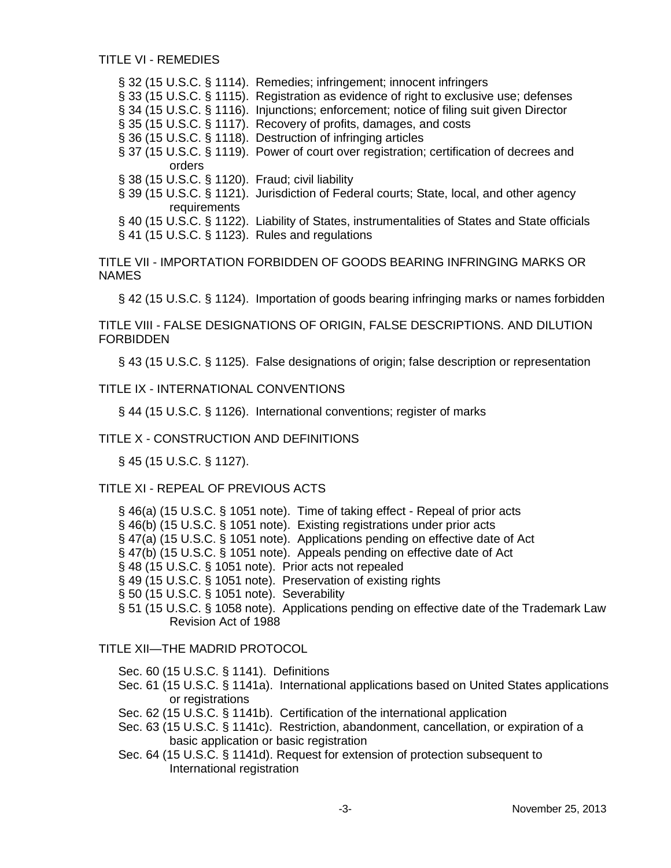TITLE VI - [REMEDIES](#page-23-0)

- § 32 (15 U.S.C. § [1114\). Remedies; infringement; innocent infringers](#page-23-1)
- § 33 (15 U.S.C. § [1115\). Registration as evidence of right to exclusive use; defenses](#page-25-0)
- § 34 (15 U.S.C. § [1116\). Injunctions; enforcement; notice of filing suit given Director](#page-26-0)
- § 35 (15 U.S.C. § [1117\). Recovery of profits, damages, and costs](#page-29-0)
- § 36 (15 U.S.C. § [1118\). Destruction of infringing articles](#page-30-0)
- § 37 (15 U.S.C. § [1119\). Power of court over registration; certification of decrees and](#page-31-0)  [orders](#page-31-0)
- § 38 (15 U.S.C. § [1120\). Fraud; civil liability](#page-31-1)
- § 39 (15 U.S.C. § 1121). Jurisdiction of Federal courts; State, local, and other agency **[requirements](#page-31-2)**
- § 40 (15 U.S.C. § [1122\). Liability of States, instrumentalities of States and State officials](#page-31-3)
- § 41 (15 U.S.C. § [1123\). Rules and regulations](#page-32-0)

TITLE VII - [IMPORTATION FORBIDDEN OF GOODS BEARING INFRINGING MARKS OR](#page-32-1)  [NAMES](#page-32-1)

§ 42 (15 U.S.C. § [1124\). Importation of goods bearing infringing marks or names forbidden](#page-32-2)

TITLE VIII - [FALSE DESIGNATIONS OF ORIGIN, FALSE DESCRIPTIONS. AND DILUTION](#page-33-0)  [FORBIDDEN](#page-33-0)

§ 43 (15 U.S.C. § [1125\). False designations of origin; false description or representation](#page-33-1)

# TITLE IX - [INTERNATIONAL CONVENTIONS](#page-38-0)

§ 44 (15 U.S.C. § [1126\). International conventions; register of marks](#page-38-1)

# TITLE X - [CONSTRUCTION AND DEFINITIONS](#page-40-0)

§ [45 \(15 U.S.C. §](#page-40-1) 1127).

# TITLE XI - [REPEAL OF PREVIOUS ACTS](#page-43-0)

§ 46(a) (15 U.S.C. § [1051 note\). Time of taking effect -](#page-43-1) Repeal of prior acts

- § 46(b) (15 U.S.C. § [1051 note\). Existing registrations under prior acts](#page-43-2)
- § 47(a) (15 U.S.C. § [1051 note\). Applications pending on effective date of Act](#page-44-0)
- § 47(b) (15 U.S.C. § [1051 note\). Appeals pending on effective date of Act](#page-44-1)
- § 48 (15 U.S.C. § [1051 note\). Prior acts not repealed](#page-44-2)
- § 49 (15 U.S.C. § [1051 note\). Preservation of existing rights](#page-44-3)
- § 50 (15 U.S.C. § [1051 note\). Severability](#page-44-4)
- § 51 (15 U.S.C. § 1058 note). Applications pending on effective date of the Trademark Law [Revision Act of 1988](#page-44-5)

# [TITLE XII—THE MADRID PROTOCOL](#page-45-0)

[Sec. 60 \(15 U.S.C. §](#page-45-1) 1141). Definitions

- Sec. 61 (15 U.S.C. § [1141a\). International applications based on United States applications](#page-46-0)  [or registrations](#page-46-0)
- Sec. 62 (15 U.S.C. § [1141b\). Certification of the international application](#page-46-1)
- Sec. 63 (15 U.S.C. § [1141c\). Restriction, abandonment, cancellation, or expiration of a](#page-47-0)  [basic application or basic registration](#page-47-0)
- Sec. 64 (15 U.S.C. § [1141d\). Request for extension of protection subsequent to](#page-47-1)  [International registration](#page-47-1)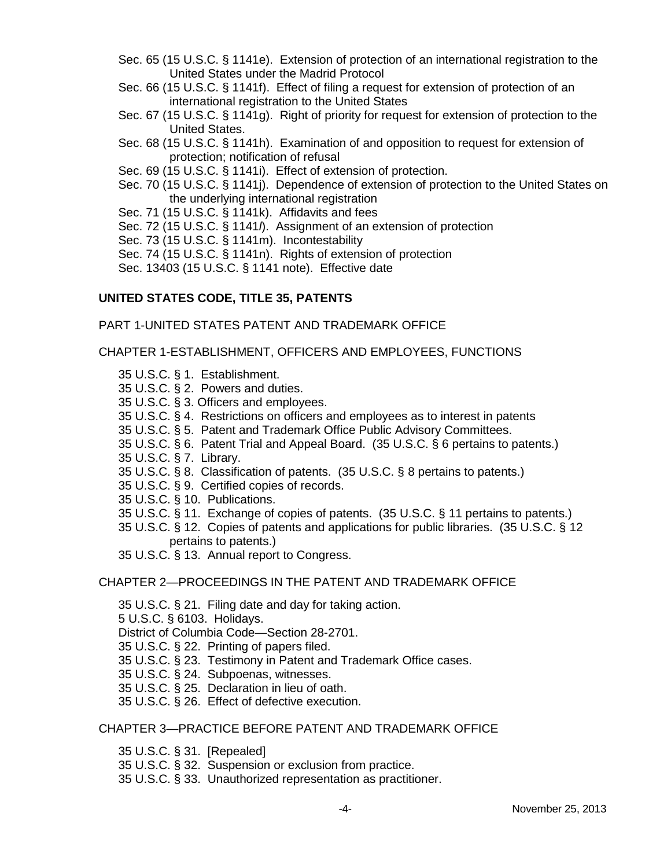- Sec. 65 (15 U.S.C. § [1141e\). Extension of protection of an international registration to the](#page-47-2)  [United States under the Madrid Protocol](#page-47-2)
- Sec. 66 (15 U.S.C. § [1141f\). Effect of filing a request for extension of](#page-47-3) protection of an [international registration to the United States](#page-47-3)
- Sec. 67 (15 U.S.C. § [1141g\). Right of priority for request for extension of protection to the](#page-48-0)  [United States.](#page-48-0)
- Sec. 68 (15 U.S.C. § [1141h\). Examination of and opposition to request for extension of](#page-48-1)  [protection; notification of refusal](#page-48-1)
- Sec. 69 (15 U.S.C. § [1141i\). Effect of extension of protection.](#page-49-0)
- Sec. 70 (15 U.S.C. § [1141j\). Dependence of extension of protection to the United States on](#page-50-0)  [the underlying international registration](#page-50-0)

Sec. 71 (15 U.S.C. § [1141k\). Affidavits and fees](#page-50-1)

Sec. 72 (15 U.S.C. § 1141*l*[\). Assignment of an extension of protection](#page-51-0)

Sec. 73 (15 U.S.C. § [1141m\). Incontestability](#page-52-0)

Sec. 74 (15 U.S.C. § [1141n\). Rights of extension of protection](#page-52-1)

Sec. 13403 (15 U.S.C. § [1141 note\). Effective date](#page-52-2)

#### **[UNITED STATES CODE, TITLE 35, PATENTS](#page-54-0)**

[PART 1-UNITED STATES PATENT AND TRADEMARK OFFICE](#page-54-1)

[CHAPTER 1-ESTABLISHMENT, OFFICERS AND EMPLOYEES, FUNCTIONS](#page-54-2)

- 35 U.S.C. § [1. Establishment.](#page-54-3)
- 35 U.S.C. § [2. Powers and duties.](#page-54-4)
- 35 U.S.C. § [3. Officers and employees.](#page-57-0)
- 35 U.S.C. § [4. Restrictions on officers and employees as to interest in patents](#page-60-0)
- 35 U.S.C. § [5. Patent and Trademark Office Public Advisory Committees.](#page-60-1)
- 35 U.S.C. § [6. Patent Trial and Appeal Board. \(35 U.S.C. §](#page-61-0) 6 pertains to patents.)
- [35 U.S.C. §](#page-61-1) 7. Library.
- 35 U.S.C. § [8. Classification of patents. \(35 U.S.C. §](#page-62-0) 8 pertains to patents.)
- 35 U.S.C. § [9. Certified copies of records.](#page-62-1)
- 35 U.S.C. § [10. Publications.](#page-62-2)
- 35 U.S.C. § [11. Exchange of copies of patents. \(35 U.S.C.](#page-62-3) § 11 pertains to patents.)

35 U.S.C. § [12. Copies of patents and applications for public libraries. \(35 U.S.C. §](#page-62-4) 12 [pertains to patents.\)](#page-62-4)

35 U.S.C. § [13. Annual report to Congress.](#page-62-5)

#### [CHAPTER 2—PROCEEDINGS IN THE PATENT AND TRADEMARK OFFICE](#page-63-0)

35 U.S.C. § [21. Filing date and day for taking action.](#page-63-1)

5 U.S.C. § [6103. Holidays.](#page-63-2)

[District of Columbia Code—Section 28-2701.](#page-64-0)

35 U.S.C. § [22. Printing of papers filed.](#page-64-1)

35 U.S.C. § [23. Testimony in Patent and Trademark Office cases.](#page-64-2)

35 U.S.C. § [24. Subpoenas, witnesses.](#page-65-0)

35 U.S.C. § [25. Declaration in lieu of oath.](#page-65-1)

35 U.S.C. § [26. Effect of defective execution.](#page-65-2)

#### CHAPTER 3—PRACTICE [BEFORE PATENT AND TRADEMARK OFFICE](#page-66-0)

35 U.S.C. § [31. \[Repealed\]](#page-66-1)

35 U.S.C. § [32. Suspension or exclusion from practice.](#page-66-2)

35 U.S.C. § [33. Unauthorized representation as practitioner.](#page-66-3)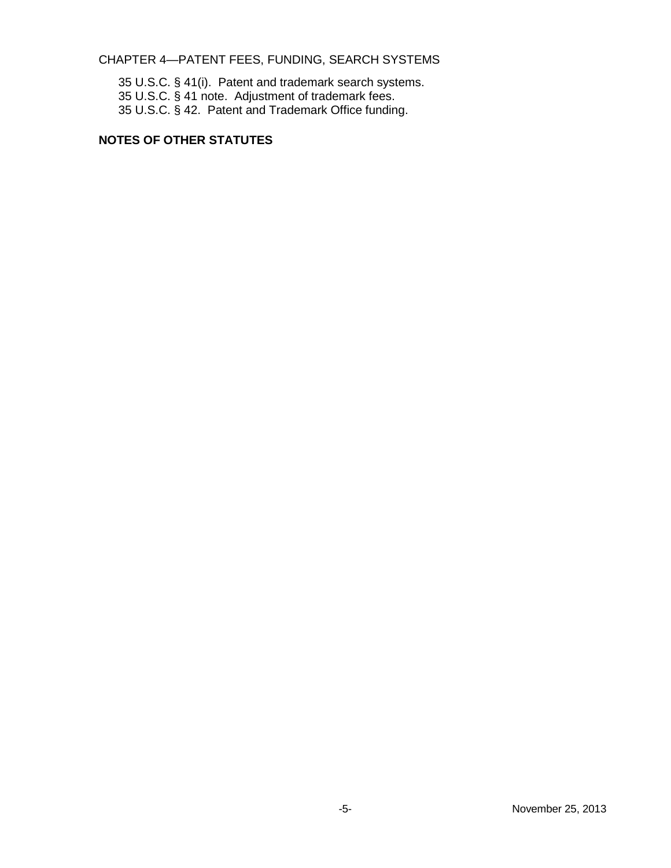# [CHAPTER 4—PATENT FEES, FUNDING, SEARCH SYSTEMS](#page-66-4)

35 U.S.C. § [41\(i\). Patent and trademark search systems.](#page-66-5)

35 U.S.C. § [41 note. Adjustment of trademark fees.](#page-67-0)

35 U.S.C. § [42. Patent and Trademark Office funding.](#page-67-1)

# **[NOTES OF OTHER STATUTES](#page-69-0)**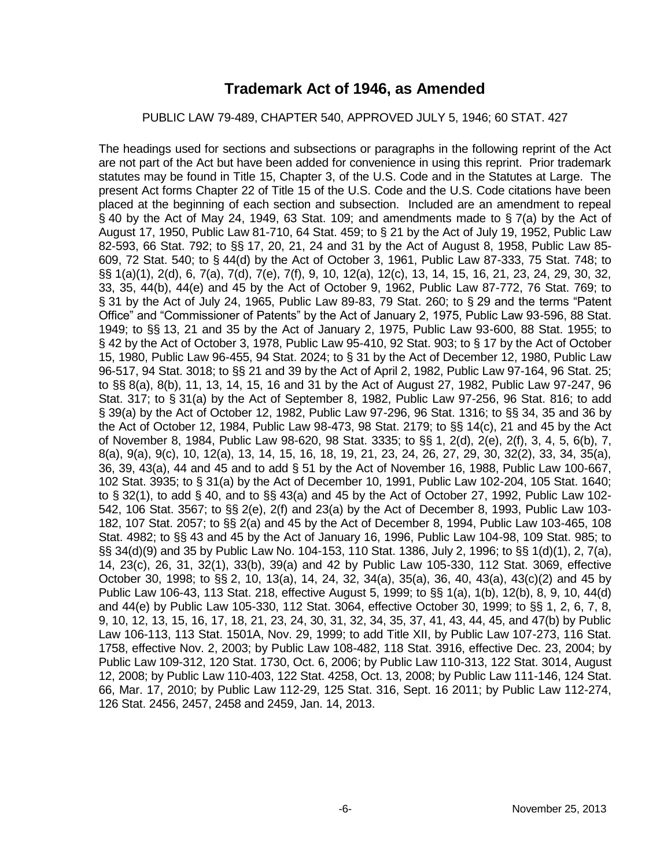# **Trademark Act of 1946, as Amended**

#### <span id="page-5-0"></span>PUBLIC LAW 79-489, CHAPTER 540, APPROVED JULY 5, 1946; 60 STAT. 427

The headings used for sections and subsections or paragraphs in the following reprint of the Act are not part of the Act but have been added for convenience in using this reprint. Prior trademark statutes may be found in Title 15, Chapter 3, of the U.S. Code and in the Statutes at Large. The present Act forms Chapter 22 of Title 15 of the U.S. Code and the U.S. Code citations have been placed at the beginning of each section and subsection. Included are an amendment to repeal § 40 by the Act of May 24, 1949, 63 Stat. 109; and amendments made to § 7(a) by the Act of August 17, 1950, Public Law 81-710, 64 Stat. 459; to § 21 by the Act of July 19, 1952, Public Law 82-593, 66 Stat. 792; to §§ 17, 20, 21, 24 and 31 by the Act of August 8, 1958, Public Law 85- 609, 72 Stat. 540; to § 44(d) by the Act of October 3, 1961, Public Law 87-333, 75 Stat. 748; to §§ 1(a)(1), 2(d), 6, 7(a), 7(d), 7(e), 7(f), 9, 10, 12(a), 12(c), 13, 14, 15, 16, 21, 23, 24, 29, 30, 32, 33, 35, 44(b), 44(e) and 45 by the Act of October 9, 1962, Public Law 87-772, 76 Stat. 769; to § 31 by the Act of July 24, 1965, Public Law 89-83, 79 Stat. 260; to § 29 and the terms "Patent Office" and "Commissioner of Patents" by the Act of January 2, 1975, Public Law 93-596, 88 Stat. 1949; to §§ 13, 21 and 35 by the Act of January 2, 1975, Public Law 93-600, 88 Stat. 1955; to § 42 by the Act of October 3, 1978, Public Law 95-410, 92 Stat. 903; to § 17 by the Act of October 15, 1980, Public Law 96-455, 94 Stat. 2024; to § 31 by the Act of December 12, 1980, Public Law 96-517, 94 Stat. 3018; to §§ 21 and 39 by the Act of April 2, 1982, Public Law 97-164, 96 Stat. 25; to §§ 8(a), 8(b), 11, 13, 14, 15, 16 and 31 by the Act of August 27, 1982, Public Law 97-247, 96 Stat. 317; to § 31(a) by the Act of September 8, 1982, Public Law 97-256, 96 Stat. 816; to add § 39(a) by the Act of October 12, 1982, Public Law 97-296, 96 Stat. 1316; to §§ 34, 35 and 36 by the Act of October 12, 1984, Public Law 98-473, 98 Stat. 2179; to §§ 14(c), 21 and 45 by the Act of November 8, 1984, Public Law 98-620, 98 Stat. 3335; to §§ 1, 2(d), 2(e), 2(f), 3, 4, 5, 6(b), 7, 8(a), 9(a), 9(c), 10, 12(a), 13, 14, 15, 16, 18, 19, 21, 23, 24, 26, 27, 29, 30, 32(2), 33, 34, 35(a), 36, 39, 43(a), 44 and 45 and to add § 51 by the Act of November 16, 1988, Public Law 100-667, 102 Stat. 3935; to § 31(a) by the Act of December 10, 1991, Public Law 102-204, 105 Stat. 1640; to § 32(1), to add § 40, and to §§ 43(a) and 45 by the Act of October 27, 1992, Public Law 102- 542, 106 Stat. 3567; to §§ 2(e), 2(f) and 23(a) by the Act of December 8, 1993, Public Law 103- 182, 107 Stat. 2057; to §§ 2(a) and 45 by the Act of December 8, 1994, Public Law 103-465, 108 Stat. 4982; to §§ 43 and 45 by the Act of January 16, 1996, Public Law 104-98, 109 Stat. 985; to §§ 34(d)(9) and 35 by Public Law No. 104-153, 110 Stat. 1386, July 2, 1996; to §§ 1(d)(1), 2, 7(a), 14, 23(c), 26, 31, 32(1), 33(b), 39(a) and 42 by Public Law 105-330, 112 Stat. 3069, effective October 30, 1998; to §§ 2, 10, 13(a), 14, 24, 32, 34(a), 35(a), 36, 40, 43(a), 43(c)(2) and 45 by Public Law 106-43, 113 Stat. 218, effective August 5, 1999; to §§ 1(a), 1(b), 12(b), 8, 9, 10, 44(d) and 44(e) by Public Law 105-330, 112 Stat. 3064, effective October 30, 1999; to §§ 1, 2, 6, 7, 8, 9, 10, 12, 13, 15, 16, 17, 18, 21, 23, 24, 30, 31, 32, 34, 35, 37, 41, 43, 44, 45, and 47(b) by Public Law 106-113, 113 Stat. 1501A, Nov. 29, 1999; to add Title XII, by Public Law 107-273, 116 Stat. 1758, effective Nov. 2, 2003; by Public Law 108-482, 118 Stat. 3916, effective Dec. 23, 2004; by Public Law 109-312, 120 Stat. 1730, Oct. 6, 2006; by Public Law 110-313, 122 Stat. 3014, August 12, 2008; by Public Law 110-403, 122 Stat. 4258, Oct. 13, 2008; by Public Law 111-146, 124 Stat. 66, Mar. 17, 2010; by Public Law 112-29, 125 Stat. 316, Sept. 16 2011; by Public Law 112-274, 126 Stat. 2456, 2457, 2458 and 2459, Jan. 14, 2013.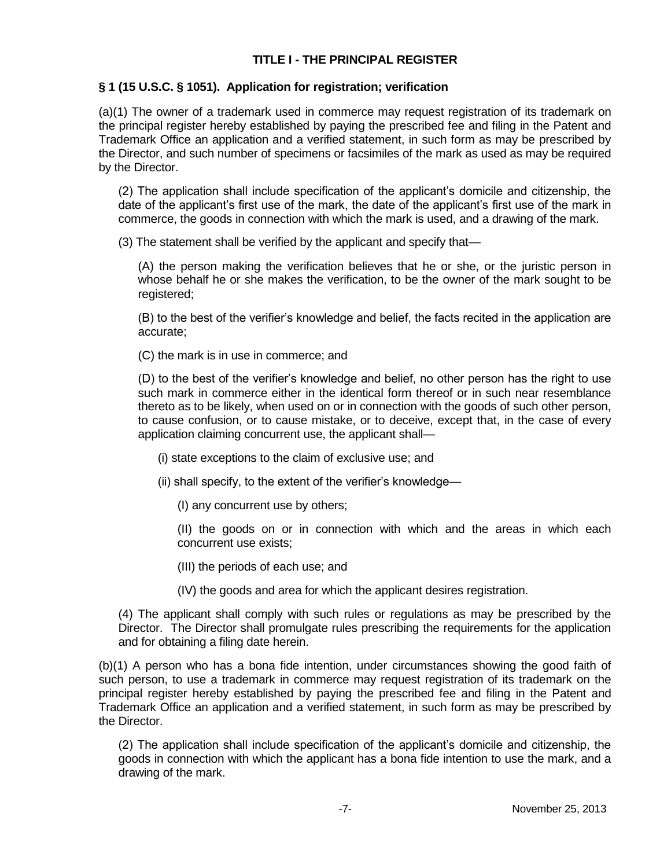# **TITLE I - THE PRINCIPAL REGISTER**

#### <span id="page-6-1"></span><span id="page-6-0"></span>**§ 1 (15 U.S.C. § 1051). Application for registration; verification**

(a)(1) The owner of a trademark used in commerce may request registration of its trademark on the principal register hereby established by paying the prescribed fee and filing in the Patent and Trademark Office an application and a verified statement, in such form as may be prescribed by the Director, and such number of specimens or facsimiles of the mark as used as may be required by the Director.

(2) The application shall include specification of the applicant's domicile and citizenship, the date of the applicant's first use of the mark, the date of the applicant's first use of the mark in commerce, the goods in connection with which the mark is used, and a drawing of the mark.

(3) The statement shall be verified by the applicant and specify that—

(A) the person making the verification believes that he or she, or the juristic person in whose behalf he or she makes the verification, to be the owner of the mark sought to be registered;

(B) to the best of the verifier's knowledge and belief, the facts recited in the application are accurate;

(C) the mark is in use in commerce; and

(D) to the best of the verifier's knowledge and belief, no other person has the right to use such mark in commerce either in the identical form thereof or in such near resemblance thereto as to be likely, when used on or in connection with the goods of such other person, to cause confusion, or to cause mistake, or to deceive, except that, in the case of every application claiming concurrent use, the applicant shall—

- (i) state exceptions to the claim of exclusive use; and
- (ii) shall specify, to the extent of the verifier's knowledge—
	- (I) any concurrent use by others;

(II) the goods on or in connection with which and the areas in which each concurrent use exists;

- (III) the periods of each use; and
- (IV) the goods and area for which the applicant desires registration.

(4) The applicant shall comply with such rules or regulations as may be prescribed by the Director. The Director shall promulgate rules prescribing the requirements for the application and for obtaining a filing date herein.

(b)(1) A person who has a bona fide intention, under circumstances showing the good faith of such person, to use a trademark in commerce may request registration of its trademark on the principal register hereby established by paying the prescribed fee and filing in the Patent and Trademark Office an application and a verified statement, in such form as may be prescribed by the Director.

(2) The application shall include specification of the applicant's domicile and citizenship, the goods in connection with which the applicant has a bona fide intention to use the mark, and a drawing of the mark.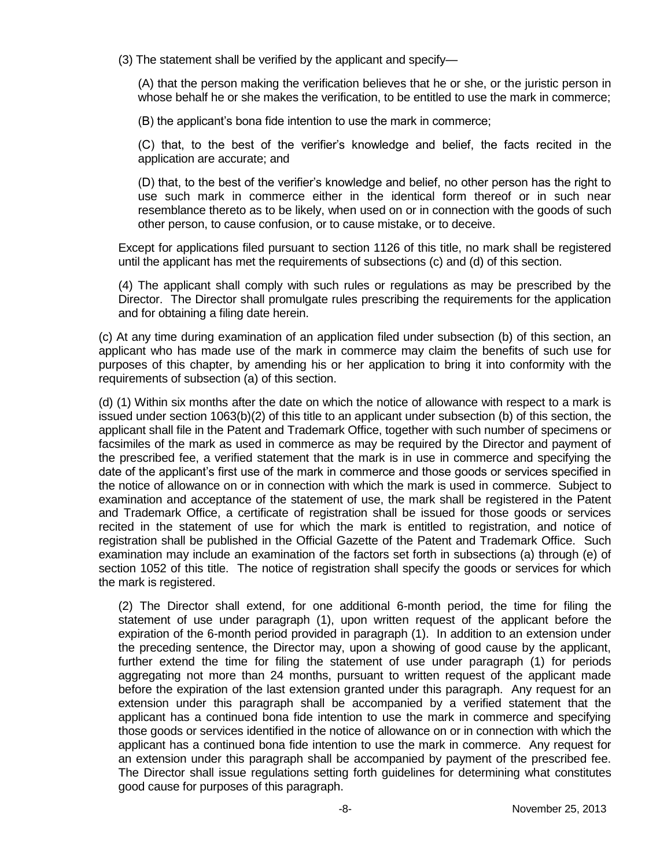(3) The statement shall be verified by the applicant and specify—

(A) that the person making the verification believes that he or she, or the juristic person in whose behalf he or she makes the verification, to be entitled to use the mark in commerce;

(B) the applicant's bona fide intention to use the mark in commerce;

(C) that, to the best of the verifier's knowledge and belief, the facts recited in the application are accurate; and

(D) that, to the best of the verifier's knowledge and belief, no other person has the right to use such mark in commerce either in the identical form thereof or in such near resemblance thereto as to be likely, when used on or in connection with the goods of such other person, to cause confusion, or to cause mistake, or to deceive.

Except for applications filed pursuant to section 1126 of this title, no mark shall be registered until the applicant has met the requirements of subsections (c) and (d) of this section.

(4) The applicant shall comply with such rules or regulations as may be prescribed by the Director. The Director shall promulgate rules prescribing the requirements for the application and for obtaining a filing date herein.

(c) At any time during examination of an application filed under subsection (b) of this section, an applicant who has made use of the mark in commerce may claim the benefits of such use for purposes of this chapter, by amending his or her application to bring it into conformity with the requirements of subsection (a) of this section.

(d) (1) Within six months after the date on which the notice of allowance with respect to a mark is issued under section 1063(b)(2) of this title to an applicant under subsection (b) of this section, the applicant shall file in the Patent and Trademark Office, together with such number of specimens or facsimiles of the mark as used in commerce as may be required by the Director and payment of the prescribed fee, a verified statement that the mark is in use in commerce and specifying the date of the applicant's first use of the mark in commerce and those goods or services specified in the notice of allowance on or in connection with which the mark is used in commerce. Subject to examination and acceptance of the statement of use, the mark shall be registered in the Patent and Trademark Office, a certificate of registration shall be issued for those goods or services recited in the statement of use for which the mark is entitled to registration, and notice of registration shall be published in the Official Gazette of the Patent and Trademark Office. Such examination may include an examination of the factors set forth in subsections (a) through (e) of section 1052 of this title. The notice of registration shall specify the goods or services for which the mark is registered.

(2) The Director shall extend, for one additional 6-month period, the time for filing the statement of use under paragraph (1), upon written request of the applicant before the expiration of the 6-month period provided in paragraph (1). In addition to an extension under the preceding sentence, the Director may, upon a showing of good cause by the applicant, further extend the time for filing the statement of use under paragraph (1) for periods aggregating not more than 24 months, pursuant to written request of the applicant made before the expiration of the last extension granted under this paragraph. Any request for an extension under this paragraph shall be accompanied by a verified statement that the applicant has a continued bona fide intention to use the mark in commerce and specifying those goods or services identified in the notice of allowance on or in connection with which the applicant has a continued bona fide intention to use the mark in commerce. Any request for an extension under this paragraph shall be accompanied by payment of the prescribed fee. The Director shall issue regulations setting forth guidelines for determining what constitutes good cause for purposes of this paragraph.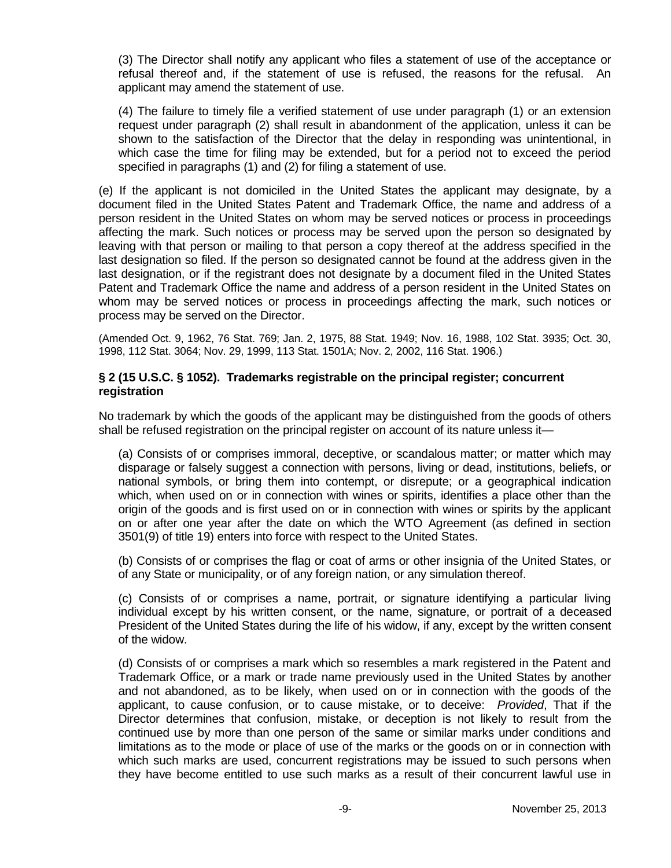(3) The Director shall notify any applicant who files a statement of use of the acceptance or refusal thereof and, if the statement of use is refused, the reasons for the refusal. An applicant may amend the statement of use.

(4) The failure to timely file a verified statement of use under paragraph (1) or an extension request under paragraph (2) shall result in abandonment of the application, unless it can be shown to the satisfaction of the Director that the delay in responding was unintentional, in which case the time for filing may be extended, but for a period not to exceed the period specified in paragraphs (1) and (2) for filing a statement of use.

(e) If the applicant is not domiciled in the United States the applicant may designate, by a document filed in the United States Patent and Trademark Office, the name and address of a person resident in the United States on whom may be served notices or process in proceedings affecting the mark. Such notices or process may be served upon the person so designated by leaving with that person or mailing to that person a copy thereof at the address specified in the last designation so filed. If the person so designated cannot be found at the address given in the last designation, or if the registrant does not designate by a document filed in the United States Patent and Trademark Office the name and address of a person resident in the United States on whom may be served notices or process in proceedings affecting the mark, such notices or process may be served on the Director.

(Amended Oct. 9, 1962, 76 Stat. 769; Jan. 2, 1975, 88 Stat. 1949; Nov. 16, 1988, 102 Stat. 3935; Oct. 30, 1998, 112 Stat. 3064; Nov. 29, 1999, 113 Stat. 1501A; Nov. 2, 2002, 116 Stat. 1906.)

#### <span id="page-8-0"></span>**§ 2 (15 U.S.C. § 1052). Trademarks registrable on the principal register; concurrent registration**

No trademark by which the goods of the applicant may be distinguished from the goods of others shall be refused registration on the principal register on account of its nature unless it—

(a) Consists of or comprises immoral, deceptive, or scandalous matter; or matter which may disparage or falsely suggest a connection with persons, living or dead, institutions, beliefs, or national symbols, or bring them into contempt, or disrepute; or a geographical indication which, when used on or in connection with wines or spirits, identifies a place other than the origin of the goods and is first used on or in connection with wines or spirits by the applicant on or after one year after the date on which the WTO Agreement (as defined in section 3501(9) of title 19) enters into force with respect to the United States.

(b) Consists of or comprises the flag or coat of arms or other insignia of the United States, or of any State or municipality, or of any foreign nation, or any simulation thereof.

(c) Consists of or comprises a name, portrait, or signature identifying a particular living individual except by his written consent, or the name, signature, or portrait of a deceased President of the United States during the life of his widow, if any, except by the written consent of the widow.

(d) Consists of or comprises a mark which so resembles a mark registered in the Patent and Trademark Office, or a mark or trade name previously used in the United States by another and not abandoned, as to be likely, when used on or in connection with the goods of the applicant, to cause confusion, or to cause mistake, or to deceive: *Provided*, That if the Director determines that confusion, mistake, or deception is not likely to result from the continued use by more than one person of the same or similar marks under conditions and limitations as to the mode or place of use of the marks or the goods on or in connection with which such marks are used, concurrent registrations may be issued to such persons when they have become entitled to use such marks as a result of their concurrent lawful use in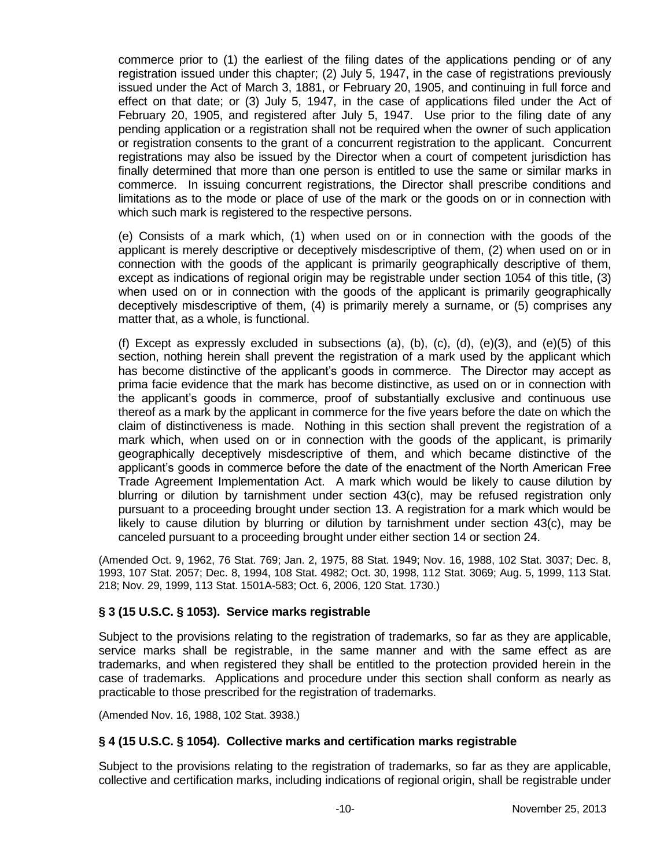commerce prior to (1) the earliest of the filing dates of the applications pending or of any registration issued under this chapter; (2) July 5, 1947, in the case of registrations previously issued under the Act of March 3, 1881, or February 20, 1905, and continuing in full force and effect on that date; or (3) July 5, 1947, in the case of applications filed under the Act of February 20, 1905, and registered after July 5, 1947. Use prior to the filing date of any pending application or a registration shall not be required when the owner of such application or registration consents to the grant of a concurrent registration to the applicant. Concurrent registrations may also be issued by the Director when a court of competent jurisdiction has finally determined that more than one person is entitled to use the same or similar marks in commerce. In issuing concurrent registrations, the Director shall prescribe conditions and limitations as to the mode or place of use of the mark or the goods on or in connection with which such mark is registered to the respective persons.

(e) Consists of a mark which, (1) when used on or in connection with the goods of the applicant is merely descriptive or deceptively misdescriptive of them, (2) when used on or in connection with the goods of the applicant is primarily geographically descriptive of them, except as indications of regional origin may be registrable under section 1054 of this title, (3) when used on or in connection with the goods of the applicant is primarily geographically deceptively misdescriptive of them, (4) is primarily merely a surname, or (5) comprises any matter that, as a whole, is functional.

(f) Except as expressly excluded in subsections (a), (b), (c), (d), (e)(3), and (e)(5) of this section, nothing herein shall prevent the registration of a mark used by the applicant which has become distinctive of the applicant's goods in commerce. The Director may accept as prima facie evidence that the mark has become distinctive, as used on or in connection with the applicant's goods in commerce, proof of substantially exclusive and continuous use thereof as a mark by the applicant in commerce for the five years before the date on which the claim of distinctiveness is made. Nothing in this section shall prevent the registration of a mark which, when used on or in connection with the goods of the applicant, is primarily geographically deceptively misdescriptive of them, and which became distinctive of the applicant's goods in commerce before the date of the enactment of the North American Free Trade Agreement Implementation Act. A mark which would be likely to cause dilution by blurring or dilution by tarnishment under section 43(c), may be refused registration only pursuant to a proceeding brought under section 13. A registration for a mark which would be likely to cause dilution by blurring or dilution by tarnishment under section 43(c), may be canceled pursuant to a proceeding brought under either section 14 or section 24.

(Amended Oct. 9, 1962, 76 Stat. 769; Jan. 2, 1975, 88 Stat. 1949; Nov. 16, 1988, 102 Stat. 3037; Dec. 8, 1993, 107 Stat. 2057; Dec. 8, 1994, 108 Stat. 4982; Oct. 30, 1998, 112 Stat. 3069; Aug. 5, 1999, 113 Stat. 218; Nov. 29, 1999, 113 Stat. 1501A-583; Oct. 6, 2006, 120 Stat. 1730.)

# <span id="page-9-0"></span>**§ 3 (15 U.S.C. § 1053). Service marks registrable**

Subject to the provisions relating to the registration of trademarks, so far as they are applicable, service marks shall be registrable, in the same manner and with the same effect as are trademarks, and when registered they shall be entitled to the protection provided herein in the case of trademarks. Applications and procedure under this section shall conform as nearly as practicable to those prescribed for the registration of trademarks.

(Amended Nov. 16, 1988, 102 Stat. 3938.)

# <span id="page-9-1"></span>**§ 4 (15 U.S.C. § 1054). Collective marks and certification marks registrable**

Subject to the provisions relating to the registration of trademarks, so far as they are applicable, collective and certification marks, including indications of regional origin, shall be registrable under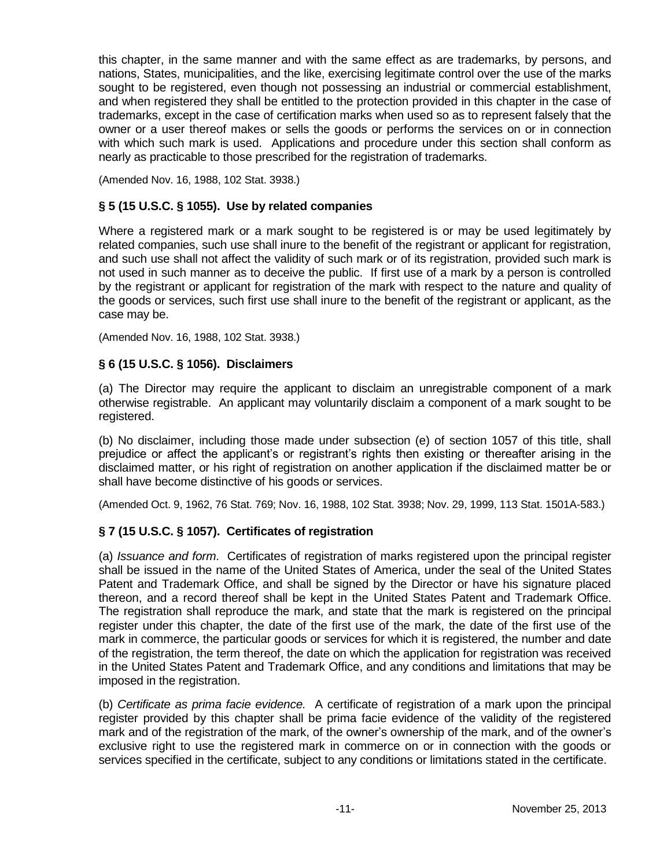this chapter, in the same manner and with the same effect as are trademarks, by persons, and nations, States, municipalities, and the like, exercising legitimate control over the use of the marks sought to be registered, even though not possessing an industrial or commercial establishment, and when registered they shall be entitled to the protection provided in this chapter in the case of trademarks, except in the case of certification marks when used so as to represent falsely that the owner or a user thereof makes or sells the goods or performs the services on or in connection with which such mark is used. Applications and procedure under this section shall conform as nearly as practicable to those prescribed for the registration of trademarks.

(Amended Nov. 16, 1988, 102 Stat. 3938.)

# <span id="page-10-0"></span>**§ 5 (15 U.S.C. § 1055). Use by related companies**

Where a registered mark or a mark sought to be registered is or may be used legitimately by related companies, such use shall inure to the benefit of the registrant or applicant for registration, and such use shall not affect the validity of such mark or of its registration, provided such mark is not used in such manner as to deceive the public. If first use of a mark by a person is controlled by the registrant or applicant for registration of the mark with respect to the nature and quality of the goods or services, such first use shall inure to the benefit of the registrant or applicant, as the case may be.

(Amended Nov. 16, 1988, 102 Stat. 3938.)

#### <span id="page-10-1"></span>**§ 6 (15 U.S.C. § 1056). Disclaimers**

(a) The Director may require the applicant to disclaim an unregistrable component of a mark otherwise registrable. An applicant may voluntarily disclaim a component of a mark sought to be registered.

(b) No disclaimer, including those made under subsection (e) of section 1057 of this title, shall prejudice or affect the applicant's or registrant's rights then existing or thereafter arising in the disclaimed matter, or his right of registration on another application if the disclaimed matter be or shall have become distinctive of his goods or services.

(Amended Oct. 9, 1962, 76 Stat. 769; Nov. 16, 1988, 102 Stat. 3938; Nov. 29, 1999, 113 Stat. 1501A-583.)

# <span id="page-10-2"></span>**§ 7 (15 U.S.C. § 1057). Certificates of registration**

(a) *Issuance and form*. Certificates of registration of marks registered upon the principal register shall be issued in the name of the United States of America, under the seal of the United States Patent and Trademark Office, and shall be signed by the Director or have his signature placed thereon, and a record thereof shall be kept in the United States Patent and Trademark Office. The registration shall reproduce the mark, and state that the mark is registered on the principal register under this chapter, the date of the first use of the mark, the date of the first use of the mark in commerce, the particular goods or services for which it is registered, the number and date of the registration, the term thereof, the date on which the application for registration was received in the United States Patent and Trademark Office, and any conditions and limitations that may be imposed in the registration.

(b) *Certificate as prima facie evidence.* A certificate of registration of a mark upon the principal register provided by this chapter shall be prima facie evidence of the validity of the registered mark and of the registration of the mark, of the owner's ownership of the mark, and of the owner's exclusive right to use the registered mark in commerce on or in connection with the goods or services specified in the certificate, subject to any conditions or limitations stated in the certificate.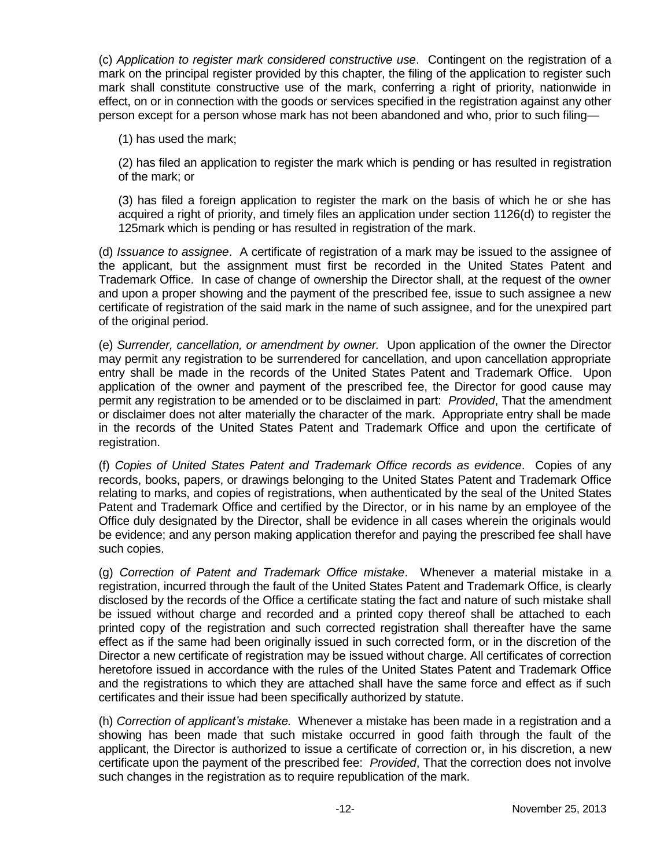(c) *Application to register mark considered constructive use*. Contingent on the registration of a mark on the principal register provided by this chapter, the filing of the application to register such mark shall constitute constructive use of the mark, conferring a right of priority, nationwide in effect, on or in connection with the goods or services specified in the registration against any other person except for a person whose mark has not been abandoned and who, prior to such filing—

(1) has used the mark;

(2) has filed an application to register the mark which is pending or has resulted in registration of the mark; or

(3) has filed a foreign application to register the mark on the basis of which he or she has acquired a right of priority, and timely files an application under section 1126(d) to register the 125mark which is pending or has resulted in registration of the mark.

(d) *Issuance to assignee*. A certificate of registration of a mark may be issued to the assignee of the applicant, but the assignment must first be recorded in the United States Patent and Trademark Office. In case of change of ownership the Director shall, at the request of the owner and upon a proper showing and the payment of the prescribed fee, issue to such assignee a new certificate of registration of the said mark in the name of such assignee, and for the unexpired part of the original period.

(e) *Surrender, cancellation, or amendment by owner.* Upon application of the owner the Director may permit any registration to be surrendered for cancellation, and upon cancellation appropriate entry shall be made in the records of the United States Patent and Trademark Office. Upon application of the owner and payment of the prescribed fee, the Director for good cause may permit any registration to be amended or to be disclaimed in part: *Provided*, That the amendment or disclaimer does not alter materially the character of the mark. Appropriate entry shall be made in the records of the United States Patent and Trademark Office and upon the certificate of registration.

(f) *Copies of United States Patent and Trademark Office records as evidence*. Copies of any records, books, papers, or drawings belonging to the United States Patent and Trademark Office relating to marks, and copies of registrations, when authenticated by the seal of the United States Patent and Trademark Office and certified by the Director, or in his name by an employee of the Office duly designated by the Director, shall be evidence in all cases wherein the originals would be evidence; and any person making application therefor and paying the prescribed fee shall have such copies.

(g) *Correction of Patent and Trademark Office mistake*. Whenever a material mistake in a registration, incurred through the fault of the United States Patent and Trademark Office, is clearly disclosed by the records of the Office a certificate stating the fact and nature of such mistake shall be issued without charge and recorded and a printed copy thereof shall be attached to each printed copy of the registration and such corrected registration shall thereafter have the same effect as if the same had been originally issued in such corrected form, or in the discretion of the Director a new certificate of registration may be issued without charge. All certificates of correction heretofore issued in accordance with the rules of the United States Patent and Trademark Office and the registrations to which they are attached shall have the same force and effect as if such certificates and their issue had been specifically authorized by statute.

(h) *Correction of applicant's mistake.* Whenever a mistake has been made in a registration and a showing has been made that such mistake occurred in good faith through the fault of the applicant, the Director is authorized to issue a certificate of correction or, in his discretion, a new certificate upon the payment of the prescribed fee: *Provided*, That the correction does not involve such changes in the registration as to require republication of the mark.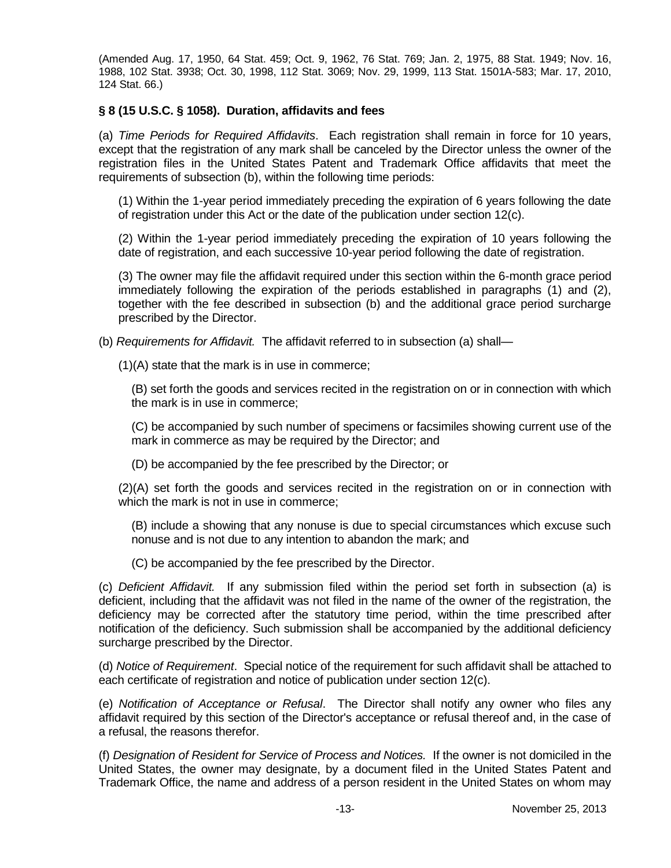(Amended Aug. 17, 1950, 64 Stat. 459; Oct. 9, 1962, 76 Stat. 769; Jan. 2, 1975, 88 Stat. 1949; Nov. 16, 1988, 102 Stat. 3938; Oct. 30, 1998, 112 Stat. 3069; Nov. 29, 1999, 113 Stat. 1501A-583; Mar. 17, 2010, 124 Stat. 66.)

#### <span id="page-12-0"></span>**§ 8 (15 U.S.C. § 1058). Duration, affidavits and fees**

(a) *Time Periods for Required Affidavits*. Each registration shall remain in force for 10 years, except that the registration of any mark shall be canceled by the Director unless the owner of the registration files in the United States Patent and Trademark Office affidavits that meet the requirements of subsection (b), within the following time periods:

(1) Within the 1-year period immediately preceding the expiration of 6 years following the date of registration under this Act or the date of the publication under section 12(c).

(2) Within the 1-year period immediately preceding the expiration of 10 years following the date of registration, and each successive 10-year period following the date of registration.

(3) The owner may file the affidavit required under this section within the 6-month grace period immediately following the expiration of the periods established in paragraphs (1) and (2), together with the fee described in subsection (b) and the additional grace period surcharge prescribed by the Director.

(b) *Requirements for Affidavit.* The affidavit referred to in subsection (a) shall—

(1)(A) state that the mark is in use in commerce;

(B) set forth the goods and services recited in the registration on or in connection with which the mark is in use in commerce;

(C) be accompanied by such number of specimens or facsimiles showing current use of the mark in commerce as may be required by the Director; and

(D) be accompanied by the fee prescribed by the Director; or

(2)(A) set forth the goods and services recited in the registration on or in connection with which the mark is not in use in commerce;

(B) include a showing that any nonuse is due to special circumstances which excuse such nonuse and is not due to any intention to abandon the mark; and

(C) be accompanied by the fee prescribed by the Director.

(c) *Deficient Affidavit.* If any submission filed within the period set forth in subsection (a) is deficient, including that the affidavit was not filed in the name of the owner of the registration, the deficiency may be corrected after the statutory time period, within the time prescribed after notification of the deficiency. Such submission shall be accompanied by the additional deficiency surcharge prescribed by the Director.

(d) *Notice of Requirement*. Special notice of the requirement for such affidavit shall be attached to each certificate of registration and notice of publication under section 12(c).

(e) *Notification of Acceptance or Refusal*. The Director shall notify any owner who files any affidavit required by this section of the Director's acceptance or refusal thereof and, in the case of a refusal, the reasons therefor.

(f) *Designation of Resident for Service of Process and Notices.* If the owner is not domiciled in the United States, the owner may designate, by a document filed in the United States Patent and Trademark Office, the name and address of a person resident in the United States on whom may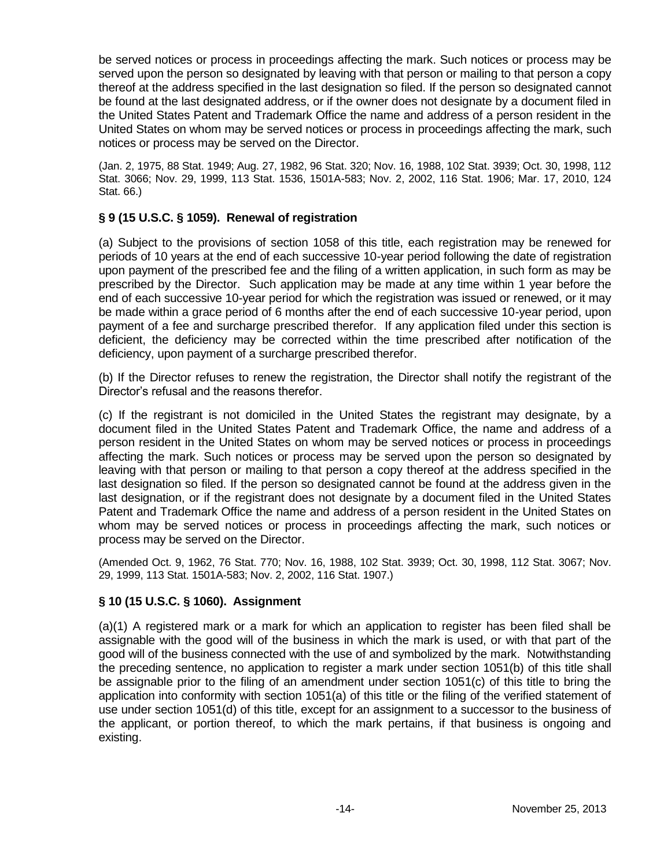be served notices or process in proceedings affecting the mark. Such notices or process may be served upon the person so designated by leaving with that person or mailing to that person a copy thereof at the address specified in the last designation so filed. If the person so designated cannot be found at the last designated address, or if the owner does not designate by a document filed in the United States Patent and Trademark Office the name and address of a person resident in the United States on whom may be served notices or process in proceedings affecting the mark, such notices or process may be served on the Director.

(Jan. 2, 1975, 88 Stat. 1949; Aug. 27, 1982, 96 Stat. 320; Nov. 16, 1988, 102 Stat. 3939; Oct. 30, 1998, 112 Stat. 3066; Nov. 29, 1999, 113 Stat. 1536, 1501A-583; Nov. 2, 2002, 116 Stat. 1906; Mar. 17, 2010, 124 Stat. 66.)

# <span id="page-13-0"></span>**§ 9 (15 U.S.C. § 1059). Renewal of registration**

(a) Subject to the provisions of section 1058 of this title, each registration may be renewed for periods of 10 years at the end of each successive 10-year period following the date of registration upon payment of the prescribed fee and the filing of a written application, in such form as may be prescribed by the Director. Such application may be made at any time within 1 year before the end of each successive 10-year period for which the registration was issued or renewed, or it may be made within a grace period of 6 months after the end of each successive 10-year period, upon payment of a fee and surcharge prescribed therefor. If any application filed under this section is deficient, the deficiency may be corrected within the time prescribed after notification of the deficiency, upon payment of a surcharge prescribed therefor.

(b) If the Director refuses to renew the registration, the Director shall notify the registrant of the Director's refusal and the reasons therefor.

(c) If the registrant is not domiciled in the United States the registrant may designate, by a document filed in the United States Patent and Trademark Office, the name and address of a person resident in the United States on whom may be served notices or process in proceedings affecting the mark. Such notices or process may be served upon the person so designated by leaving with that person or mailing to that person a copy thereof at the address specified in the last designation so filed. If the person so designated cannot be found at the address given in the last designation, or if the registrant does not designate by a document filed in the United States Patent and Trademark Office the name and address of a person resident in the United States on whom may be served notices or process in proceedings affecting the mark, such notices or process may be served on the Director.

(Amended Oct. 9, 1962, 76 Stat. 770; Nov. 16, 1988, 102 Stat. 3939; Oct. 30, 1998, 112 Stat. 3067; Nov. 29, 1999, 113 Stat. 1501A-583; Nov. 2, 2002, 116 Stat. 1907.)

# <span id="page-13-1"></span>**§ 10 (15 U.S.C. § 1060). Assignment**

(a)(1) A registered mark or a mark for which an application to register has been filed shall be assignable with the good will of the business in which the mark is used, or with that part of the good will of the business connected with the use of and symbolized by the mark. Notwithstanding the preceding sentence, no application to register a mark under section 1051(b) of this title shall be assignable prior to the filing of an amendment under section 1051(c) of this title to bring the application into conformity with section 1051(a) of this title or the filing of the verified statement of use under section 1051(d) of this title, except for an assignment to a successor to the business of the applicant, or portion thereof, to which the mark pertains, if that business is ongoing and existing.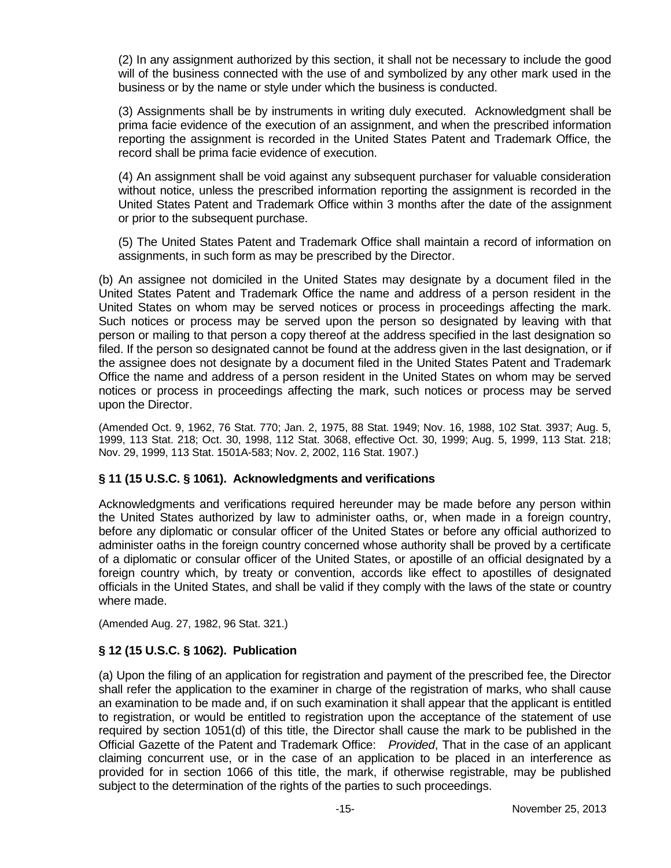(2) In any assignment authorized by this section, it shall not be necessary to include the good will of the business connected with the use of and symbolized by any other mark used in the business or by the name or style under which the business is conducted.

(3) Assignments shall be by instruments in writing duly executed. Acknowledgment shall be prima facie evidence of the execution of an assignment, and when the prescribed information reporting the assignment is recorded in the United States Patent and Trademark Office, the record shall be prima facie evidence of execution.

(4) An assignment shall be void against any subsequent purchaser for valuable consideration without notice, unless the prescribed information reporting the assignment is recorded in the United States Patent and Trademark Office within 3 months after the date of the assignment or prior to the subsequent purchase.

(5) The United States Patent and Trademark Office shall maintain a record of information on assignments, in such form as may be prescribed by the Director.

(b) An assignee not domiciled in the United States may designate by a document filed in the United States Patent and Trademark Office the name and address of a person resident in the United States on whom may be served notices or process in proceedings affecting the mark. Such notices or process may be served upon the person so designated by leaving with that person or mailing to that person a copy thereof at the address specified in the last designation so filed. If the person so designated cannot be found at the address given in the last designation, or if the assignee does not designate by a document filed in the United States Patent and Trademark Office the name and address of a person resident in the United States on whom may be served notices or process in proceedings affecting the mark, such notices or process may be served upon the Director.

(Amended Oct. 9, 1962, 76 Stat. 770; Jan. 2, 1975, 88 Stat. 1949; Nov. 16, 1988, 102 Stat. 3937; Aug. 5, 1999, 113 Stat. 218; Oct. 30, 1998, 112 Stat. 3068, effective Oct. 30, 1999; Aug. 5, 1999, 113 Stat. 218; Nov. 29, 1999, 113 Stat. 1501A-583; Nov. 2, 2002, 116 Stat. 1907.)

# <span id="page-14-0"></span>**§ 11 (15 U.S.C. § 1061). Acknowledgments and verifications**

Acknowledgments and verifications required hereunder may be made before any person within the United States authorized by law to administer oaths, or, when made in a foreign country, before any diplomatic or consular officer of the United States or before any official authorized to administer oaths in the foreign country concerned whose authority shall be proved by a certificate of a diplomatic or consular officer of the United States, or apostille of an official designated by a foreign country which, by treaty or convention, accords like effect to apostilles of designated officials in the United States, and shall be valid if they comply with the laws of the state or country where made.

(Amended Aug. 27, 1982, 96 Stat. 321.)

# <span id="page-14-1"></span>**§ 12 (15 U.S.C. § 1062). Publication**

(a) Upon the filing of an application for registration and payment of the prescribed fee, the Director shall refer the application to the examiner in charge of the registration of marks, who shall cause an examination to be made and, if on such examination it shall appear that the applicant is entitled to registration, or would be entitled to registration upon the acceptance of the statement of use required by section 1051(d) of this title, the Director shall cause the mark to be published in the Official Gazette of the Patent and Trademark Office: *Provided*, That in the case of an applicant claiming concurrent use, or in the case of an application to be placed in an interference as provided for in section 1066 of this title, the mark, if otherwise registrable, may be published subject to the determination of the rights of the parties to such proceedings.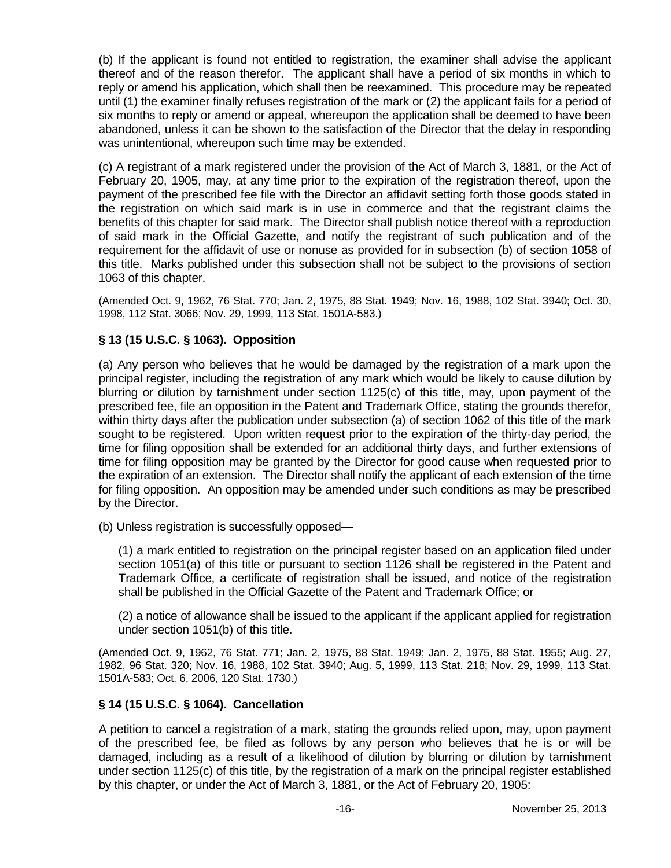(b) If the applicant is found not entitled to registration, the examiner shall advise the applicant thereof and of the reason therefor. The applicant shall have a period of six months in which to reply or amend his application, which shall then be reexamined. This procedure may be repeated until (1) the examiner finally refuses registration of the mark or (2) the applicant fails for a period of six months to reply or amend or appeal, whereupon the application shall be deemed to have been abandoned, unless it can be shown to the satisfaction of the Director that the delay in responding was unintentional, whereupon such time may be extended.

(c) A registrant of a mark registered under the provision of the Act of March 3, 1881, or the Act of February 20, 1905, may, at any time prior to the expiration of the registration thereof, upon the payment of the prescribed fee file with the Director an affidavit setting forth those goods stated in the registration on which said mark is in use in commerce and that the registrant claims the benefits of this chapter for said mark. The Director shall publish notice thereof with a reproduction of said mark in the Official Gazette, and notify the registrant of such publication and of the requirement for the affidavit of use or nonuse as provided for in subsection (b) of section 1058 of this title. Marks published under this subsection shall not be subject to the provisions of section 1063 of this chapter.

(Amended Oct. 9, 1962, 76 Stat. 770; Jan. 2, 1975, 88 Stat. 1949; Nov. 16, 1988, 102 Stat. 3940; Oct. 30, 1998, 112 Stat. 3066; Nov. 29, 1999, 113 Stat. 1501A-583.)

# <span id="page-15-0"></span>**§ 13 (15 U.S.C. § 1063). Opposition**

(a) Any person who believes that he would be damaged by the registration of a mark upon the principal register, including the registration of any mark which would be likely to cause dilution by blurring or dilution by tarnishment under section 1125(c) of this title, may, upon payment of the prescribed fee, file an opposition in the Patent and Trademark Office, stating the grounds therefor, within thirty days after the publication under subsection (a) of section 1062 of this title of the mark sought to be registered. Upon written request prior to the expiration of the thirty-day period, the time for filing opposition shall be extended for an additional thirty days, and further extensions of time for filing opposition may be granted by the Director for good cause when requested prior to the expiration of an extension. The Director shall notify the applicant of each extension of the time for filing opposition. An opposition may be amended under such conditions as may be prescribed by the Director.

(b) Unless registration is successfully opposed—

(1) a mark entitled to registration on the principal register based on an application filed under section 1051(a) of this title or pursuant to section 1126 shall be registered in the Patent and Trademark Office, a certificate of registration shall be issued, and notice of the registration shall be published in the Official Gazette of the Patent and Trademark Office; or

(2) a notice of allowance shall be issued to the applicant if the applicant applied for registration under section 1051(b) of this title.

(Amended Oct. 9, 1962, 76 Stat. 771; Jan. 2, 1975, 88 Stat. 1949; Jan. 2, 1975, 88 Stat. 1955; Aug. 27, 1982, 96 Stat. 320; Nov. 16, 1988, 102 Stat. 3940; Aug. 5, 1999, 113 Stat. 218; Nov. 29, 1999, 113 Stat. 1501A-583; Oct. 6, 2006, 120 Stat. 1730.)

# <span id="page-15-1"></span>**§ 14 (15 U.S.C. § 1064). Cancellation**

A petition to cancel a registration of a mark, stating the grounds relied upon, may, upon payment of the prescribed fee, be filed as follows by any person who believes that he is or will be damaged, including as a result of a likelihood of dilution by blurring or dilution by tarnishment under section 1125(c) of this title, by the registration of a mark on the principal register established by this chapter, or under the Act of March 3, 1881, or the Act of February 20, 1905: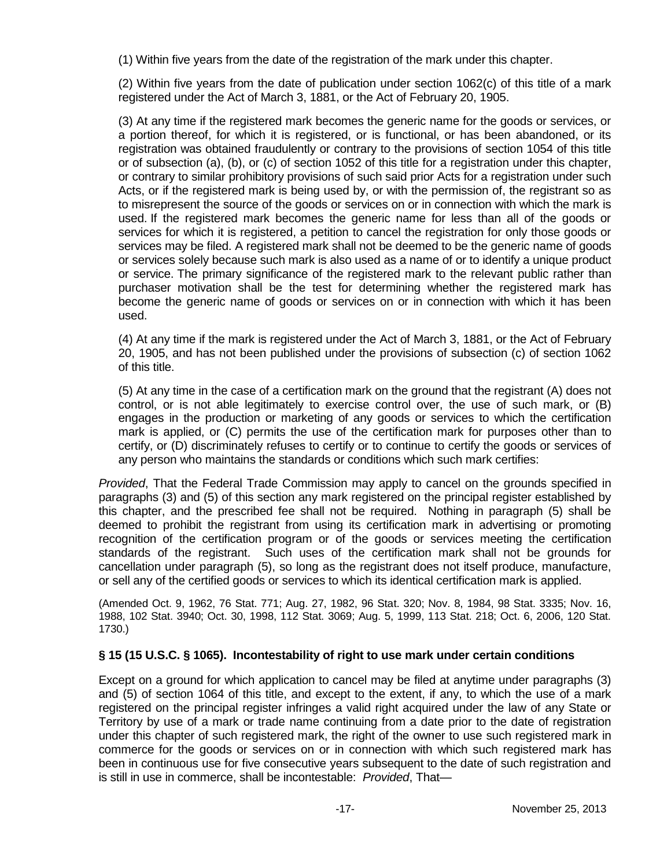(1) Within five years from the date of the registration of the mark under this chapter.

(2) Within five years from the date of publication under section 1062(c) of this title of a mark registered under the Act of March 3, 1881, or the Act of February 20, 1905.

(3) At any time if the registered mark becomes the generic name for the goods or services, or a portion thereof, for which it is registered, or is functional, or has been abandoned, or its registration was obtained fraudulently or contrary to the provisions of section 1054 of this title or of subsection (a), (b), or (c) of section 1052 of this title for a registration under this chapter, or contrary to similar prohibitory provisions of such said prior Acts for a registration under such Acts, or if the registered mark is being used by, or with the permission of, the registrant so as to misrepresent the source of the goods or services on or in connection with which the mark is used. If the registered mark becomes the generic name for less than all of the goods or services for which it is registered, a petition to cancel the registration for only those goods or services may be filed. A registered mark shall not be deemed to be the generic name of goods or services solely because such mark is also used as a name of or to identify a unique product or service. The primary significance of the registered mark to the relevant public rather than purchaser motivation shall be the test for determining whether the registered mark has become the generic name of goods or services on or in connection with which it has been used.

(4) At any time if the mark is registered under the Act of March 3, 1881, or the Act of February 20, 1905, and has not been published under the provisions of subsection (c) of section 1062 of this title.

(5) At any time in the case of a certification mark on the ground that the registrant (A) does not control, or is not able legitimately to exercise control over, the use of such mark, or (B) engages in the production or marketing of any goods or services to which the certification mark is applied, or (C) permits the use of the certification mark for purposes other than to certify, or (D) discriminately refuses to certify or to continue to certify the goods or services of any person who maintains the standards or conditions which such mark certifies:

*Provided*, That the Federal Trade Commission may apply to cancel on the grounds specified in paragraphs (3) and (5) of this section any mark registered on the principal register established by this chapter, and the prescribed fee shall not be required. Nothing in paragraph (5) shall be deemed to prohibit the registrant from using its certification mark in advertising or promoting recognition of the certification program or of the goods or services meeting the certification standards of the registrant. Such uses of the certification mark shall not be grounds for cancellation under paragraph (5), so long as the registrant does not itself produce, manufacture, or sell any of the certified goods or services to which its identical certification mark is applied.

(Amended Oct. 9, 1962, 76 Stat. 771; Aug. 27, 1982, 96 Stat. 320; Nov. 8, 1984, 98 Stat. 3335; Nov. 16, 1988, 102 Stat. 3940; Oct. 30, 1998, 112 Stat. 3069; Aug. 5, 1999, 113 Stat. 218; Oct. 6, 2006, 120 Stat. 1730.)

# <span id="page-16-0"></span>**§ 15 (15 U.S.C. § 1065). Incontestability of right to use mark under certain conditions**

Except on a ground for which application to cancel may be filed at anytime under paragraphs (3) and (5) of section 1064 of this title, and except to the extent, if any, to which the use of a mark registered on the principal register infringes a valid right acquired under the law of any State or Territory by use of a mark or trade name continuing from a date prior to the date of registration under this chapter of such registered mark, the right of the owner to use such registered mark in commerce for the goods or services on or in connection with which such registered mark has been in continuous use for five consecutive years subsequent to the date of such registration and is still in use in commerce, shall be incontestable: *Provided*, That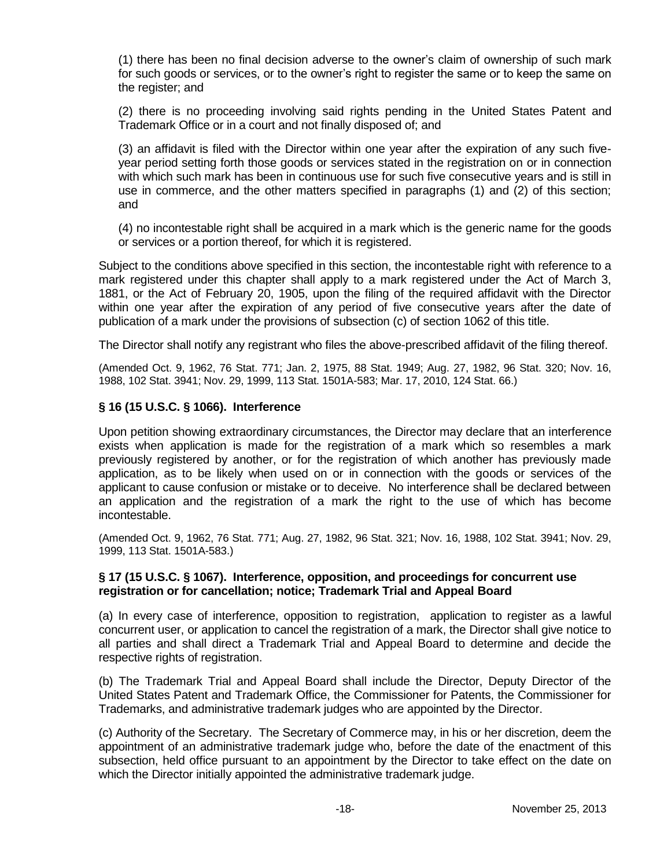(1) there has been no final decision adverse to the owner's claim of ownership of such mark for such goods or services, or to the owner's right to register the same or to keep the same on the register; and

(2) there is no proceeding involving said rights pending in the United States Patent and Trademark Office or in a court and not finally disposed of; and

(3) an affidavit is filed with the Director within one year after the expiration of any such fiveyear period setting forth those goods or services stated in the registration on or in connection with which such mark has been in continuous use for such five consecutive years and is still in use in commerce, and the other matters specified in paragraphs (1) and (2) of this section; and

(4) no incontestable right shall be acquired in a mark which is the generic name for the goods or services or a portion thereof, for which it is registered.

Subject to the conditions above specified in this section, the incontestable right with reference to a mark registered under this chapter shall apply to a mark registered under the Act of March 3, 1881, or the Act of February 20, 1905, upon the filing of the required affidavit with the Director within one year after the expiration of any period of five consecutive years after the date of publication of a mark under the provisions of subsection (c) of section 1062 of this title.

The Director shall notify any registrant who files the above-prescribed affidavit of the filing thereof.

(Amended Oct. 9, 1962, 76 Stat. 771; Jan. 2, 1975, 88 Stat. 1949; Aug. 27, 1982, 96 Stat. 320; Nov. 16, 1988, 102 Stat. 3941; Nov. 29, 1999, 113 Stat. 1501A-583; Mar. 17, 2010, 124 Stat. 66.)

#### <span id="page-17-0"></span>**§ 16 (15 U.S.C. § 1066). Interference**

Upon petition showing extraordinary circumstances, the Director may declare that an interference exists when application is made for the registration of a mark which so resembles a mark previously registered by another, or for the registration of which another has previously made application, as to be likely when used on or in connection with the goods or services of the applicant to cause confusion or mistake or to deceive. No interference shall be declared between an application and the registration of a mark the right to the use of which has become incontestable.

(Amended Oct. 9, 1962, 76 Stat. 771; Aug. 27, 1982, 96 Stat. 321; Nov. 16, 1988, 102 Stat. 3941; Nov. 29, 1999, 113 Stat. 1501A-583.)

#### <span id="page-17-1"></span>**§ 17 (15 U.S.C. § 1067). Interference, opposition, and proceedings for concurrent use registration or for cancellation; notice; Trademark Trial and Appeal Board**

(a) In every case of interference, opposition to registration, application to register as a lawful concurrent user, or application to cancel the registration of a mark, the Director shall give notice to all parties and shall direct a Trademark Trial and Appeal Board to determine and decide the respective rights of registration.

(b) The Trademark Trial and Appeal Board shall include the Director, Deputy Director of the United States Patent and Trademark Office, the Commissioner for Patents, the Commissioner for Trademarks, and administrative trademark judges who are appointed by the Director.

(c) Authority of the Secretary. The Secretary of Commerce may, in his or her discretion, deem the appointment of an administrative trademark judge who, before the date of the enactment of this subsection, held office pursuant to an appointment by the Director to take effect on the date on which the Director initially appointed the administrative trademark judge.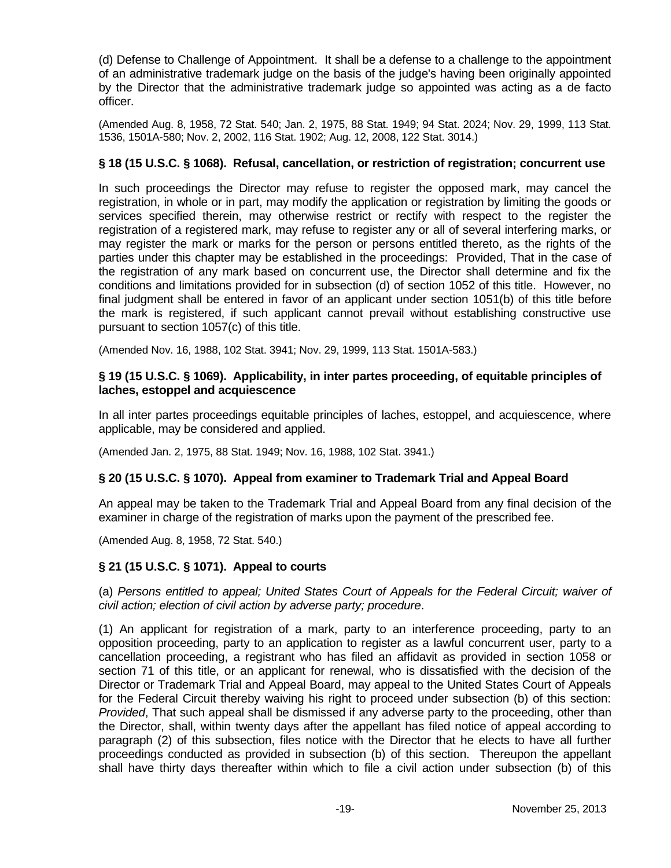(d) Defense to Challenge of Appointment. It shall be a defense to a challenge to the appointment of an administrative trademark judge on the basis of the judge's having been originally appointed by the Director that the administrative trademark judge so appointed was acting as a de facto officer.

(Amended Aug. 8, 1958, 72 Stat. 540; Jan. 2, 1975, 88 Stat. 1949; 94 Stat. 2024; Nov. 29, 1999, 113 Stat. 1536, 1501A-580; Nov. 2, 2002, 116 Stat. 1902; Aug. 12, 2008, 122 Stat. 3014.)

# <span id="page-18-0"></span>**§ 18 (15 U.S.C. § 1068). Refusal, cancellation, or restriction of registration; concurrent use**

In such proceedings the Director may refuse to register the opposed mark, may cancel the registration, in whole or in part, may modify the application or registration by limiting the goods or services specified therein, may otherwise restrict or rectify with respect to the register the registration of a registered mark, may refuse to register any or all of several interfering marks, or may register the mark or marks for the person or persons entitled thereto, as the rights of the parties under this chapter may be established in the proceedings: Provided, That in the case of the registration of any mark based on concurrent use, the Director shall determine and fix the conditions and limitations provided for in subsection (d) of section 1052 of this title. However, no final judgment shall be entered in favor of an applicant under section 1051(b) of this title before the mark is registered, if such applicant cannot prevail without establishing constructive use pursuant to section 1057(c) of this title.

(Amended Nov. 16, 1988, 102 Stat. 3941; Nov. 29, 1999, 113 Stat. 1501A-583.)

#### <span id="page-18-1"></span>**§ 19 (15 U.S.C. § 1069). Applicability, in inter partes proceeding, of equitable principles of laches, estoppel and acquiescence**

In all inter partes proceedings equitable principles of laches, estoppel, and acquiescence, where applicable, may be considered and applied.

(Amended Jan. 2, 1975, 88 Stat. 1949; Nov. 16, 1988, 102 Stat. 3941.)

# <span id="page-18-2"></span>**§ 20 (15 U.S.C. § 1070). Appeal from examiner to Trademark Trial and Appeal Board**

An appeal may be taken to the Trademark Trial and Appeal Board from any final decision of the examiner in charge of the registration of marks upon the payment of the prescribed fee.

(Amended Aug. 8, 1958, 72 Stat. 540.)

# <span id="page-18-3"></span>**§ 21 (15 U.S.C. § 1071). Appeal to courts**

(a) *Persons entitled to appeal; United States Court of Appeals for the Federal Circuit; waiver of civil action; election of civil action by adverse party; procedure*.

(1) An applicant for registration of a mark, party to an interference proceeding, party to an opposition proceeding, party to an application to register as a lawful concurrent user, party to a cancellation proceeding, a registrant who has filed an affidavit as provided in section 1058 or section 71 of this title, or an applicant for renewal, who is dissatisfied with the decision of the Director or Trademark Trial and Appeal Board, may appeal to the United States Court of Appeals for the Federal Circuit thereby waiving his right to proceed under subsection (b) of this section: *Provided*, That such appeal shall be dismissed if any adverse party to the proceeding, other than the Director, shall, within twenty days after the appellant has filed notice of appeal according to paragraph (2) of this subsection, files notice with the Director that he elects to have all further proceedings conducted as provided in subsection (b) of this section. Thereupon the appellant shall have thirty days thereafter within which to file a civil action under subsection (b) of this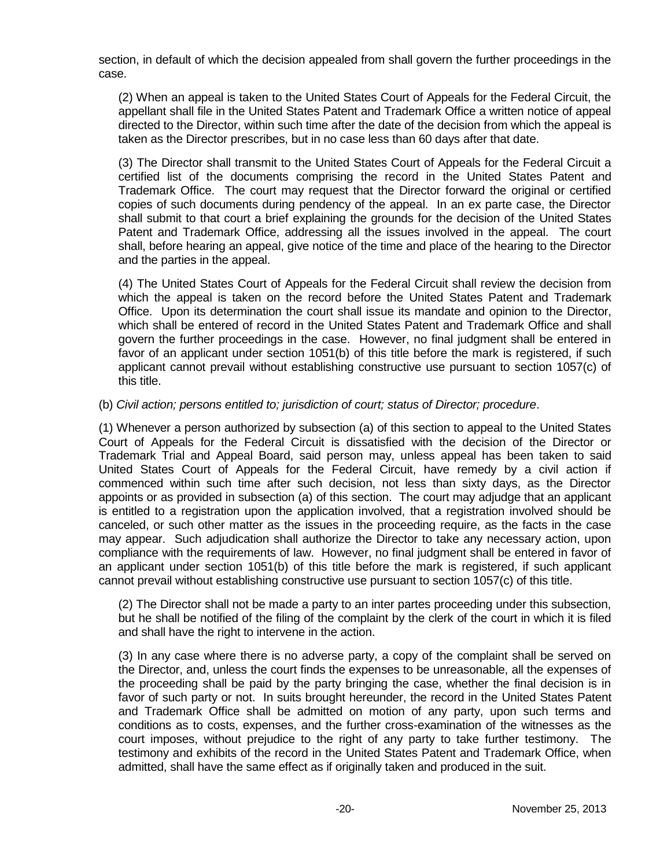section, in default of which the decision appealed from shall govern the further proceedings in the case.

(2) When an appeal is taken to the United States Court of Appeals for the Federal Circuit, the appellant shall file in the United States Patent and Trademark Office a written notice of appeal directed to the Director, within such time after the date of the decision from which the appeal is taken as the Director prescribes, but in no case less than 60 days after that date.

(3) The Director shall transmit to the United States Court of Appeals for the Federal Circuit a certified list of the documents comprising the record in the United States Patent and Trademark Office. The court may request that the Director forward the original or certified copies of such documents during pendency of the appeal. In an ex parte case, the Director shall submit to that court a brief explaining the grounds for the decision of the United States Patent and Trademark Office, addressing all the issues involved in the appeal. The court shall, before hearing an appeal, give notice of the time and place of the hearing to the Director and the parties in the appeal.

(4) The United States Court of Appeals for the Federal Circuit shall review the decision from which the appeal is taken on the record before the United States Patent and Trademark Office. Upon its determination the court shall issue its mandate and opinion to the Director, which shall be entered of record in the United States Patent and Trademark Office and shall govern the further proceedings in the case. However, no final judgment shall be entered in favor of an applicant under section 1051(b) of this title before the mark is registered, if such applicant cannot prevail without establishing constructive use pursuant to section 1057(c) of this title.

#### (b) *Civil action; persons entitled to; jurisdiction of court; status of Director; procedure*.

(1) Whenever a person authorized by subsection (a) of this section to appeal to the United States Court of Appeals for the Federal Circuit is dissatisfied with the decision of the Director or Trademark Trial and Appeal Board, said person may, unless appeal has been taken to said United States Court of Appeals for the Federal Circuit, have remedy by a civil action if commenced within such time after such decision, not less than sixty days, as the Director appoints or as provided in subsection (a) of this section. The court may adjudge that an applicant is entitled to a registration upon the application involved, that a registration involved should be canceled, or such other matter as the issues in the proceeding require, as the facts in the case may appear. Such adjudication shall authorize the Director to take any necessary action, upon compliance with the requirements of law. However, no final judgment shall be entered in favor of an applicant under section 1051(b) of this title before the mark is registered, if such applicant cannot prevail without establishing constructive use pursuant to section 1057(c) of this title.

(2) The Director shall not be made a party to an inter partes proceeding under this subsection, but he shall be notified of the filing of the complaint by the clerk of the court in which it is filed and shall have the right to intervene in the action.

(3) In any case where there is no adverse party, a copy of the complaint shall be served on the Director, and, unless the court finds the expenses to be unreasonable, all the expenses of the proceeding shall be paid by the party bringing the case, whether the final decision is in favor of such party or not. In suits brought hereunder, the record in the United States Patent and Trademark Office shall be admitted on motion of any party, upon such terms and conditions as to costs, expenses, and the further cross-examination of the witnesses as the court imposes, without prejudice to the right of any party to take further testimony. The testimony and exhibits of the record in the United States Patent and Trademark Office, when admitted, shall have the same effect as if originally taken and produced in the suit.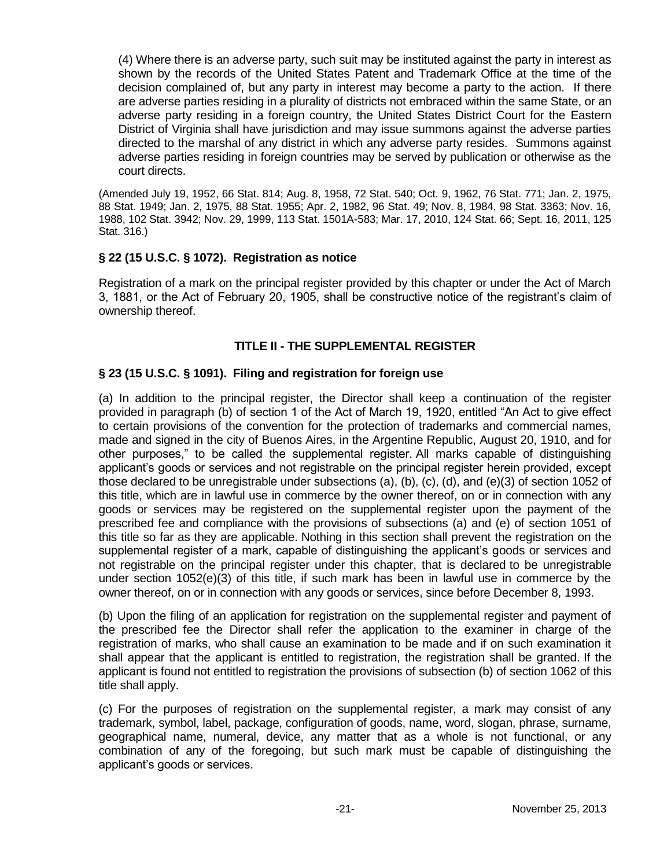(4) Where there is an adverse party, such suit may be instituted against the party in interest as shown by the records of the United States Patent and Trademark Office at the time of the decision complained of, but any party in interest may become a party to the action. If there are adverse parties residing in a plurality of districts not embraced within the same State, or an adverse party residing in a foreign country, the United States District Court for the Eastern District of Virginia shall have jurisdiction and may issue summons against the adverse parties directed to the marshal of any district in which any adverse party resides. Summons against adverse parties residing in foreign countries may be served by publication or otherwise as the court directs.

(Amended July 19, 1952, 66 Stat. 814; Aug. 8, 1958, 72 Stat. 540; Oct. 9, 1962, 76 Stat. 771; Jan. 2, 1975, 88 Stat. 1949; Jan. 2, 1975, 88 Stat. 1955; Apr. 2, 1982, 96 Stat. 49; Nov. 8, 1984, 98 Stat. 3363; Nov. 16, 1988, 102 Stat. 3942; Nov. 29, 1999, 113 Stat. 1501A-583; Mar. 17, 2010, 124 Stat. 66; Sept. 16, 2011, 125 Stat. 316.)

# <span id="page-20-0"></span>**§ 22 (15 U.S.C. § 1072). Registration as notice**

Registration of a mark on the principal register provided by this chapter or under the Act of March 3, 1881, or the Act of February 20, 1905, shall be constructive notice of the registrant's claim of ownership thereof.

# **TITLE II - THE SUPPLEMENTAL REGISTER**

#### <span id="page-20-2"></span><span id="page-20-1"></span>**§ 23 (15 U.S.C. § 1091). Filing and registration for foreign use**

(a) In addition to the principal register, the Director shall keep a continuation of the register provided in paragraph (b) of section 1 of the Act of March 19, 1920, entitled "An Act to give effect to certain provisions of the convention for the protection of trademarks and commercial names, made and signed in the city of Buenos Aires, in the Argentine Republic, August 20, 1910, and for other purposes," to be called the supplemental register. All marks capable of distinguishing applicant's goods or services and not registrable on the principal register herein provided, except those declared to be unregistrable under subsections (a), (b), (c), (d), and (e)(3) of section 1052 of this title, which are in lawful use in commerce by the owner thereof, on or in connection with any goods or services may be registered on the supplemental register upon the payment of the prescribed fee and compliance with the provisions of subsections (a) and (e) of section 1051 of this title so far as they are applicable. Nothing in this section shall prevent the registration on the supplemental register of a mark, capable of distinguishing the applicant's goods or services and not registrable on the principal register under this chapter, that is declared to be unregistrable under section 1052(e)(3) of this title, if such mark has been in lawful use in commerce by the owner thereof, on or in connection with any goods or services, since before December 8, 1993.

(b) Upon the filing of an application for registration on the supplemental register and payment of the prescribed fee the Director shall refer the application to the examiner in charge of the registration of marks, who shall cause an examination to be made and if on such examination it shall appear that the applicant is entitled to registration, the registration shall be granted. If the applicant is found not entitled to registration the provisions of subsection (b) of section 1062 of this title shall apply.

(c) For the purposes of registration on the supplemental register, a mark may consist of any trademark, symbol, label, package, configuration of goods, name, word, slogan, phrase, surname, geographical name, numeral, device, any matter that as a whole is not functional, or any combination of any of the foregoing, but such mark must be capable of distinguishing the applicant's goods or services.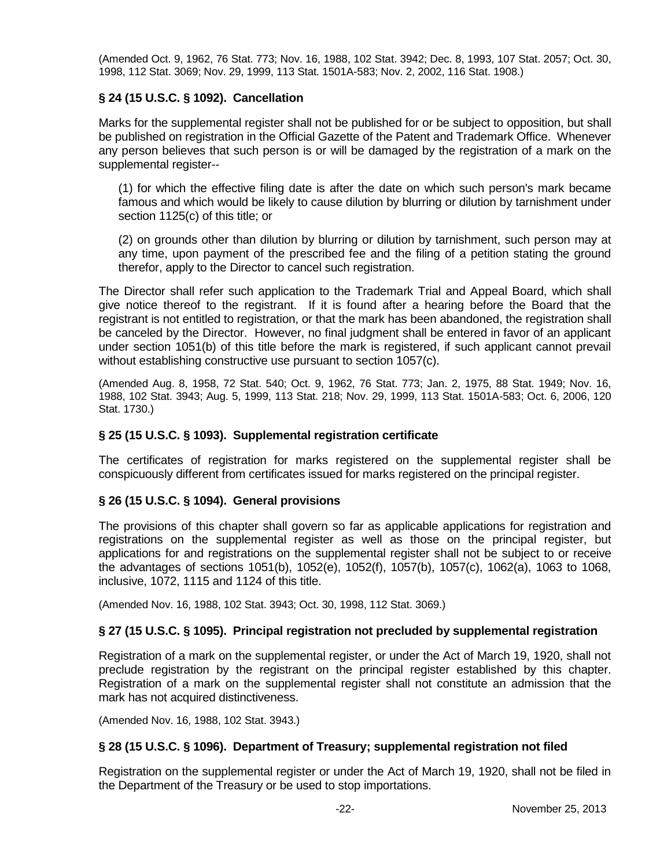(Amended Oct. 9, 1962, 76 Stat. 773; Nov. 16, 1988, 102 Stat. 3942; Dec. 8, 1993, 107 Stat. 2057; Oct. 30, 1998, 112 Stat. 3069; Nov. 29, 1999, 113 Stat. 1501A-583; Nov. 2, 2002, 116 Stat. 1908.)

#### <span id="page-21-0"></span>**§ 24 (15 U.S.C. § 1092). Cancellation**

Marks for the supplemental register shall not be published for or be subject to opposition, but shall be published on registration in the Official Gazette of the Patent and Trademark Office. Whenever any person believes that such person is or will be damaged by the registration of a mark on the supplemental register--

(1) for which the effective filing date is after the date on which such person's mark became famous and which would be likely to cause dilution by blurring or dilution by tarnishment under section 1125(c) of this title; or

(2) on grounds other than dilution by blurring or dilution by tarnishment, such person may at any time, upon payment of the prescribed fee and the filing of a petition stating the ground therefor, apply to the Director to cancel such registration.

The Director shall refer such application to the Trademark Trial and Appeal Board, which shall give notice thereof to the registrant. If it is found after a hearing before the Board that the registrant is not entitled to registration, or that the mark has been abandoned, the registration shall be canceled by the Director. However, no final judgment shall be entered in favor of an applicant under section 1051(b) of this title before the mark is registered, if such applicant cannot prevail without establishing constructive use pursuant to section 1057(c).

(Amended Aug. 8, 1958, 72 Stat. 540; Oct. 9, 1962, 76 Stat. 773; Jan. 2, 1975, 88 Stat. 1949; Nov. 16, 1988, 102 Stat. 3943; Aug. 5, 1999, 113 Stat. 218; Nov. 29, 1999, 113 Stat. 1501A-583; Oct. 6, 2006, 120 Stat. 1730.)

#### <span id="page-21-1"></span>**§ 25 (15 U.S.C. § 1093). Supplemental registration certificate**

The certificates of registration for marks registered on the supplemental register shall be conspicuously different from certificates issued for marks registered on the principal register.

# <span id="page-21-2"></span>**§ 26 (15 U.S.C. § 1094). General provisions**

The provisions of this chapter shall govern so far as applicable applications for registration and registrations on the supplemental register as well as those on the principal register, but applications for and registrations on the supplemental register shall not be subject to or receive the advantages of sections 1051(b), 1052(e), 1052(f), 1057(b), 1057(c), 1062(a), 1063 to 1068, inclusive, 1072, 1115 and 1124 of this title.

(Amended Nov. 16, 1988, 102 Stat. 3943; Oct. 30, 1998, 112 Stat. 3069.)

# <span id="page-21-3"></span>**§ 27 (15 U.S.C. § 1095). Principal registration not precluded by supplemental registration**

Registration of a mark on the supplemental register, or under the Act of March 19, 1920, shall not preclude registration by the registrant on the principal register established by this chapter. Registration of a mark on the supplemental register shall not constitute an admission that the mark has not acquired distinctiveness.

(Amended Nov. 16, 1988, 102 Stat. 3943.)

#### <span id="page-21-4"></span>**§ 28 (15 U.S.C. § 1096). Department of Treasury; supplemental registration not filed**

Registration on the supplemental register or under the Act of March 19, 1920, shall not be filed in the Department of the Treasury or be used to stop importations.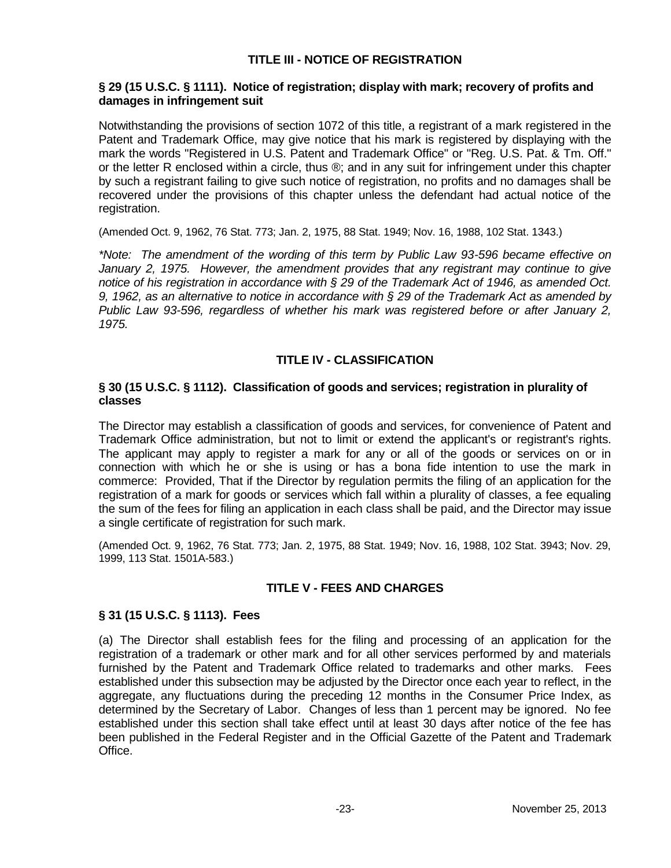# **TITLE III - NOTICE OF REGISTRATION**

#### <span id="page-22-1"></span><span id="page-22-0"></span>**§ 29 (15 U.S.C. § 1111). Notice of registration; display with mark; recovery of profits and damages in infringement suit**

Notwithstanding the provisions of section 1072 of this title, a registrant of a mark registered in the Patent and Trademark Office, may give notice that his mark is registered by displaying with the mark the words "Registered in U.S. Patent and Trademark Office" or "Reg. U.S. Pat. & Tm. Off." or the letter R enclosed within a circle, thus ®; and in any suit for infringement under this chapter by such a registrant failing to give such notice of registration, no profits and no damages shall be recovered under the provisions of this chapter unless the defendant had actual notice of the registration.

(Amended Oct. 9, 1962, 76 Stat. 773; Jan. 2, 1975, 88 Stat. 1949; Nov. 16, 1988, 102 Stat. 1343.)

*\*Note: The amendment of the wording of this term by Public Law 93-596 became effective on January 2, 1975. However, the amendment provides that any registrant may continue to give notice of his registration in accordance with § 29 of the Trademark Act of 1946, as amended Oct. 9, 1962, as an alternative to notice in accordance with § 29 of the Trademark Act as amended by Public Law 93-596, regardless of whether his mark was registered before or after January 2, 1975.*

#### **TITLE IV - CLASSIFICATION**

#### <span id="page-22-3"></span><span id="page-22-2"></span>**§ 30 (15 U.S.C. § 1112). Classification of goods and services; registration in plurality of classes**

The Director may establish a classification of goods and services, for convenience of Patent and Trademark Office administration, but not to limit or extend the applicant's or registrant's rights. The applicant may apply to register a mark for any or all of the goods or services on or in connection with which he or she is using or has a bona fide intention to use the mark in commerce: Provided, That if the Director by regulation permits the filing of an application for the registration of a mark for goods or services which fall within a plurality of classes, a fee equaling the sum of the fees for filing an application in each class shall be paid, and the Director may issue a single certificate of registration for such mark.

(Amended Oct. 9, 1962, 76 Stat. 773; Jan. 2, 1975, 88 Stat. 1949; Nov. 16, 1988, 102 Stat. 3943; Nov. 29, 1999, 113 Stat. 1501A-583.)

# **TITLE V - FEES AND CHARGES**

#### <span id="page-22-5"></span><span id="page-22-4"></span>**§ 31 (15 U.S.C. § 1113). Fees**

(a) The Director shall establish fees for the filing and processing of an application for the registration of a trademark or other mark and for all other services performed by and materials furnished by the Patent and Trademark Office related to trademarks and other marks. Fees established under this subsection may be adjusted by the Director once each year to reflect, in the aggregate, any fluctuations during the preceding 12 months in the Consumer Price Index, as determined by the Secretary of Labor. Changes of less than 1 percent may be ignored. No fee established under this section shall take effect until at least 30 days after notice of the fee has been published in the Federal Register and in the Official Gazette of the Patent and Trademark Office.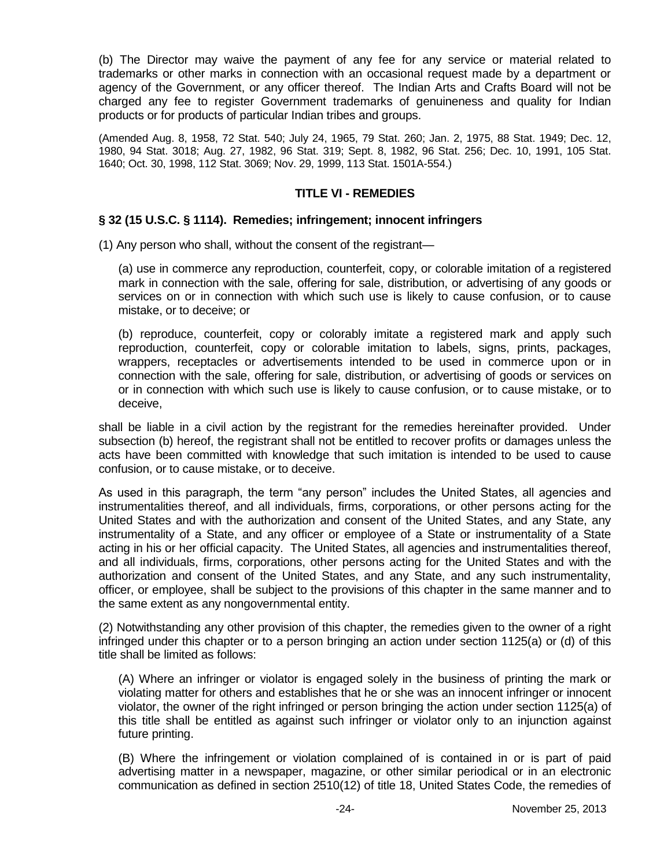(b) The Director may waive the payment of any fee for any service or material related to trademarks or other marks in connection with an occasional request made by a department or agency of the Government, or any officer thereof. The Indian Arts and Crafts Board will not be charged any fee to register Government trademarks of genuineness and quality for Indian products or for products of particular Indian tribes and groups.

(Amended Aug. 8, 1958, 72 Stat. 540; July 24, 1965, 79 Stat. 260; Jan. 2, 1975, 88 Stat. 1949; Dec. 12, 1980, 94 Stat. 3018; Aug. 27, 1982, 96 Stat. 319; Sept. 8, 1982, 96 Stat. 256; Dec. 10, 1991, 105 Stat. 1640; Oct. 30, 1998, 112 Stat. 3069; Nov. 29, 1999, 113 Stat. 1501A-554.)

#### **TITLE VI - REMEDIES**

#### <span id="page-23-1"></span><span id="page-23-0"></span>**§ 32 (15 U.S.C. § 1114). Remedies; infringement; innocent infringers**

(1) Any person who shall, without the consent of the registrant—

(a) use in commerce any reproduction, counterfeit, copy, or colorable imitation of a registered mark in connection with the sale, offering for sale, distribution, or advertising of any goods or services on or in connection with which such use is likely to cause confusion, or to cause mistake, or to deceive; or

(b) reproduce, counterfeit, copy or colorably imitate a registered mark and apply such reproduction, counterfeit, copy or colorable imitation to labels, signs, prints, packages, wrappers, receptacles or advertisements intended to be used in commerce upon or in connection with the sale, offering for sale, distribution, or advertising of goods or services on or in connection with which such use is likely to cause confusion, or to cause mistake, or to deceive,

shall be liable in a civil action by the registrant for the remedies hereinafter provided. Under subsection (b) hereof, the registrant shall not be entitled to recover profits or damages unless the acts have been committed with knowledge that such imitation is intended to be used to cause confusion, or to cause mistake, or to deceive.

As used in this paragraph, the term "any person" includes the United States, all agencies and instrumentalities thereof, and all individuals, firms, corporations, or other persons acting for the United States and with the authorization and consent of the United States, and any State, any instrumentality of a State, and any officer or employee of a State or instrumentality of a State acting in his or her official capacity. The United States, all agencies and instrumentalities thereof, and all individuals, firms, corporations, other persons acting for the United States and with the authorization and consent of the United States, and any State, and any such instrumentality, officer, or employee, shall be subject to the provisions of this chapter in the same manner and to the same extent as any nongovernmental entity.

(2) Notwithstanding any other provision of this chapter, the remedies given to the owner of a right infringed under this chapter or to a person bringing an action under section 1125(a) or (d) of this title shall be limited as follows:

(A) Where an infringer or violator is engaged solely in the business of printing the mark or violating matter for others and establishes that he or she was an innocent infringer or innocent violator, the owner of the right infringed or person bringing the action under section 1125(a) of this title shall be entitled as against such infringer or violator only to an injunction against future printing.

(B) Where the infringement or violation complained of is contained in or is part of paid advertising matter in a newspaper, magazine, or other similar periodical or in an electronic communication as defined in section 2510(12) of title 18, United States Code, the remedies of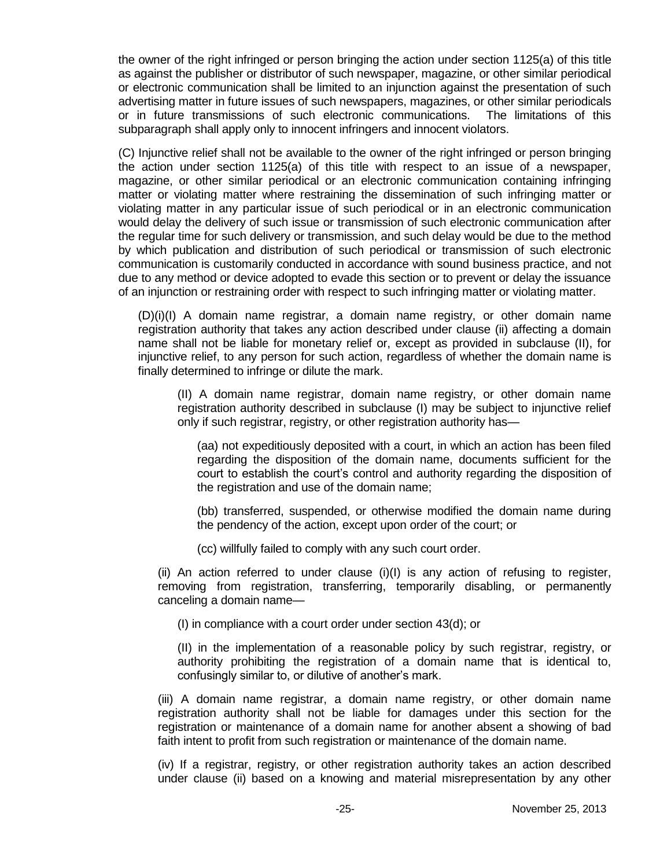the owner of the right infringed or person bringing the action under section 1125(a) of this title as against the publisher or distributor of such newspaper, magazine, or other similar periodical or electronic communication shall be limited to an injunction against the presentation of such advertising matter in future issues of such newspapers, magazines, or other similar periodicals or in future transmissions of such electronic communications. The limitations of this subparagraph shall apply only to innocent infringers and innocent violators.

(C) Injunctive relief shall not be available to the owner of the right infringed or person bringing the action under section 1125(a) of this title with respect to an issue of a newspaper, magazine, or other similar periodical or an electronic communication containing infringing matter or violating matter where restraining the dissemination of such infringing matter or violating matter in any particular issue of such periodical or in an electronic communication would delay the delivery of such issue or transmission of such electronic communication after the regular time for such delivery or transmission, and such delay would be due to the method by which publication and distribution of such periodical or transmission of such electronic communication is customarily conducted in accordance with sound business practice, and not due to any method or device adopted to evade this section or to prevent or delay the issuance of an injunction or restraining order with respect to such infringing matter or violating matter.

(D)(i)(I) A domain name registrar, a domain name registry, or other domain name registration authority that takes any action described under clause (ii) affecting a domain name shall not be liable for monetary relief or, except as provided in subclause (II), for injunctive relief, to any person for such action, regardless of whether the domain name is finally determined to infringe or dilute the mark.

(II) A domain name registrar, domain name registry, or other domain name registration authority described in subclause (I) may be subject to injunctive relief only if such registrar, registry, or other registration authority has—

(aa) not expeditiously deposited with a court, in which an action has been filed regarding the disposition of the domain name, documents sufficient for the court to establish the court's control and authority regarding the disposition of the registration and use of the domain name;

(bb) transferred, suspended, or otherwise modified the domain name during the pendency of the action, except upon order of the court; or

(cc) willfully failed to comply with any such court order.

(ii) An action referred to under clause  $(i)(1)$  is any action of refusing to register, removing from registration, transferring, temporarily disabling, or permanently canceling a domain name—

(I) in compliance with a court order under section 43(d); or

(II) in the implementation of a reasonable policy by such registrar, registry, or authority prohibiting the registration of a domain name that is identical to, confusingly similar to, or dilutive of another's mark.

(iii) A domain name registrar, a domain name registry, or other domain name registration authority shall not be liable for damages under this section for the registration or maintenance of a domain name for another absent a showing of bad faith intent to profit from such registration or maintenance of the domain name.

(iv) If a registrar, registry, or other registration authority takes an action described under clause (ii) based on a knowing and material misrepresentation by any other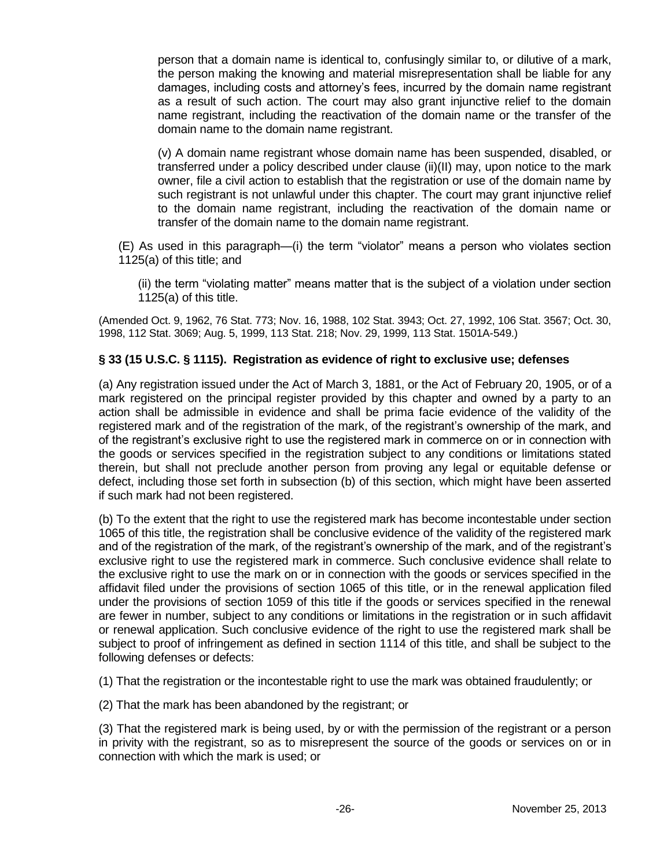person that a domain name is identical to, confusingly similar to, or dilutive of a mark, the person making the knowing and material misrepresentation shall be liable for any damages, including costs and attorney's fees, incurred by the domain name registrant as a result of such action. The court may also grant injunctive relief to the domain name registrant, including the reactivation of the domain name or the transfer of the domain name to the domain name registrant.

(v) A domain name registrant whose domain name has been suspended, disabled, or transferred under a policy described under clause (ii)(II) may, upon notice to the mark owner, file a civil action to establish that the registration or use of the domain name by such registrant is not unlawful under this chapter. The court may grant injunctive relief to the domain name registrant, including the reactivation of the domain name or transfer of the domain name to the domain name registrant.

(E) As used in this paragraph—(i) the term "violator" means a person who violates section 1125(a) of this title; and

(ii) the term "violating matter" means matter that is the subject of a violation under section 1125(a) of this title.

(Amended Oct. 9, 1962, 76 Stat. 773; Nov. 16, 1988, 102 Stat. 3943; Oct. 27, 1992, 106 Stat. 3567; Oct. 30, 1998, 112 Stat. 3069; Aug. 5, 1999, 113 Stat. 218; Nov. 29, 1999, 113 Stat. 1501A-549.)

# <span id="page-25-0"></span>**§ 33 (15 U.S.C. § 1115). Registration as evidence of right to exclusive use; defenses**

(a) Any registration issued under the Act of March 3, 1881, or the Act of February 20, 1905, or of a mark registered on the principal register provided by this chapter and owned by a party to an action shall be admissible in evidence and shall be prima facie evidence of the validity of the registered mark and of the registration of the mark, of the registrant's ownership of the mark, and of the registrant's exclusive right to use the registered mark in commerce on or in connection with the goods or services specified in the registration subject to any conditions or limitations stated therein, but shall not preclude another person from proving any legal or equitable defense or defect, including those set forth in subsection (b) of this section, which might have been asserted if such mark had not been registered.

(b) To the extent that the right to use the registered mark has become incontestable under section 1065 of this title, the registration shall be conclusive evidence of the validity of the registered mark and of the registration of the mark, of the registrant's ownership of the mark, and of the registrant's exclusive right to use the registered mark in commerce. Such conclusive evidence shall relate to the exclusive right to use the mark on or in connection with the goods or services specified in the affidavit filed under the provisions of section 1065 of this title, or in the renewal application filed under the provisions of section 1059 of this title if the goods or services specified in the renewal are fewer in number, subject to any conditions or limitations in the registration or in such affidavit or renewal application. Such conclusive evidence of the right to use the registered mark shall be subject to proof of infringement as defined in section 1114 of this title, and shall be subject to the following defenses or defects:

(1) That the registration or the incontestable right to use the mark was obtained fraudulently; or

(2) That the mark has been abandoned by the registrant; or

(3) That the registered mark is being used, by or with the permission of the registrant or a person in privity with the registrant, so as to misrepresent the source of the goods or services on or in connection with which the mark is used; or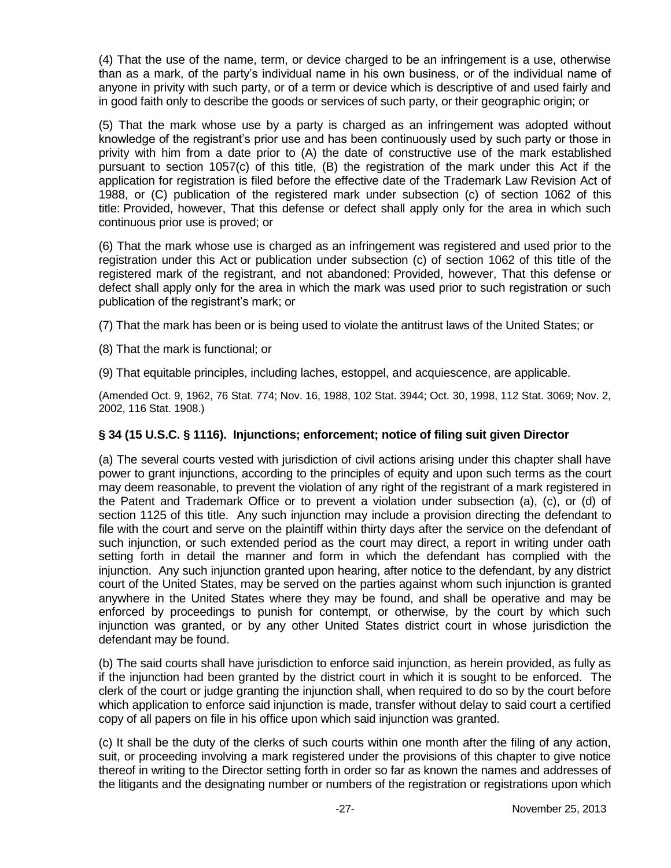(4) That the use of the name, term, or device charged to be an infringement is a use, otherwise than as a mark, of the party's individual name in his own business, or of the individual name of anyone in privity with such party, or of a term or device which is descriptive of and used fairly and in good faith only to describe the goods or services of such party, or their geographic origin; or

(5) That the mark whose use by a party is charged as an infringement was adopted without knowledge of the registrant's prior use and has been continuously used by such party or those in privity with him from a date prior to (A) the date of constructive use of the mark established pursuant to section 1057(c) of this title, (B) the registration of the mark under this Act if the application for registration is filed before the effective date of the Trademark Law Revision Act of 1988, or (C) publication of the registered mark under subsection (c) of section 1062 of this title: Provided, however, That this defense or defect shall apply only for the area in which such continuous prior use is proved; or

(6) That the mark whose use is charged as an infringement was registered and used prior to the registration under this Act or publication under subsection (c) of section 1062 of this title of the registered mark of the registrant, and not abandoned: Provided, however, That this defense or defect shall apply only for the area in which the mark was used prior to such registration or such publication of the registrant's mark; or

(7) That the mark has been or is being used to violate the antitrust laws of the United States; or

- (8) That the mark is functional; or
- (9) That equitable principles, including laches, estoppel, and acquiescence, are applicable.

(Amended Oct. 9, 1962, 76 Stat. 774; Nov. 16, 1988, 102 Stat. 3944; Oct. 30, 1998, 112 Stat. 3069; Nov. 2, 2002, 116 Stat. 1908.)

#### <span id="page-26-0"></span>**§ 34 (15 U.S.C. § 1116). Injunctions; enforcement; notice of filing suit given Director**

(a) The several courts vested with jurisdiction of civil actions arising under this chapter shall have power to grant injunctions, according to the principles of equity and upon such terms as the court may deem reasonable, to prevent the violation of any right of the registrant of a mark registered in the Patent and Trademark Office or to prevent a violation under subsection (a), (c), or (d) of section 1125 of this title. Any such injunction may include a provision directing the defendant to file with the court and serve on the plaintiff within thirty days after the service on the defendant of such injunction, or such extended period as the court may direct, a report in writing under oath setting forth in detail the manner and form in which the defendant has complied with the injunction. Any such injunction granted upon hearing, after notice to the defendant, by any district court of the United States, may be served on the parties against whom such injunction is granted anywhere in the United States where they may be found, and shall be operative and may be enforced by proceedings to punish for contempt, or otherwise, by the court by which such injunction was granted, or by any other United States district court in whose jurisdiction the defendant may be found.

(b) The said courts shall have jurisdiction to enforce said injunction, as herein provided, as fully as if the injunction had been granted by the district court in which it is sought to be enforced. The clerk of the court or judge granting the injunction shall, when required to do so by the court before which application to enforce said injunction is made, transfer without delay to said court a certified copy of all papers on file in his office upon which said injunction was granted.

(c) It shall be the duty of the clerks of such courts within one month after the filing of any action, suit, or proceeding involving a mark registered under the provisions of this chapter to give notice thereof in writing to the Director setting forth in order so far as known the names and addresses of the litigants and the designating number or numbers of the registration or registrations upon which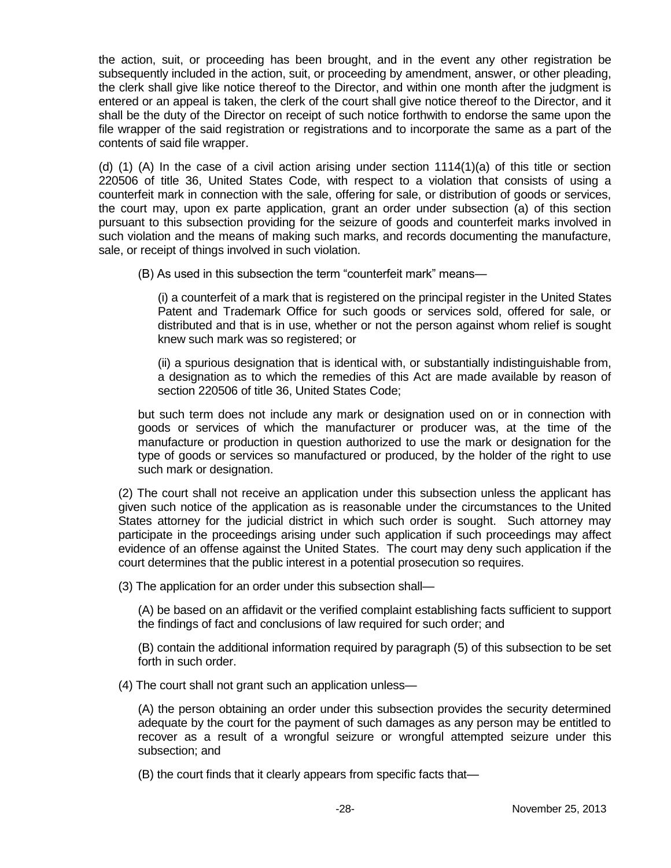the action, suit, or proceeding has been brought, and in the event any other registration be subsequently included in the action, suit, or proceeding by amendment, answer, or other pleading, the clerk shall give like notice thereof to the Director, and within one month after the judgment is entered or an appeal is taken, the clerk of the court shall give notice thereof to the Director, and it shall be the duty of the Director on receipt of such notice forthwith to endorse the same upon the file wrapper of the said registration or registrations and to incorporate the same as a part of the contents of said file wrapper.

(d) (1) (A) In the case of a civil action arising under section  $1114(1)(a)$  of this title or section 220506 of title 36, United States Code, with respect to a violation that consists of using a counterfeit mark in connection with the sale, offering for sale, or distribution of goods or services, the court may, upon ex parte application, grant an order under subsection (a) of this section pursuant to this subsection providing for the seizure of goods and counterfeit marks involved in such violation and the means of making such marks, and records documenting the manufacture, sale, or receipt of things involved in such violation.

(B) As used in this subsection the term "counterfeit mark" means—

(i) a counterfeit of a mark that is registered on the principal register in the United States Patent and Trademark Office for such goods or services sold, offered for sale, or distributed and that is in use, whether or not the person against whom relief is sought knew such mark was so registered; or

(ii) a spurious designation that is identical with, or substantially indistinguishable from, a designation as to which the remedies of this Act are made available by reason of section 220506 of title 36, United States Code;

but such term does not include any mark or designation used on or in connection with goods or services of which the manufacturer or producer was, at the time of the manufacture or production in question authorized to use the mark or designation for the type of goods or services so manufactured or produced, by the holder of the right to use such mark or designation.

(2) The court shall not receive an application under this subsection unless the applicant has given such notice of the application as is reasonable under the circumstances to the United States attorney for the judicial district in which such order is sought. Such attorney may participate in the proceedings arising under such application if such proceedings may affect evidence of an offense against the United States. The court may deny such application if the court determines that the public interest in a potential prosecution so requires.

(3) The application for an order under this subsection shall—

(A) be based on an affidavit or the verified complaint establishing facts sufficient to support the findings of fact and conclusions of law required for such order; and

(B) contain the additional information required by paragraph (5) of this subsection to be set forth in such order.

(4) The court shall not grant such an application unless—

(A) the person obtaining an order under this subsection provides the security determined adequate by the court for the payment of such damages as any person may be entitled to recover as a result of a wrongful seizure or wrongful attempted seizure under this subsection; and

(B) the court finds that it clearly appears from specific facts that—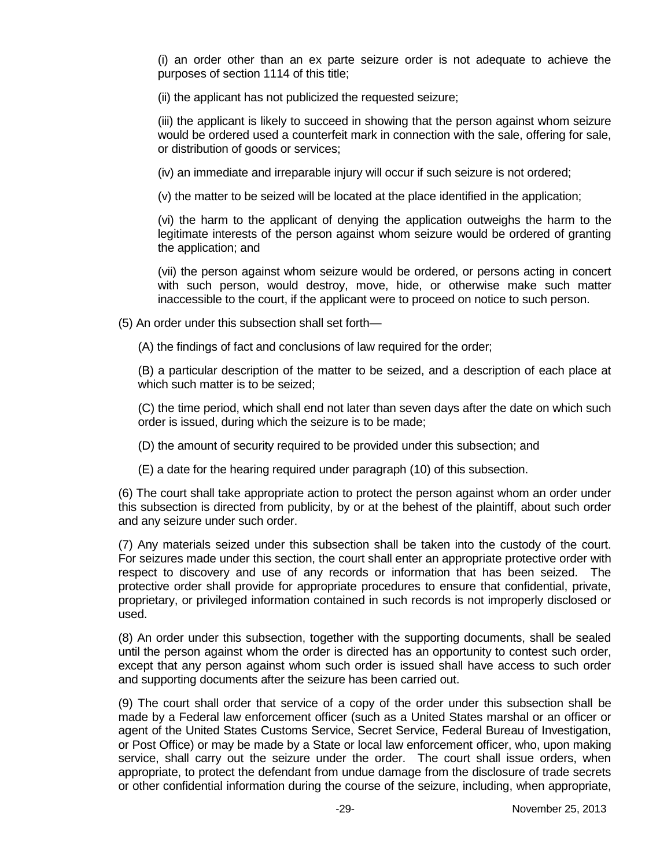(i) an order other than an ex parte seizure order is not adequate to achieve the purposes of section 1114 of this title;

(ii) the applicant has not publicized the requested seizure;

(iii) the applicant is likely to succeed in showing that the person against whom seizure would be ordered used a counterfeit mark in connection with the sale, offering for sale, or distribution of goods or services;

(iv) an immediate and irreparable injury will occur if such seizure is not ordered;

(v) the matter to be seized will be located at the place identified in the application;

(vi) the harm to the applicant of denying the application outweighs the harm to the legitimate interests of the person against whom seizure would be ordered of granting the application; and

(vii) the person against whom seizure would be ordered, or persons acting in concert with such person, would destroy, move, hide, or otherwise make such matter inaccessible to the court, if the applicant were to proceed on notice to such person.

(5) An order under this subsection shall set forth—

(A) the findings of fact and conclusions of law required for the order;

(B) a particular description of the matter to be seized, and a description of each place at which such matter is to be seized;

(C) the time period, which shall end not later than seven days after the date on which such order is issued, during which the seizure is to be made;

(D) the amount of security required to be provided under this subsection; and

(E) a date for the hearing required under paragraph (10) of this subsection.

(6) The court shall take appropriate action to protect the person against whom an order under this subsection is directed from publicity, by or at the behest of the plaintiff, about such order and any seizure under such order.

(7) Any materials seized under this subsection shall be taken into the custody of the court. For seizures made under this section, the court shall enter an appropriate protective order with respect to discovery and use of any records or information that has been seized. The protective order shall provide for appropriate procedures to ensure that confidential, private, proprietary, or privileged information contained in such records is not improperly disclosed or used.

(8) An order under this subsection, together with the supporting documents, shall be sealed until the person against whom the order is directed has an opportunity to contest such order, except that any person against whom such order is issued shall have access to such order and supporting documents after the seizure has been carried out.

(9) The court shall order that service of a copy of the order under this subsection shall be made by a Federal law enforcement officer (such as a United States marshal or an officer or agent of the United States Customs Service, Secret Service, Federal Bureau of Investigation, or Post Office) or may be made by a State or local law enforcement officer, who, upon making service, shall carry out the seizure under the order. The court shall issue orders, when appropriate, to protect the defendant from undue damage from the disclosure of trade secrets or other confidential information during the course of the seizure, including, when appropriate,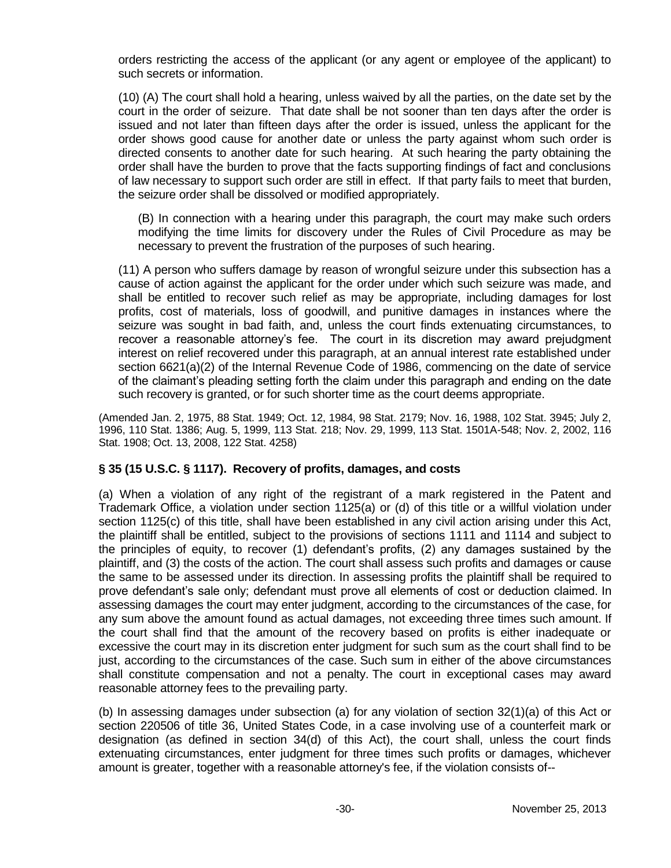orders restricting the access of the applicant (or any agent or employee of the applicant) to such secrets or information.

(10) (A) The court shall hold a hearing, unless waived by all the parties, on the date set by the court in the order of seizure. That date shall be not sooner than ten days after the order is issued and not later than fifteen days after the order is issued, unless the applicant for the order shows good cause for another date or unless the party against whom such order is directed consents to another date for such hearing. At such hearing the party obtaining the order shall have the burden to prove that the facts supporting findings of fact and conclusions of law necessary to support such order are still in effect. If that party fails to meet that burden, the seizure order shall be dissolved or modified appropriately.

(B) In connection with a hearing under this paragraph, the court may make such orders modifying the time limits for discovery under the Rules of Civil Procedure as may be necessary to prevent the frustration of the purposes of such hearing.

(11) A person who suffers damage by reason of wrongful seizure under this subsection has a cause of action against the applicant for the order under which such seizure was made, and shall be entitled to recover such relief as may be appropriate, including damages for lost profits, cost of materials, loss of goodwill, and punitive damages in instances where the seizure was sought in bad faith, and, unless the court finds extenuating circumstances, to recover a reasonable attorney's fee. The court in its discretion may award prejudgment interest on relief recovered under this paragraph, at an annual interest rate established under section 6621(a)(2) of the Internal Revenue Code of 1986, commencing on the date of service of the claimant's pleading setting forth the claim under this paragraph and ending on the date such recovery is granted, or for such shorter time as the court deems appropriate.

(Amended Jan. 2, 1975, 88 Stat. 1949; Oct. 12, 1984, 98 Stat. 2179; Nov. 16, 1988, 102 Stat. 3945; July 2, 1996, 110 Stat. 1386; Aug. 5, 1999, 113 Stat. 218; Nov. 29, 1999, 113 Stat. 1501A-548; Nov. 2, 2002, 116 Stat. 1908; Oct. 13, 2008, 122 Stat. 4258)

# <span id="page-29-0"></span>**§ 35 (15 U.S.C. § 1117). Recovery of profits, damages, and costs**

(a) When a violation of any right of the registrant of a mark registered in the Patent and Trademark Office, a violation under section 1125(a) or (d) of this title or a willful violation under section 1125(c) of this title, shall have been established in any civil action arising under this Act, the plaintiff shall be entitled, subject to the provisions of sections 1111 and 1114 and subject to the principles of equity, to recover (1) defendant's profits, (2) any damages sustained by the plaintiff, and (3) the costs of the action. The court shall assess such profits and damages or cause the same to be assessed under its direction. In assessing profits the plaintiff shall be required to prove defendant's sale only; defendant must prove all elements of cost or deduction claimed. In assessing damages the court may enter judgment, according to the circumstances of the case, for any sum above the amount found as actual damages, not exceeding three times such amount. If the court shall find that the amount of the recovery based on profits is either inadequate or excessive the court may in its discretion enter judgment for such sum as the court shall find to be just, according to the circumstances of the case. Such sum in either of the above circumstances shall constitute compensation and not a penalty. The court in exceptional cases may award reasonable attorney fees to the prevailing party.

(b) In assessing damages under subsection (a) for any violation of section 32(1)(a) of this Act or section 220506 of title 36, United States Code, in a case involving use of a counterfeit mark or designation (as defined in section 34(d) of this Act), the court shall, unless the court finds extenuating circumstances, enter judgment for three times such profits or damages, whichever amount is greater, together with a reasonable attorney's fee, if the violation consists of--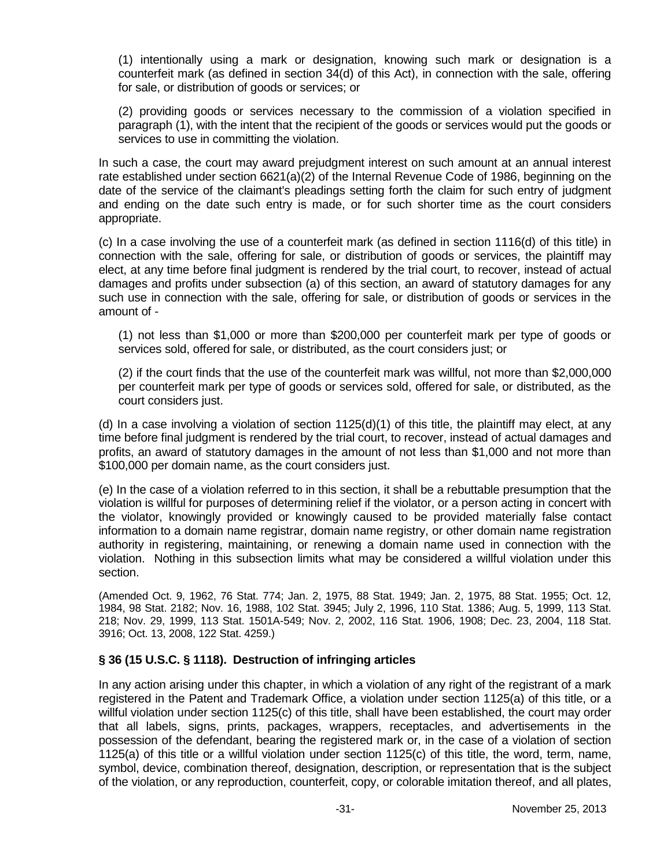(1) intentionally using a mark or designation, knowing such mark or designation is a counterfeit mark (as defined in section 34(d) of this Act), in connection with the sale, offering for sale, or distribution of goods or services; or

(2) providing goods or services necessary to the commission of a violation specified in paragraph (1), with the intent that the recipient of the goods or services would put the goods or services to use in committing the violation.

In such a case, the court may award prejudgment interest on such amount at an annual interest rate established under section 6621(a)(2) of the Internal Revenue Code of 1986, beginning on the date of the service of the claimant's pleadings setting forth the claim for such entry of judgment and ending on the date such entry is made, or for such shorter time as the court considers appropriate.

(c) In a case involving the use of a counterfeit mark (as defined in section 1116(d) of this title) in connection with the sale, offering for sale, or distribution of goods or services, the plaintiff may elect, at any time before final judgment is rendered by the trial court, to recover, instead of actual damages and profits under subsection (a) of this section, an award of statutory damages for any such use in connection with the sale, offering for sale, or distribution of goods or services in the amount of -

(1) not less than \$1,000 or more than \$200,000 per counterfeit mark per type of goods or services sold, offered for sale, or distributed, as the court considers just; or

(2) if the court finds that the use of the counterfeit mark was willful, not more than \$2,000,000 per counterfeit mark per type of goods or services sold, offered for sale, or distributed, as the court considers just.

(d) In a case involving a violation of section  $1125(d)(1)$  of this title, the plaintiff may elect, at any time before final judgment is rendered by the trial court, to recover, instead of actual damages and profits, an award of statutory damages in the amount of not less than \$1,000 and not more than \$100,000 per domain name, as the court considers just.

(e) In the case of a violation referred to in this section, it shall be a rebuttable presumption that the violation is willful for purposes of determining relief if the violator, or a person acting in concert with the violator, knowingly provided or knowingly caused to be provided materially false contact information to a domain name registrar, domain name registry, or other domain name registration authority in registering, maintaining, or renewing a domain name used in connection with the violation. Nothing in this subsection limits what may be considered a willful violation under this section.

(Amended Oct. 9, 1962, 76 Stat. 774; Jan. 2, 1975, 88 Stat. 1949; Jan. 2, 1975, 88 Stat. 1955; Oct. 12, 1984, 98 Stat. 2182; Nov. 16, 1988, 102 Stat. 3945; July 2, 1996, 110 Stat. 1386; Aug. 5, 1999, 113 Stat. 218; Nov. 29, 1999, 113 Stat. 1501A-549; Nov. 2, 2002, 116 Stat. 1906, 1908; Dec. 23, 2004, 118 Stat. 3916; Oct. 13, 2008, 122 Stat. 4259.)

# <span id="page-30-0"></span>**§ 36 (15 U.S.C. § 1118). Destruction of infringing articles**

In any action arising under this chapter, in which a violation of any right of the registrant of a mark registered in the Patent and Trademark Office, a violation under section 1125(a) of this title, or a willful violation under section 1125(c) of this title, shall have been established, the court may order that all labels, signs, prints, packages, wrappers, receptacles, and advertisements in the possession of the defendant, bearing the registered mark or, in the case of a violation of section 1125(a) of this title or a willful violation under section 1125(c) of this title, the word, term, name, symbol, device, combination thereof, designation, description, or representation that is the subject of the violation, or any reproduction, counterfeit, copy, or colorable imitation thereof, and all plates,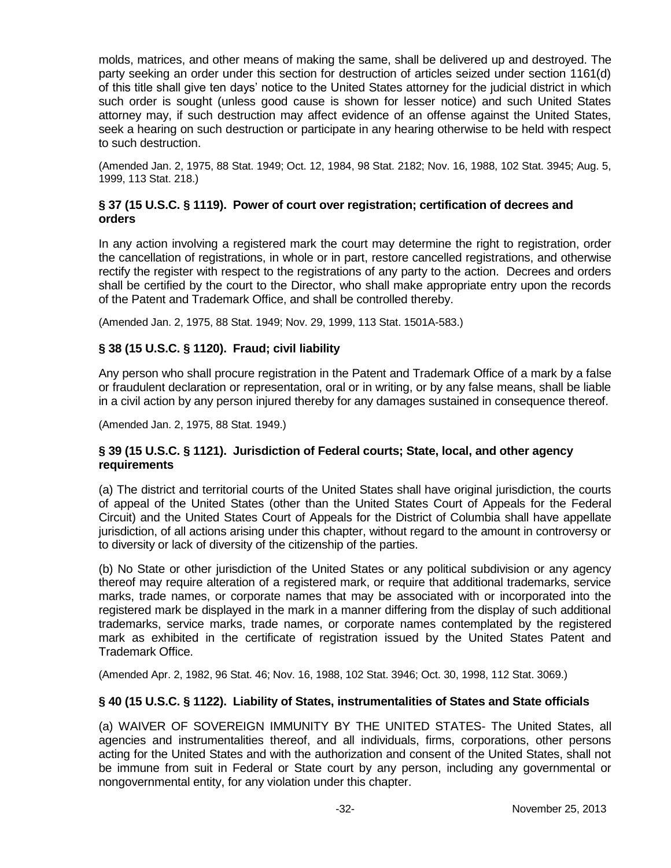molds, matrices, and other means of making the same, shall be delivered up and destroyed. The party seeking an order under this section for destruction of articles seized under section 1161(d) of this title shall give ten days' notice to the United States attorney for the judicial district in which such order is sought (unless good cause is shown for lesser notice) and such United States attorney may, if such destruction may affect evidence of an offense against the United States, seek a hearing on such destruction or participate in any hearing otherwise to be held with respect to such destruction.

(Amended Jan. 2, 1975, 88 Stat. 1949; Oct. 12, 1984, 98 Stat. 2182; Nov. 16, 1988, 102 Stat. 3945; Aug. 5, 1999, 113 Stat. 218.)

#### <span id="page-31-0"></span>**§ 37 (15 U.S.C. § 1119). Power of court over registration; certification of decrees and orders**

In any action involving a registered mark the court may determine the right to registration, order the cancellation of registrations, in whole or in part, restore cancelled registrations, and otherwise rectify the register with respect to the registrations of any party to the action. Decrees and orders shall be certified by the court to the Director, who shall make appropriate entry upon the records of the Patent and Trademark Office, and shall be controlled thereby.

(Amended Jan. 2, 1975, 88 Stat. 1949; Nov. 29, 1999, 113 Stat. 1501A-583.)

# <span id="page-31-1"></span>**§ 38 (15 U.S.C. § 1120). Fraud; civil liability**

Any person who shall procure registration in the Patent and Trademark Office of a mark by a false or fraudulent declaration or representation, oral or in writing, or by any false means, shall be liable in a civil action by any person injured thereby for any damages sustained in consequence thereof.

(Amended Jan. 2, 1975, 88 Stat. 1949.)

#### <span id="page-31-2"></span>**§ 39 (15 U.S.C. § 1121). Jurisdiction of Federal courts; State, local, and other agency requirements**

(a) The district and territorial courts of the United States shall have original jurisdiction, the courts of appeal of the United States (other than the United States Court of Appeals for the Federal Circuit) and the United States Court of Appeals for the District of Columbia shall have appellate jurisdiction, of all actions arising under this chapter, without regard to the amount in controversy or to diversity or lack of diversity of the citizenship of the parties.

(b) No State or other jurisdiction of the United States or any political subdivision or any agency thereof may require alteration of a registered mark, or require that additional trademarks, service marks, trade names, or corporate names that may be associated with or incorporated into the registered mark be displayed in the mark in a manner differing from the display of such additional trademarks, service marks, trade names, or corporate names contemplated by the registered mark as exhibited in the certificate of registration issued by the United States Patent and Trademark Office.

(Amended Apr. 2, 1982, 96 Stat. 46; Nov. 16, 1988, 102 Stat. 3946; Oct. 30, 1998, 112 Stat. 3069.)

#### <span id="page-31-3"></span>**§ 40 (15 U.S.C. § 1122). Liability of States, instrumentalities of States and State officials**

(a) WAIVER OF SOVEREIGN IMMUNITY BY THE UNITED STATES- The United States, all agencies and instrumentalities thereof, and all individuals, firms, corporations, other persons acting for the United States and with the authorization and consent of the United States, shall not be immune from suit in Federal or State court by any person, including any governmental or nongovernmental entity, for any violation under this chapter.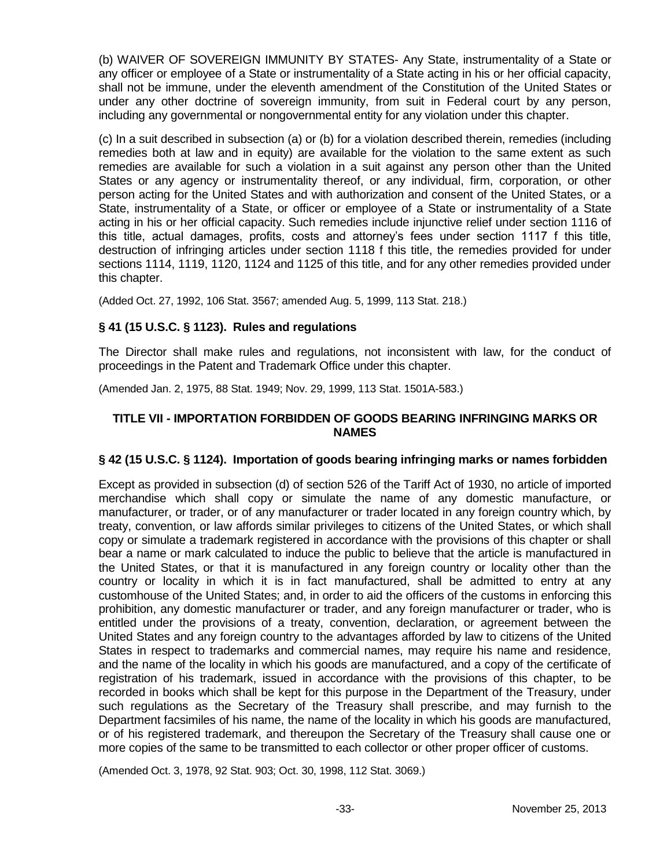(b) WAIVER OF SOVEREIGN IMMUNITY BY STATES- Any State, instrumentality of a State or any officer or employee of a State or instrumentality of a State acting in his or her official capacity, shall not be immune, under the eleventh amendment of the Constitution of the United States or under any other doctrine of sovereign immunity, from suit in Federal court by any person, including any governmental or nongovernmental entity for any violation under this chapter.

(c) In a suit described in subsection (a) or (b) for a violation described therein, remedies (including remedies both at law and in equity) are available for the violation to the same extent as such remedies are available for such a violation in a suit against any person other than the United States or any agency or instrumentality thereof, or any individual, firm, corporation, or other person acting for the United States and with authorization and consent of the United States, or a State, instrumentality of a State, or officer or employee of a State or instrumentality of a State acting in his or her official capacity. Such remedies include injunctive relief under section 1116 of this title, actual damages, profits, costs and attorney's fees under section 1117 f this title, destruction of infringing articles under section 1118 f this title, the remedies provided for under sections 1114, 1119, 1120, 1124 and 1125 of this title, and for any other remedies provided under this chapter.

(Added Oct. 27, 1992, 106 Stat. 3567; amended Aug. 5, 1999, 113 Stat. 218.)

#### <span id="page-32-0"></span>**§ 41 (15 U.S.C. § 1123). Rules and regulations**

The Director shall make rules and regulations, not inconsistent with law, for the conduct of proceedings in the Patent and Trademark Office under this chapter.

<span id="page-32-1"></span>(Amended Jan. 2, 1975, 88 Stat. 1949; Nov. 29, 1999, 113 Stat. 1501A-583.)

#### **TITLE VII - IMPORTATION FORBIDDEN OF GOODS BEARING INFRINGING MARKS OR NAMES**

#### <span id="page-32-2"></span>**§ 42 (15 U.S.C. § 1124). Importation of goods bearing infringing marks or names forbidden**

Except as provided in subsection (d) of section 526 of the Tariff Act of 1930, no article of imported merchandise which shall copy or simulate the name of any domestic manufacture, or manufacturer, or trader, or of any manufacturer or trader located in any foreign country which, by treaty, convention, or law affords similar privileges to citizens of the United States, or which shall copy or simulate a trademark registered in accordance with the provisions of this chapter or shall bear a name or mark calculated to induce the public to believe that the article is manufactured in the United States, or that it is manufactured in any foreign country or locality other than the country or locality in which it is in fact manufactured, shall be admitted to entry at any customhouse of the United States; and, in order to aid the officers of the customs in enforcing this prohibition, any domestic manufacturer or trader, and any foreign manufacturer or trader, who is entitled under the provisions of a treaty, convention, declaration, or agreement between the United States and any foreign country to the advantages afforded by law to citizens of the United States in respect to trademarks and commercial names, may require his name and residence, and the name of the locality in which his goods are manufactured, and a copy of the certificate of registration of his trademark, issued in accordance with the provisions of this chapter, to be recorded in books which shall be kept for this purpose in the Department of the Treasury, under such regulations as the Secretary of the Treasury shall prescribe, and may furnish to the Department facsimiles of his name, the name of the locality in which his goods are manufactured, or of his registered trademark, and thereupon the Secretary of the Treasury shall cause one or more copies of the same to be transmitted to each collector or other proper officer of customs.

(Amended Oct. 3, 1978, 92 Stat. 903; Oct. 30, 1998, 112 Stat. 3069.)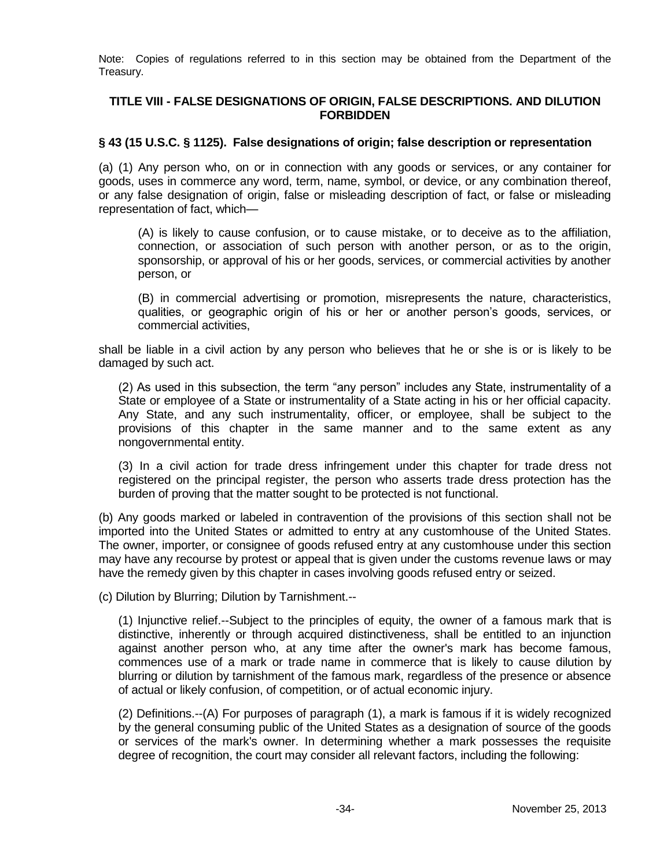Note: Copies of regulations referred to in this section may be obtained from the Department of the Treasury.

#### <span id="page-33-0"></span>**TITLE VIII - FALSE DESIGNATIONS OF ORIGIN, FALSE DESCRIPTIONS. AND DILUTION FORBIDDEN**

#### <span id="page-33-1"></span>**§ 43 (15 U.S.C. § 1125). False designations of origin; false description or representation**

(a) (1) Any person who, on or in connection with any goods or services, or any container for goods, uses in commerce any word, term, name, symbol, or device, or any combination thereof, or any false designation of origin, false or misleading description of fact, or false or misleading representation of fact, which—

(A) is likely to cause confusion, or to cause mistake, or to deceive as to the affiliation, connection, or association of such person with another person, or as to the origin, sponsorship, or approval of his or her goods, services, or commercial activities by another person, or

(B) in commercial advertising or promotion, misrepresents the nature, characteristics, qualities, or geographic origin of his or her or another person's goods, services, or commercial activities,

shall be liable in a civil action by any person who believes that he or she is or is likely to be damaged by such act.

(2) As used in this subsection, the term "any person" includes any State, instrumentality of a State or employee of a State or instrumentality of a State acting in his or her official capacity. Any State, and any such instrumentality, officer, or employee, shall be subject to the provisions of this chapter in the same manner and to the same extent as any nongovernmental entity.

(3) In a civil action for trade dress infringement under this chapter for trade dress not registered on the principal register, the person who asserts trade dress protection has the burden of proving that the matter sought to be protected is not functional.

(b) Any goods marked or labeled in contravention of the provisions of this section shall not be imported into the United States or admitted to entry at any customhouse of the United States. The owner, importer, or consignee of goods refused entry at any customhouse under this section may have any recourse by protest or appeal that is given under the customs revenue laws or may have the remedy given by this chapter in cases involving goods refused entry or seized.

(c) Dilution by Blurring; Dilution by Tarnishment.--

(1) Injunctive relief.--Subject to the principles of equity, the owner of a famous mark that is distinctive, inherently or through acquired distinctiveness, shall be entitled to an injunction against another person who, at any time after the owner's mark has become famous, commences use of a mark or trade name in commerce that is likely to cause dilution by blurring or dilution by tarnishment of the famous mark, regardless of the presence or absence of actual or likely confusion, of competition, or of actual economic injury.

(2) Definitions.--(A) For purposes of paragraph (1), a mark is famous if it is widely recognized by the general consuming public of the United States as a designation of source of the goods or services of the mark's owner. In determining whether a mark possesses the requisite degree of recognition, the court may consider all relevant factors, including the following: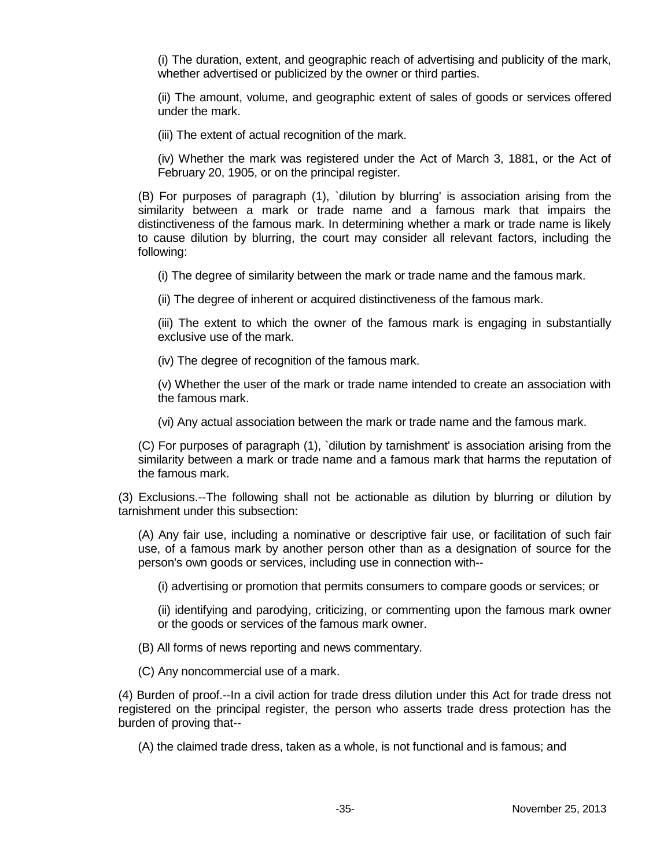(i) The duration, extent, and geographic reach of advertising and publicity of the mark, whether advertised or publicized by the owner or third parties.

(ii) The amount, volume, and geographic extent of sales of goods or services offered under the mark.

(iii) The extent of actual recognition of the mark.

(iv) Whether the mark was registered under the Act of March 3, 1881, or the Act of February 20, 1905, or on the principal register.

(B) For purposes of paragraph (1), `dilution by blurring' is association arising from the similarity between a mark or trade name and a famous mark that impairs the distinctiveness of the famous mark. In determining whether a mark or trade name is likely to cause dilution by blurring, the court may consider all relevant factors, including the following:

(i) The degree of similarity between the mark or trade name and the famous mark.

(ii) The degree of inherent or acquired distinctiveness of the famous mark.

(iii) The extent to which the owner of the famous mark is engaging in substantially exclusive use of the mark.

(iv) The degree of recognition of the famous mark.

(v) Whether the user of the mark or trade name intended to create an association with the famous mark.

(vi) Any actual association between the mark or trade name and the famous mark.

(C) For purposes of paragraph (1), `dilution by tarnishment' is association arising from the similarity between a mark or trade name and a famous mark that harms the reputation of the famous mark.

(3) Exclusions.--The following shall not be actionable as dilution by blurring or dilution by tarnishment under this subsection:

(A) Any fair use, including a nominative or descriptive fair use, or facilitation of such fair use, of a famous mark by another person other than as a designation of source for the person's own goods or services, including use in connection with--

(i) advertising or promotion that permits consumers to compare goods or services; or

(ii) identifying and parodying, criticizing, or commenting upon the famous mark owner or the goods or services of the famous mark owner.

(B) All forms of news reporting and news commentary.

(C) Any noncommercial use of a mark.

(4) Burden of proof.--In a civil action for trade dress dilution under this Act for trade dress not registered on the principal register, the person who asserts trade dress protection has the burden of proving that--

(A) the claimed trade dress, taken as a whole, is not functional and is famous; and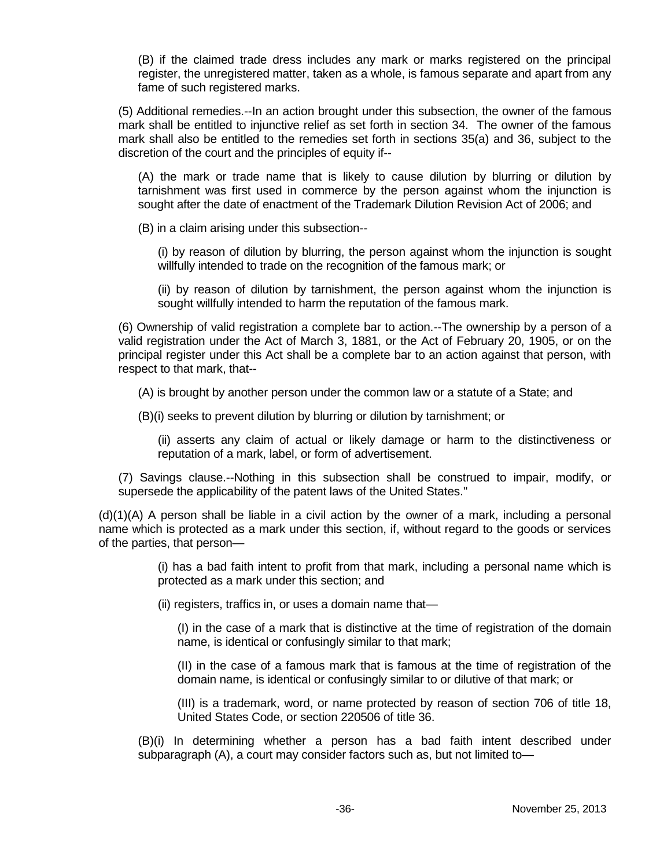(B) if the claimed trade dress includes any mark or marks registered on the principal register, the unregistered matter, taken as a whole, is famous separate and apart from any fame of such registered marks.

(5) Additional remedies.--In an action brought under this subsection, the owner of the famous mark shall be entitled to injunctive relief as set forth in section 34. The owner of the famous mark shall also be entitled to the remedies set forth in sections 35(a) and 36, subject to the discretion of the court and the principles of equity if--

(A) the mark or trade name that is likely to cause dilution by blurring or dilution by tarnishment was first used in commerce by the person against whom the injunction is sought after the date of enactment of the Trademark Dilution Revision Act of 2006; and

(B) in a claim arising under this subsection--

(i) by reason of dilution by blurring, the person against whom the injunction is sought willfully intended to trade on the recognition of the famous mark; or

(ii) by reason of dilution by tarnishment, the person against whom the injunction is sought willfully intended to harm the reputation of the famous mark.

(6) Ownership of valid registration a complete bar to action.--The ownership by a person of a valid registration under the Act of March 3, 1881, or the Act of February 20, 1905, or on the principal register under this Act shall be a complete bar to an action against that person, with respect to that mark, that--

(A) is brought by another person under the common law or a statute of a State; and

(B)(i) seeks to prevent dilution by blurring or dilution by tarnishment; or

(ii) asserts any claim of actual or likely damage or harm to the distinctiveness or reputation of a mark, label, or form of advertisement.

(7) Savings clause.--Nothing in this subsection shall be construed to impair, modify, or supersede the applicability of the patent laws of the United States.''

(d)(1)(A) A person shall be liable in a civil action by the owner of a mark, including a personal name which is protected as a mark under this section, if, without regard to the goods or services of the parties, that person—

> (i) has a bad faith intent to profit from that mark, including a personal name which is protected as a mark under this section; and

(ii) registers, traffics in, or uses a domain name that—

(I) in the case of a mark that is distinctive at the time of registration of the domain name, is identical or confusingly similar to that mark;

(II) in the case of a famous mark that is famous at the time of registration of the domain name, is identical or confusingly similar to or dilutive of that mark; or

(III) is a trademark, word, or name protected by reason of section 706 of title 18, United States Code, or section 220506 of title 36.

(B)(i) In determining whether a person has a bad faith intent described under subparagraph (A), a court may consider factors such as, but not limited to—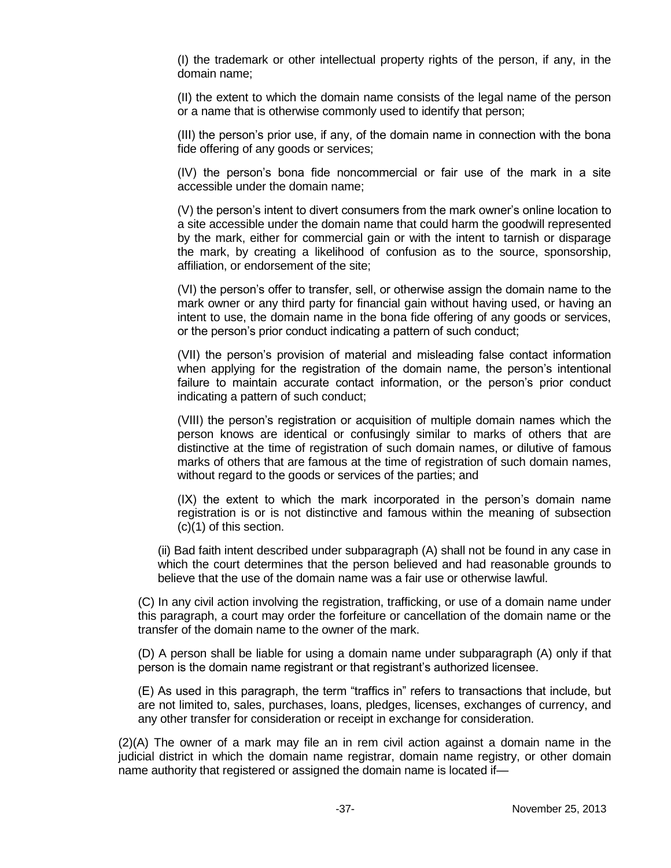(I) the trademark or other intellectual property rights of the person, if any, in the domain name;

(II) the extent to which the domain name consists of the legal name of the person or a name that is otherwise commonly used to identify that person;

(III) the person's prior use, if any, of the domain name in connection with the bona fide offering of any goods or services;

(IV) the person's bona fide noncommercial or fair use of the mark in a site accessible under the domain name;

(V) the person's intent to divert consumers from the mark owner's online location to a site accessible under the domain name that could harm the goodwill represented by the mark, either for commercial gain or with the intent to tarnish or disparage the mark, by creating a likelihood of confusion as to the source, sponsorship, affiliation, or endorsement of the site;

(VI) the person's offer to transfer, sell, or otherwise assign the domain name to the mark owner or any third party for financial gain without having used, or having an intent to use, the domain name in the bona fide offering of any goods or services, or the person's prior conduct indicating a pattern of such conduct;

(VII) the person's provision of material and misleading false contact information when applying for the registration of the domain name, the person's intentional failure to maintain accurate contact information, or the person's prior conduct indicating a pattern of such conduct;

(VIII) the person's registration or acquisition of multiple domain names which the person knows are identical or confusingly similar to marks of others that are distinctive at the time of registration of such domain names, or dilutive of famous marks of others that are famous at the time of registration of such domain names, without regard to the goods or services of the parties; and

(IX) the extent to which the mark incorporated in the person's domain name registration is or is not distinctive and famous within the meaning of subsection (c)(1) of this section.

(ii) Bad faith intent described under subparagraph (A) shall not be found in any case in which the court determines that the person believed and had reasonable grounds to believe that the use of the domain name was a fair use or otherwise lawful.

(C) In any civil action involving the registration, trafficking, or use of a domain name under this paragraph, a court may order the forfeiture or cancellation of the domain name or the transfer of the domain name to the owner of the mark.

(D) A person shall be liable for using a domain name under subparagraph (A) only if that person is the domain name registrant or that registrant's authorized licensee.

(E) As used in this paragraph, the term "traffics in" refers to transactions that include, but are not limited to, sales, purchases, loans, pledges, licenses, exchanges of currency, and any other transfer for consideration or receipt in exchange for consideration.

(2)(A) The owner of a mark may file an in rem civil action against a domain name in the judicial district in which the domain name registrar, domain name registry, or other domain name authority that registered or assigned the domain name is located if—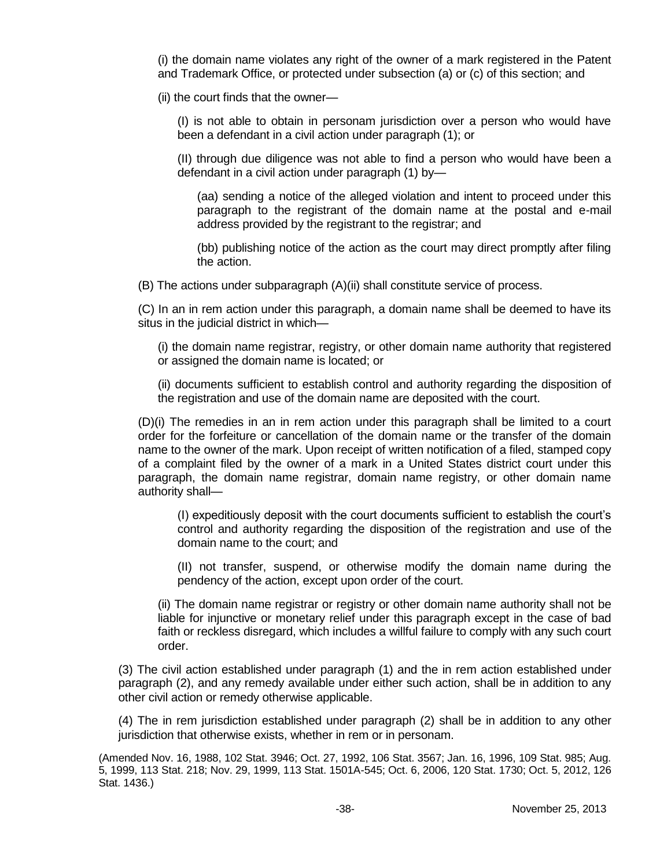(i) the domain name violates any right of the owner of a mark registered in the Patent and Trademark Office, or protected under subsection (a) or (c) of this section; and

(ii) the court finds that the owner—

(I) is not able to obtain in personam jurisdiction over a person who would have been a defendant in a civil action under paragraph (1); or

(II) through due diligence was not able to find a person who would have been a defendant in a civil action under paragraph (1) by—

(aa) sending a notice of the alleged violation and intent to proceed under this paragraph to the registrant of the domain name at the postal and e-mail address provided by the registrant to the registrar; and

(bb) publishing notice of the action as the court may direct promptly after filing the action.

(B) The actions under subparagraph (A)(ii) shall constitute service of process.

(C) In an in rem action under this paragraph, a domain name shall be deemed to have its situs in the judicial district in which—

(i) the domain name registrar, registry, or other domain name authority that registered or assigned the domain name is located; or

(ii) documents sufficient to establish control and authority regarding the disposition of the registration and use of the domain name are deposited with the court.

(D)(i) The remedies in an in rem action under this paragraph shall be limited to a court order for the forfeiture or cancellation of the domain name or the transfer of the domain name to the owner of the mark. Upon receipt of written notification of a filed, stamped copy of a complaint filed by the owner of a mark in a United States district court under this paragraph, the domain name registrar, domain name registry, or other domain name authority shall—

(I) expeditiously deposit with the court documents sufficient to establish the court's control and authority regarding the disposition of the registration and use of the domain name to the court; and

(II) not transfer, suspend, or otherwise modify the domain name during the pendency of the action, except upon order of the court.

(ii) The domain name registrar or registry or other domain name authority shall not be liable for injunctive or monetary relief under this paragraph except in the case of bad faith or reckless disregard, which includes a willful failure to comply with any such court order.

(3) The civil action established under paragraph (1) and the in rem action established under paragraph (2), and any remedy available under either such action, shall be in addition to any other civil action or remedy otherwise applicable.

(4) The in rem jurisdiction established under paragraph (2) shall be in addition to any other jurisdiction that otherwise exists, whether in rem or in personam.

(Amended Nov. 16, 1988, 102 Stat. 3946; Oct. 27, 1992, 106 Stat. 3567; Jan. 16, 1996, 109 Stat. 985; Aug. 5, 1999, 113 Stat. 218; Nov. 29, 1999, 113 Stat. 1501A-545; Oct. 6, 2006, 120 Stat. 1730; Oct. 5, 2012, 126 Stat. 1436.)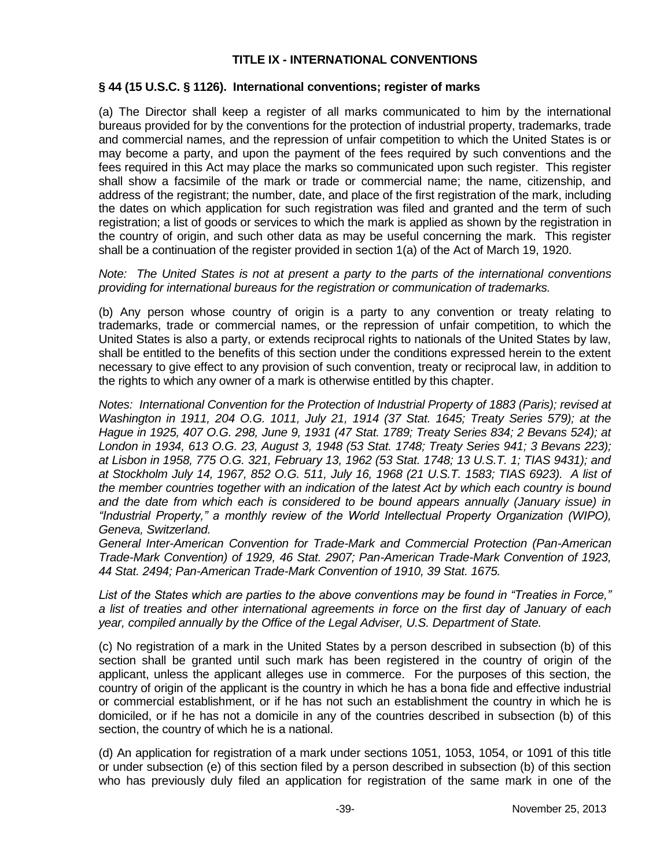# **TITLE IX - INTERNATIONAL CONVENTIONS**

# **§ 44 (15 U.S.C. § 1126). International conventions; register of marks**

(a) The Director shall keep a register of all marks communicated to him by the international bureaus provided for by the conventions for the protection of industrial property, trademarks, trade and commercial names, and the repression of unfair competition to which the United States is or may become a party, and upon the payment of the fees required by such conventions and the fees required in this Act may place the marks so communicated upon such register. This register shall show a facsimile of the mark or trade or commercial name; the name, citizenship, and address of the registrant; the number, date, and place of the first registration of the mark, including the dates on which application for such registration was filed and granted and the term of such registration; a list of goods or services to which the mark is applied as shown by the registration in the country of origin, and such other data as may be useful concerning the mark. This register shall be a continuation of the register provided in section 1(a) of the Act of March 19, 1920.

*Note: The United States is not at present a party to the parts of the international conventions providing for international bureaus for the registration or communication of trademarks.*

(b) Any person whose country of origin is a party to any convention or treaty relating to trademarks, trade or commercial names, or the repression of unfair competition, to which the United States is also a party, or extends reciprocal rights to nationals of the United States by law, shall be entitled to the benefits of this section under the conditions expressed herein to the extent necessary to give effect to any provision of such convention, treaty or reciprocal law, in addition to the rights to which any owner of a mark is otherwise entitled by this chapter.

*Notes: International Convention for the Protection of Industrial Property of 1883 (Paris); revised at Washington in 1911, 204 O.G. 1011, July 21, 1914 (37 Stat. 1645; Treaty Series 579); at the Hague in 1925, 407 O.G. 298, June 9, 1931 (47 Stat. 1789; Treaty Series 834; 2 Bevans 524); at London in 1934, 613 O.G. 23, August 3, 1948 (53 Stat. 1748; Treaty Series 941; 3 Bevans 223); at Lisbon in 1958, 775 O.G. 321, February 13, 1962 (53 Stat. 1748; 13 U.S.T. 1; TIAS 9431); and at Stockholm July 14, 1967, 852 O.G. 511, July 16, 1968 (21 U.S.T. 1583; TIAS 6923). A list of the member countries together with an indication of the latest Act by which each country is bound and the date from which each is considered to be bound appears annually (January issue) in "Industrial Property," a monthly review of the World Intellectual Property Organization (WIPO), Geneva, Switzerland.*

*General Inter-American Convention for Trade-Mark and Commercial Protection (Pan-American Trade-Mark Convention) of 1929, 46 Stat. 2907; Pan-American Trade-Mark Convention of 1923, 44 Stat. 2494; Pan-American Trade-Mark Convention of 1910, 39 Stat. 1675.*

*List of the States which are parties to the above conventions may be found in "Treaties in Force," a list of treaties and other international agreements in force on the first day of January of each year, compiled annually by the Office of the Legal Adviser, U.S. Department of State.*

(c) No registration of a mark in the United States by a person described in subsection (b) of this section shall be granted until such mark has been registered in the country of origin of the applicant, unless the applicant alleges use in commerce. For the purposes of this section, the country of origin of the applicant is the country in which he has a bona fide and effective industrial or commercial establishment, or if he has not such an establishment the country in which he is domiciled, or if he has not a domicile in any of the countries described in subsection (b) of this section, the country of which he is a national.

(d) An application for registration of a mark under sections 1051, 1053, 1054, or 1091 of this title or under subsection (e) of this section filed by a person described in subsection (b) of this section who has previously duly filed an application for registration of the same mark in one of the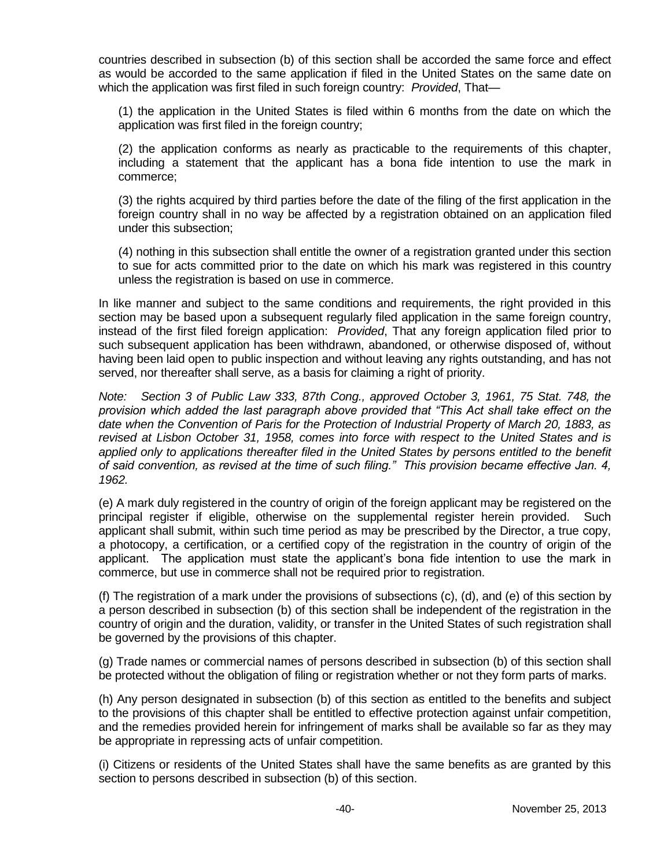countries described in subsection (b) of this section shall be accorded the same force and effect as would be accorded to the same application if filed in the United States on the same date on which the application was first filed in such foreign country: *Provided*, That—

(1) the application in the United States is filed within 6 months from the date on which the application was first filed in the foreign country;

(2) the application conforms as nearly as practicable to the requirements of this chapter, including a statement that the applicant has a bona fide intention to use the mark in commerce;

(3) the rights acquired by third parties before the date of the filing of the first application in the foreign country shall in no way be affected by a registration obtained on an application filed under this subsection;

(4) nothing in this subsection shall entitle the owner of a registration granted under this section to sue for acts committed prior to the date on which his mark was registered in this country unless the registration is based on use in commerce.

In like manner and subject to the same conditions and requirements, the right provided in this section may be based upon a subsequent regularly filed application in the same foreign country, instead of the first filed foreign application: *Provided*, That any foreign application filed prior to such subsequent application has been withdrawn, abandoned, or otherwise disposed of, without having been laid open to public inspection and without leaving any rights outstanding, and has not served, nor thereafter shall serve, as a basis for claiming a right of priority.

*Note: Section 3 of Public Law 333, 87th Cong., approved October 3, 1961, 75 Stat. 748, the provision which added the last paragraph above provided that "This Act shall take effect on the date when the Convention of Paris for the Protection of Industrial Property of March 20, 1883, as revised at Lisbon October 31, 1958, comes into force with respect to the United States and is*  applied only to applications thereafter filed in the United States by persons entitled to the benefit *of said convention, as revised at the time of such filing." This provision became effective Jan. 4, 1962.*

(e) A mark duly registered in the country of origin of the foreign applicant may be registered on the principal register if eligible, otherwise on the supplemental register herein provided. Such applicant shall submit, within such time period as may be prescribed by the Director, a true copy, a photocopy, a certification, or a certified copy of the registration in the country of origin of the applicant. The application must state the applicant's bona fide intention to use the mark in commerce, but use in commerce shall not be required prior to registration.

(f) The registration of a mark under the provisions of subsections (c), (d), and (e) of this section by a person described in subsection (b) of this section shall be independent of the registration in the country of origin and the duration, validity, or transfer in the United States of such registration shall be governed by the provisions of this chapter.

(g) Trade names or commercial names of persons described in subsection (b) of this section shall be protected without the obligation of filing or registration whether or not they form parts of marks.

(h) Any person designated in subsection (b) of this section as entitled to the benefits and subject to the provisions of this chapter shall be entitled to effective protection against unfair competition, and the remedies provided herein for infringement of marks shall be available so far as they may be appropriate in repressing acts of unfair competition.

(i) Citizens or residents of the United States shall have the same benefits as are granted by this section to persons described in subsection (b) of this section.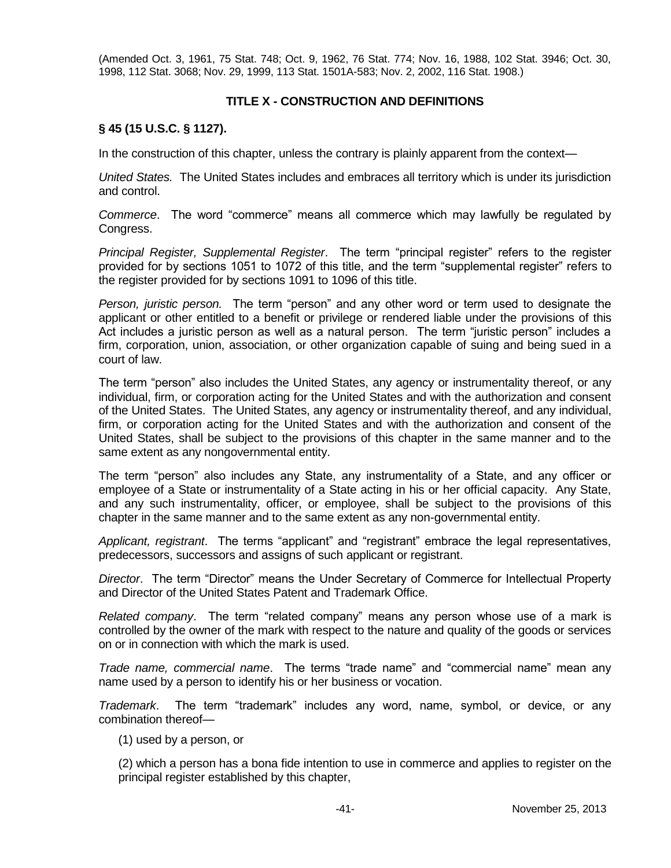(Amended Oct. 3, 1961, 75 Stat. 748; Oct. 9, 1962, 76 Stat. 774; Nov. 16, 1988, 102 Stat. 3946; Oct. 30, 1998, 112 Stat. 3068; Nov. 29, 1999, 113 Stat. 1501A-583; Nov. 2, 2002, 116 Stat. 1908.)

# **TITLE X - CONSTRUCTION AND DEFINITIONS**

# **§ 45 (15 U.S.C. § 1127).**

In the construction of this chapter, unless the contrary is plainly apparent from the context—

*United States.* The United States includes and embraces all territory which is under its jurisdiction and control.

*Commerce*. The word "commerce" means all commerce which may lawfully be regulated by Congress.

*Principal Register, Supplemental Register*. The term "principal register" refers to the register provided for by sections 1051 to 1072 of this title, and the term "supplemental register" refers to the register provided for by sections 1091 to 1096 of this title.

*Person, juristic person.* The term "person" and any other word or term used to designate the applicant or other entitled to a benefit or privilege or rendered liable under the provisions of this Act includes a juristic person as well as a natural person. The term "juristic person" includes a firm, corporation, union, association, or other organization capable of suing and being sued in a court of law.

The term "person" also includes the United States, any agency or instrumentality thereof, or any individual, firm, or corporation acting for the United States and with the authorization and consent of the United States. The United States, any agency or instrumentality thereof, and any individual, firm, or corporation acting for the United States and with the authorization and consent of the United States, shall be subject to the provisions of this chapter in the same manner and to the same extent as any nongovernmental entity.

The term "person" also includes any State, any instrumentality of a State, and any officer or employee of a State or instrumentality of a State acting in his or her official capacity. Any State, and any such instrumentality, officer, or employee, shall be subject to the provisions of this chapter in the same manner and to the same extent as any non-governmental entity.

*Applicant, registrant*. The terms "applicant" and "registrant" embrace the legal representatives, predecessors, successors and assigns of such applicant or registrant.

*Director*. The term "Director" means the Under Secretary of Commerce for Intellectual Property and Director of the United States Patent and Trademark Office.

*Related company*. The term "related company" means any person whose use of a mark is controlled by the owner of the mark with respect to the nature and quality of the goods or services on or in connection with which the mark is used.

*Trade name, commercial name*. The terms "trade name" and "commercial name" mean any name used by a person to identify his or her business or vocation.

*Trademark*. The term "trademark" includes any word, name, symbol, or device, or any combination thereof—

(1) used by a person, or

(2) which a person has a bona fide intention to use in commerce and applies to register on the principal register established by this chapter,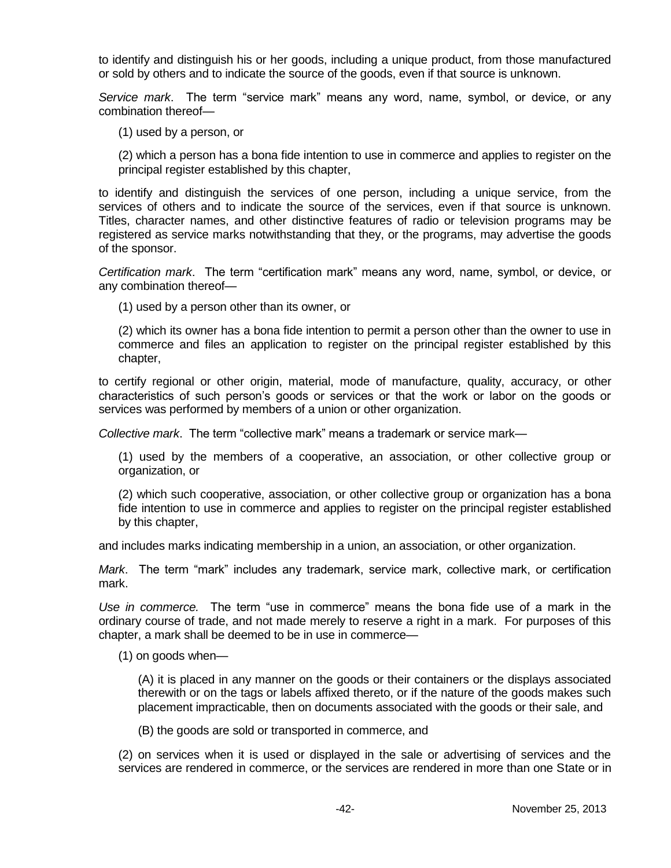to identify and distinguish his or her goods, including a unique product, from those manufactured or sold by others and to indicate the source of the goods, even if that source is unknown.

*Service mark*. The term "service mark" means any word, name, symbol, or device, or any combination thereof—

(1) used by a person, or

(2) which a person has a bona fide intention to use in commerce and applies to register on the principal register established by this chapter,

to identify and distinguish the services of one person, including a unique service, from the services of others and to indicate the source of the services, even if that source is unknown. Titles, character names, and other distinctive features of radio or television programs may be registered as service marks notwithstanding that they, or the programs, may advertise the goods of the sponsor.

*Certification mark*. The term "certification mark" means any word, name, symbol, or device, or any combination thereof—

(1) used by a person other than its owner, or

(2) which its owner has a bona fide intention to permit a person other than the owner to use in commerce and files an application to register on the principal register established by this chapter,

to certify regional or other origin, material, mode of manufacture, quality, accuracy, or other characteristics of such person's goods or services or that the work or labor on the goods or services was performed by members of a union or other organization.

*Collective mark*. The term "collective mark" means a trademark or service mark—

(1) used by the members of a cooperative, an association, or other collective group or organization, or

(2) which such cooperative, association, or other collective group or organization has a bona fide intention to use in commerce and applies to register on the principal register established by this chapter,

and includes marks indicating membership in a union, an association, or other organization.

*Mark*. The term "mark" includes any trademark, service mark, collective mark, or certification mark.

*Use in commerce.* The term "use in commerce" means the bona fide use of a mark in the ordinary course of trade, and not made merely to reserve a right in a mark. For purposes of this chapter, a mark shall be deemed to be in use in commerce—

(1) on goods when—

(A) it is placed in any manner on the goods or their containers or the displays associated therewith or on the tags or labels affixed thereto, or if the nature of the goods makes such placement impracticable, then on documents associated with the goods or their sale, and

(B) the goods are sold or transported in commerce, and

(2) on services when it is used or displayed in the sale or advertising of services and the services are rendered in commerce, or the services are rendered in more than one State or in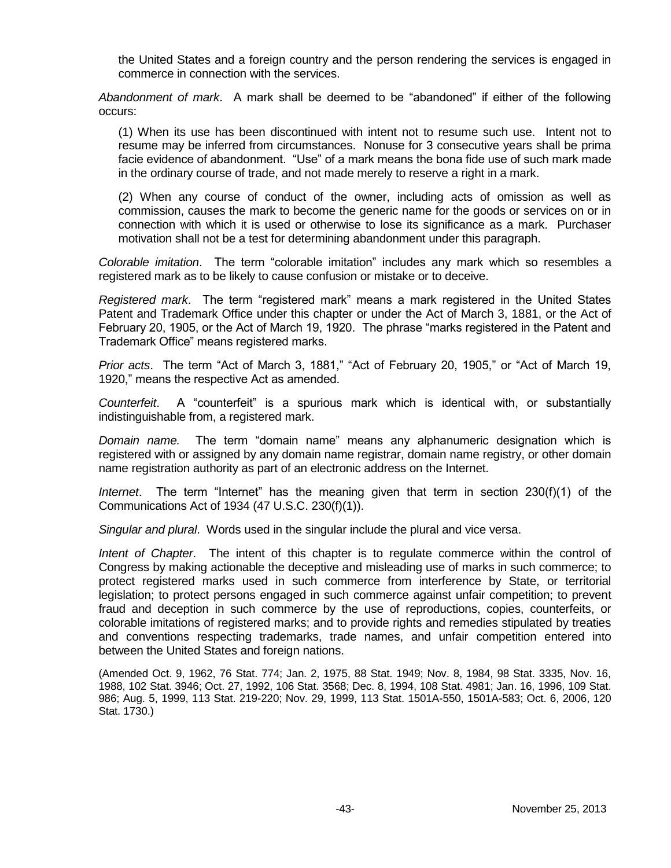the United States and a foreign country and the person rendering the services is engaged in commerce in connection with the services.

*Abandonment of mark*. A mark shall be deemed to be "abandoned" if either of the following occurs:

(1) When its use has been discontinued with intent not to resume such use. Intent not to resume may be inferred from circumstances. Nonuse for 3 consecutive years shall be prima facie evidence of abandonment. "Use" of a mark means the bona fide use of such mark made in the ordinary course of trade, and not made merely to reserve a right in a mark.

(2) When any course of conduct of the owner, including acts of omission as well as commission, causes the mark to become the generic name for the goods or services on or in connection with which it is used or otherwise to lose its significance as a mark. Purchaser motivation shall not be a test for determining abandonment under this paragraph.

*Colorable imitation*. The term "colorable imitation" includes any mark which so resembles a registered mark as to be likely to cause confusion or mistake or to deceive.

*Registered mark*. The term "registered mark" means a mark registered in the United States Patent and Trademark Office under this chapter or under the Act of March 3, 1881, or the Act of February 20, 1905, or the Act of March 19, 1920. The phrase "marks registered in the Patent and Trademark Office" means registered marks.

*Prior acts*. The term "Act of March 3, 1881," "Act of February 20, 1905," or "Act of March 19, 1920," means the respective Act as amended.

*Counterfeit*. A "counterfeit" is a spurious mark which is identical with, or substantially indistinguishable from, a registered mark.

*Domain name.* The term "domain name" means any alphanumeric designation which is registered with or assigned by any domain name registrar, domain name registry, or other domain name registration authority as part of an electronic address on the Internet.

*Internet*. The term "Internet" has the meaning given that term in section 230(f)(1) of the Communications Act of 1934 (47 U.S.C. 230(f)(1)).

*Singular and plural*. Words used in the singular include the plural and vice versa.

*Intent of Chapter*. The intent of this chapter is to regulate commerce within the control of Congress by making actionable the deceptive and misleading use of marks in such commerce; to protect registered marks used in such commerce from interference by State, or territorial legislation; to protect persons engaged in such commerce against unfair competition; to prevent fraud and deception in such commerce by the use of reproductions, copies, counterfeits, or colorable imitations of registered marks; and to provide rights and remedies stipulated by treaties and conventions respecting trademarks, trade names, and unfair competition entered into between the United States and foreign nations.

(Amended Oct. 9, 1962, 76 Stat. 774; Jan. 2, 1975, 88 Stat. 1949; Nov. 8, 1984, 98 Stat. 3335, Nov. 16, 1988, 102 Stat. 3946; Oct. 27, 1992, 106 Stat. 3568; Dec. 8, 1994, 108 Stat. 4981; Jan. 16, 1996, 109 Stat. 986; Aug. 5, 1999, 113 Stat. 219-220; Nov. 29, 1999, 113 Stat. 1501A-550, 1501A-583; Oct. 6, 2006, 120 Stat. 1730.)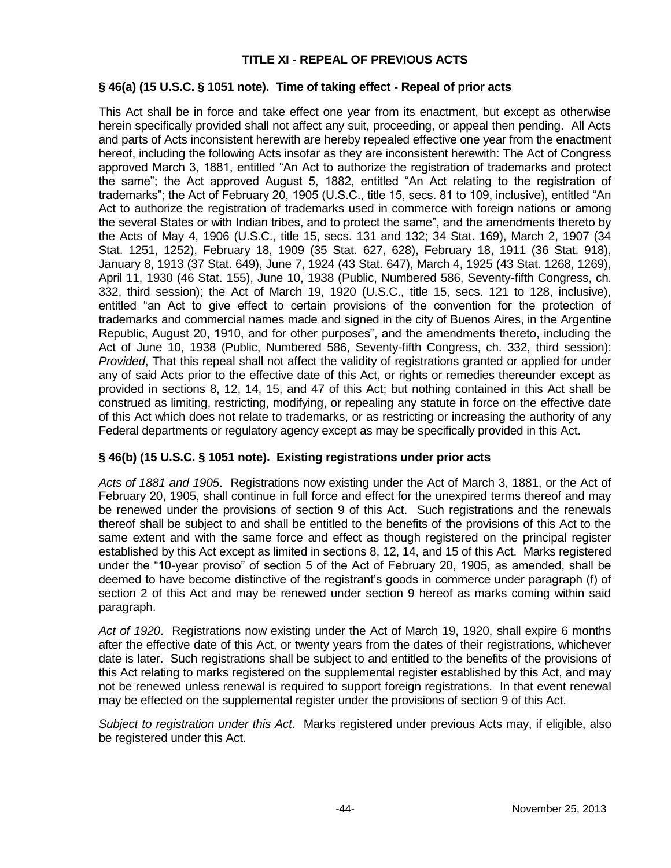# **TITLE XI - REPEAL OF PREVIOUS ACTS**

# **§ 46(a) (15 U.S.C. § 1051 note). Time of taking effect - Repeal of prior acts**

This Act shall be in force and take effect one year from its enactment, but except as otherwise herein specifically provided shall not affect any suit, proceeding, or appeal then pending. All Acts and parts of Acts inconsistent herewith are hereby repealed effective one year from the enactment hereof, including the following Acts insofar as they are inconsistent herewith: The Act of Congress approved March 3, 1881, entitled "An Act to authorize the registration of trademarks and protect the same"; the Act approved August 5, 1882, entitled "An Act relating to the registration of trademarks"; the Act of February 20, 1905 (U.S.C., title 15, secs. 81 to 109, inclusive), entitled "An Act to authorize the registration of trademarks used in commerce with foreign nations or among the several States or with Indian tribes, and to protect the same", and the amendments thereto by the Acts of May 4, 1906 (U.S.C., title 15, secs. 131 and 132; 34 Stat. 169), March 2, 1907 (34 Stat. 1251, 1252), February 18, 1909 (35 Stat. 627, 628), February 18, 1911 (36 Stat. 918), January 8, 1913 (37 Stat. 649), June 7, 1924 (43 Stat. 647), March 4, 1925 (43 Stat. 1268, 1269), April 11, 1930 (46 Stat. 155), June 10, 1938 (Public, Numbered 586, Seventy-fifth Congress, ch. 332, third session); the Act of March 19, 1920 (U.S.C., title 15, secs. 121 to 128, inclusive), entitled "an Act to give effect to certain provisions of the convention for the protection of trademarks and commercial names made and signed in the city of Buenos Aires, in the Argentine Republic, August 20, 1910, and for other purposes", and the amendments thereto, including the Act of June 10, 1938 (Public, Numbered 586, Seventy-fifth Congress, ch. 332, third session): *Provided*, That this repeal shall not affect the validity of registrations granted or applied for under any of said Acts prior to the effective date of this Act, or rights or remedies thereunder except as provided in sections 8, 12, 14, 15, and 47 of this Act; but nothing contained in this Act shall be construed as limiting, restricting, modifying, or repealing any statute in force on the effective date of this Act which does not relate to trademarks, or as restricting or increasing the authority of any Federal departments or regulatory agency except as may be specifically provided in this Act.

# **§ 46(b) (15 U.S.C. § 1051 note). Existing registrations under prior acts**

*Acts of 1881 and 1905*. Registrations now existing under the Act of March 3, 1881, or the Act of February 20, 1905, shall continue in full force and effect for the unexpired terms thereof and may be renewed under the provisions of section 9 of this Act. Such registrations and the renewals thereof shall be subject to and shall be entitled to the benefits of the provisions of this Act to the same extent and with the same force and effect as though registered on the principal register established by this Act except as limited in sections 8, 12, 14, and 15 of this Act. Marks registered under the "10-year proviso" of section 5 of the Act of February 20, 1905, as amended, shall be deemed to have become distinctive of the registrant's goods in commerce under paragraph (f) of section 2 of this Act and may be renewed under section 9 hereof as marks coming within said paragraph.

*Act of 1920*. Registrations now existing under the Act of March 19, 1920, shall expire 6 months after the effective date of this Act, or twenty years from the dates of their registrations, whichever date is later. Such registrations shall be subject to and entitled to the benefits of the provisions of this Act relating to marks registered on the supplemental register established by this Act, and may not be renewed unless renewal is required to support foreign registrations. In that event renewal may be effected on the supplemental register under the provisions of section 9 of this Act.

*Subject to registration under this Act*. Marks registered under previous Acts may, if eligible, also be registered under this Act.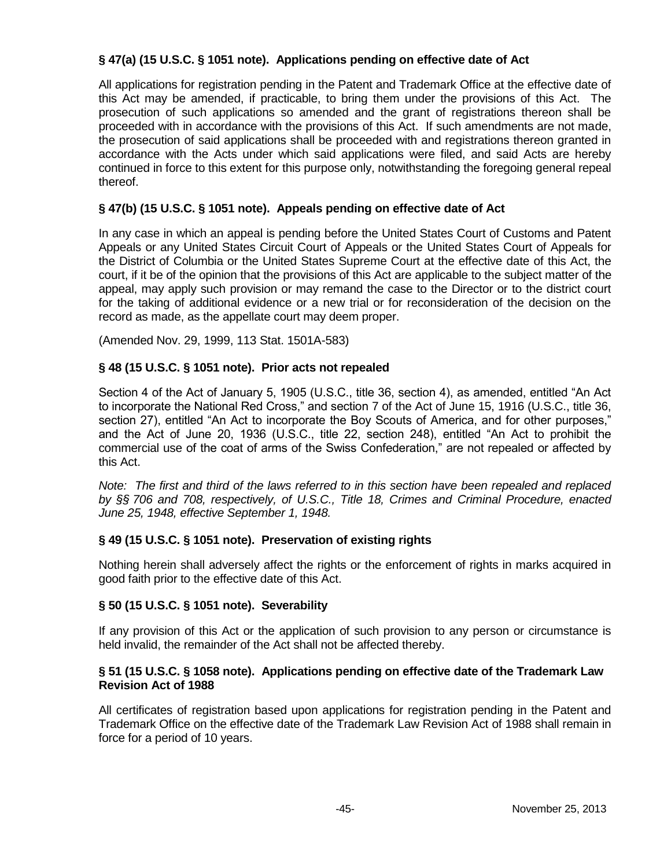# **§ 47(a) (15 U.S.C. § 1051 note). Applications pending on effective date of Act**

All applications for registration pending in the Patent and Trademark Office at the effective date of this Act may be amended, if practicable, to bring them under the provisions of this Act. The prosecution of such applications so amended and the grant of registrations thereon shall be proceeded with in accordance with the provisions of this Act. If such amendments are not made, the prosecution of said applications shall be proceeded with and registrations thereon granted in accordance with the Acts under which said applications were filed, and said Acts are hereby continued in force to this extent for this purpose only, notwithstanding the foregoing general repeal thereof.

# **§ 47(b) (15 U.S.C. § 1051 note). Appeals pending on effective date of Act**

In any case in which an appeal is pending before the United States Court of Customs and Patent Appeals or any United States Circuit Court of Appeals or the United States Court of Appeals for the District of Columbia or the United States Supreme Court at the effective date of this Act, the court, if it be of the opinion that the provisions of this Act are applicable to the subject matter of the appeal, may apply such provision or may remand the case to the Director or to the district court for the taking of additional evidence or a new trial or for reconsideration of the decision on the record as made, as the appellate court may deem proper.

(Amended Nov. 29, 1999, 113 Stat. 1501A-583)

### **§ 48 (15 U.S.C. § 1051 note). Prior acts not repealed**

Section 4 of the Act of January 5, 1905 (U.S.C., title 36, section 4), as amended, entitled "An Act to incorporate the National Red Cross," and section 7 of the Act of June 15, 1916 (U.S.C., title 36, section 27), entitled "An Act to incorporate the Boy Scouts of America, and for other purposes," and the Act of June 20, 1936 (U.S.C., title 22, section 248), entitled "An Act to prohibit the commercial use of the coat of arms of the Swiss Confederation," are not repealed or affected by this Act.

*Note: The first and third of the laws referred to in this section have been repealed and replaced by §§ 706 and 708, respectively, of U.S.C., Title 18, Crimes and Criminal Procedure, enacted June 25, 1948, effective September 1, 1948.*

# **§ 49 (15 U.S.C. § 1051 note). Preservation of existing rights**

Nothing herein shall adversely affect the rights or the enforcement of rights in marks acquired in good faith prior to the effective date of this Act.

# **§ 50 (15 U.S.C. § 1051 note). Severability**

If any provision of this Act or the application of such provision to any person or circumstance is held invalid, the remainder of the Act shall not be affected thereby.

### **§ 51 (15 U.S.C. § 1058 note). Applications pending on effective date of the Trademark Law Revision Act of 1988**

All certificates of registration based upon applications for registration pending in the Patent and Trademark Office on the effective date of the Trademark Law Revision Act of 1988 shall remain in force for a period of 10 years.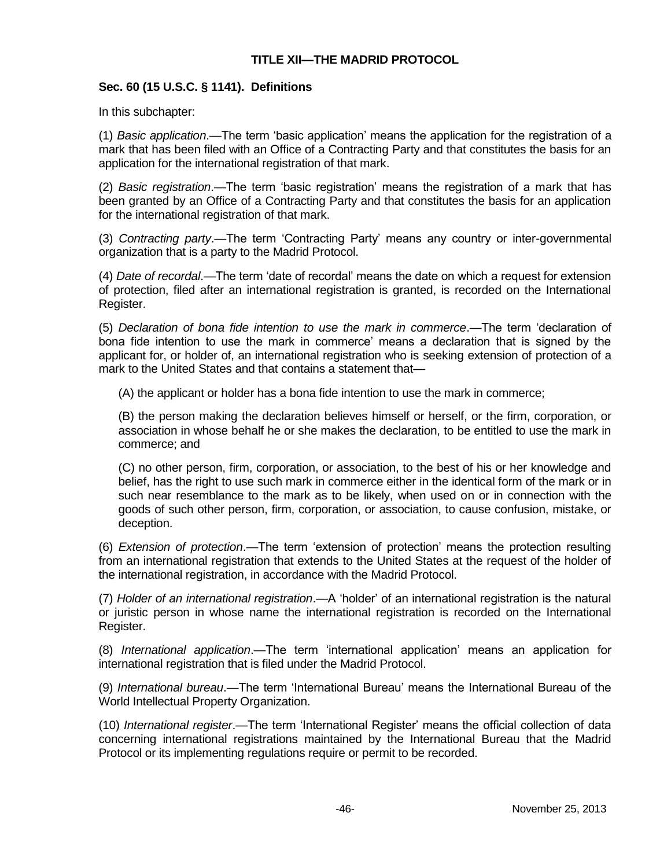# **TITLE XII—THE MADRID PROTOCOL**

### **Sec. 60 (15 U.S.C. § 1141). Definitions**

In this subchapter:

(1) *Basic application*.—The term 'basic application' means the application for the registration of a mark that has been filed with an Office of a Contracting Party and that constitutes the basis for an application for the international registration of that mark.

(2) *Basic registration*.—The term 'basic registration' means the registration of a mark that has been granted by an Office of a Contracting Party and that constitutes the basis for an application for the international registration of that mark.

(3) *Contracting party*.—The term 'Contracting Party' means any country or inter-governmental organization that is a party to the Madrid Protocol.

(4) *Date of recordal*.—The term 'date of recordal' means the date on which a request for extension of protection, filed after an international registration is granted, is recorded on the International Register.

(5) *Declaration of bona fide intention to use the mark in commerce*.—The term 'declaration of bona fide intention to use the mark in commerce' means a declaration that is signed by the applicant for, or holder of, an international registration who is seeking extension of protection of a mark to the United States and that contains a statement that—

(A) the applicant or holder has a bona fide intention to use the mark in commerce;

(B) the person making the declaration believes himself or herself, or the firm, corporation, or association in whose behalf he or she makes the declaration, to be entitled to use the mark in commerce; and

(C) no other person, firm, corporation, or association, to the best of his or her knowledge and belief, has the right to use such mark in commerce either in the identical form of the mark or in such near resemblance to the mark as to be likely, when used on or in connection with the goods of such other person, firm, corporation, or association, to cause confusion, mistake, or deception.

(6) *Extension of protection*.—The term 'extension of protection' means the protection resulting from an international registration that extends to the United States at the request of the holder of the international registration, in accordance with the Madrid Protocol.

(7) *Holder of an international registration*.—A 'holder' of an international registration is the natural or juristic person in whose name the international registration is recorded on the International Register.

(8) *International application*.—The term 'international application' means an application for international registration that is filed under the Madrid Protocol.

(9) *International bureau*.—The term 'International Bureau' means the International Bureau of the World Intellectual Property Organization.

(10) *International register*.—The term 'International Register' means the official collection of data concerning international registrations maintained by the International Bureau that the Madrid Protocol or its implementing regulations require or permit to be recorded.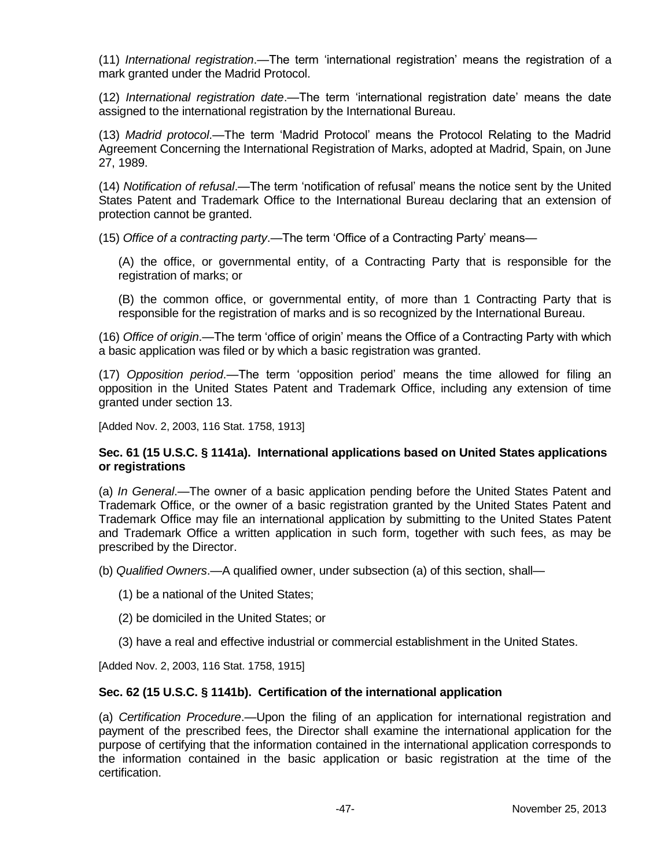(11) *International registration*.—The term 'international registration' means the registration of a mark granted under the Madrid Protocol.

(12) *International registration date*.—The term 'international registration date' means the date assigned to the international registration by the International Bureau.

(13) *Madrid protocol*.—The term 'Madrid Protocol' means the Protocol Relating to the Madrid Agreement Concerning the International Registration of Marks, adopted at Madrid, Spain, on June 27, 1989.

(14) *Notification of refusal*.—The term 'notification of refusal' means the notice sent by the United States Patent and Trademark Office to the International Bureau declaring that an extension of protection cannot be granted.

(15) *Office of a contracting party*.—The term 'Office of a Contracting Party' means—

(A) the office, or governmental entity, of a Contracting Party that is responsible for the registration of marks; or

(B) the common office, or governmental entity, of more than 1 Contracting Party that is responsible for the registration of marks and is so recognized by the International Bureau.

(16) *Office of origin*.—The term 'office of origin' means the Office of a Contracting Party with which a basic application was filed or by which a basic registration was granted.

(17) *Opposition period*.—The term 'opposition period' means the time allowed for filing an opposition in the United States Patent and Trademark Office, including any extension of time granted under section 13.

[Added Nov. 2, 2003, 116 Stat. 1758, 1913]

#### **Sec. 61 (15 U.S.C. § 1141a). International applications based on United States applications or registrations**

(a) *In General*.—The owner of a basic application pending before the United States Patent and Trademark Office, or the owner of a basic registration granted by the United States Patent and Trademark Office may file an international application by submitting to the United States Patent and Trademark Office a written application in such form, together with such fees, as may be prescribed by the Director.

(b) *Qualified Owners*.—A qualified owner, under subsection (a) of this section, shall—

- (1) be a national of the United States;
- (2) be domiciled in the United States; or
- (3) have a real and effective industrial or commercial establishment in the United States.

[Added Nov. 2, 2003, 116 Stat. 1758, 1915]

#### **Sec. 62 (15 U.S.C. § 1141b). Certification of the international application**

(a) *Certification Procedure*.—Upon the filing of an application for international registration and payment of the prescribed fees, the Director shall examine the international application for the purpose of certifying that the information contained in the international application corresponds to the information contained in the basic application or basic registration at the time of the certification.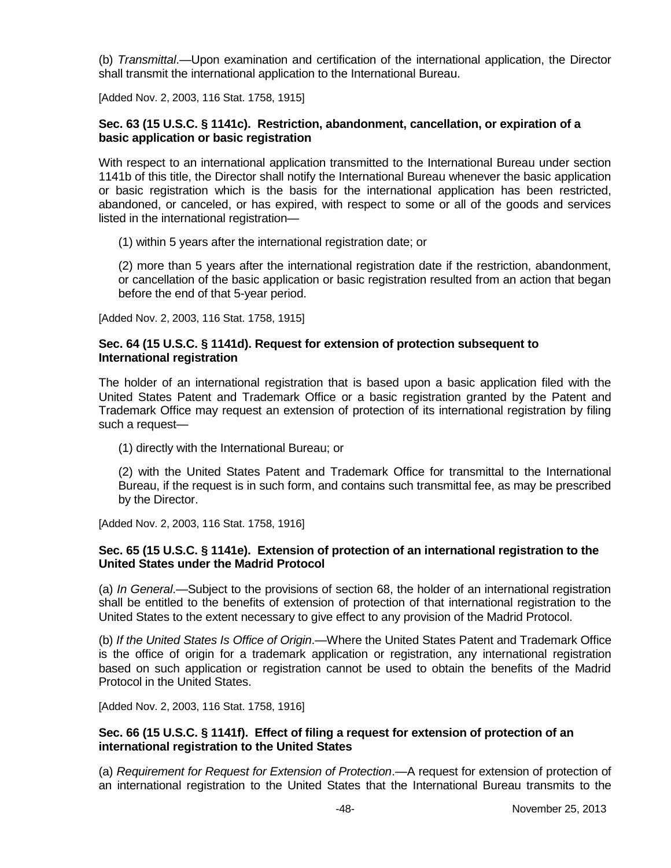(b) *Transmittal*.—Upon examination and certification of the international application, the Director shall transmit the international application to the International Bureau.

[Added Nov. 2, 2003, 116 Stat. 1758, 1915]

### **Sec. 63 (15 U.S.C. § 1141c). Restriction, abandonment, cancellation, or expiration of a basic application or basic registration**

With respect to an international application transmitted to the International Bureau under section 1141b of this title, the Director shall notify the International Bureau whenever the basic application or basic registration which is the basis for the international application has been restricted, abandoned, or canceled, or has expired, with respect to some or all of the goods and services listed in the international registration—

(1) within 5 years after the international registration date; or

(2) more than 5 years after the international registration date if the restriction, abandonment, or cancellation of the basic application or basic registration resulted from an action that began before the end of that 5-year period.

[Added Nov. 2, 2003, 116 Stat. 1758, 1915]

### **Sec. 64 (15 U.S.C. § 1141d). Request for extension of protection subsequent to International registration**

The holder of an international registration that is based upon a basic application filed with the United States Patent and Trademark Office or a basic registration granted by the Patent and Trademark Office may request an extension of protection of its international registration by filing such a request—

(1) directly with the International Bureau; or

(2) with the United States Patent and Trademark Office for transmittal to the International Bureau, if the request is in such form, and contains such transmittal fee, as may be prescribed by the Director.

[Added Nov. 2, 2003, 116 Stat. 1758, 1916]

### **Sec. 65 (15 U.S.C. § 1141e). Extension of protection of an international registration to the United States under the Madrid Protocol**

(a) *In General*.—Subject to the provisions of section 68, the holder of an international registration shall be entitled to the benefits of extension of protection of that international registration to the United States to the extent necessary to give effect to any provision of the Madrid Protocol.

(b) *If the United States Is Office of Origin*.—Where the United States Patent and Trademark Office is the office of origin for a trademark application or registration, any international registration based on such application or registration cannot be used to obtain the benefits of the Madrid Protocol in the United States.

[Added Nov. 2, 2003, 116 Stat. 1758, 1916]

### **Sec. 66 (15 U.S.C. § 1141f). Effect of filing a request for extension of protection of an international registration to the United States**

(a) *Requirement for Request for Extension of Protection*.—A request for extension of protection of an international registration to the United States that the International Bureau transmits to the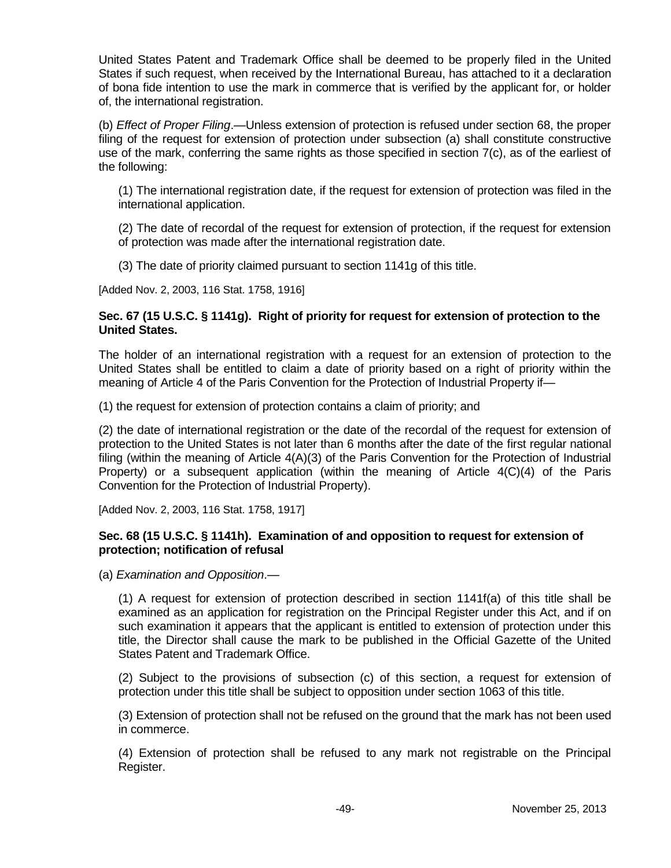United States Patent and Trademark Office shall be deemed to be properly filed in the United States if such request, when received by the International Bureau, has attached to it a declaration of bona fide intention to use the mark in commerce that is verified by the applicant for, or holder of, the international registration.

(b) *Effect of Proper Filing*.—Unless extension of protection is refused under section 68, the proper filing of the request for extension of protection under subsection (a) shall constitute constructive use of the mark, conferring the same rights as those specified in section 7(c), as of the earliest of the following:

(1) The international registration date, if the request for extension of protection was filed in the international application.

(2) The date of recordal of the request for extension of protection, if the request for extension of protection was made after the international registration date.

(3) The date of priority claimed pursuant to section 1141g of this title.

[Added Nov. 2, 2003, 116 Stat. 1758, 1916]

### **Sec. 67 (15 U.S.C. § 1141g). Right of priority for request for extension of protection to the United States.**

The holder of an international registration with a request for an extension of protection to the United States shall be entitled to claim a date of priority based on a right of priority within the meaning of Article 4 of the Paris Convention for the Protection of Industrial Property if—

(1) the request for extension of protection contains a claim of priority; and

(2) the date of international registration or the date of the recordal of the request for extension of protection to the United States is not later than 6 months after the date of the first regular national filing (within the meaning of Article 4(A)(3) of the Paris Convention for the Protection of Industrial Property) or a subsequent application (within the meaning of Article 4(C)(4) of the Paris Convention for the Protection of Industrial Property).

[Added Nov. 2, 2003, 116 Stat. 1758, 1917]

### **Sec. 68 (15 U.S.C. § 1141h). Examination of and opposition to request for extension of protection; notification of refusal**

(a) *Examination and Opposition*.—

(1) A request for extension of protection described in section 1141f(a) of this title shall be examined as an application for registration on the Principal Register under this Act, and if on such examination it appears that the applicant is entitled to extension of protection under this title, the Director shall cause the mark to be published in the Official Gazette of the United States Patent and Trademark Office.

(2) Subject to the provisions of subsection (c) of this section, a request for extension of protection under this title shall be subject to opposition under section 1063 of this title.

(3) Extension of protection shall not be refused on the ground that the mark has not been used in commerce.

(4) Extension of protection shall be refused to any mark not registrable on the Principal Register.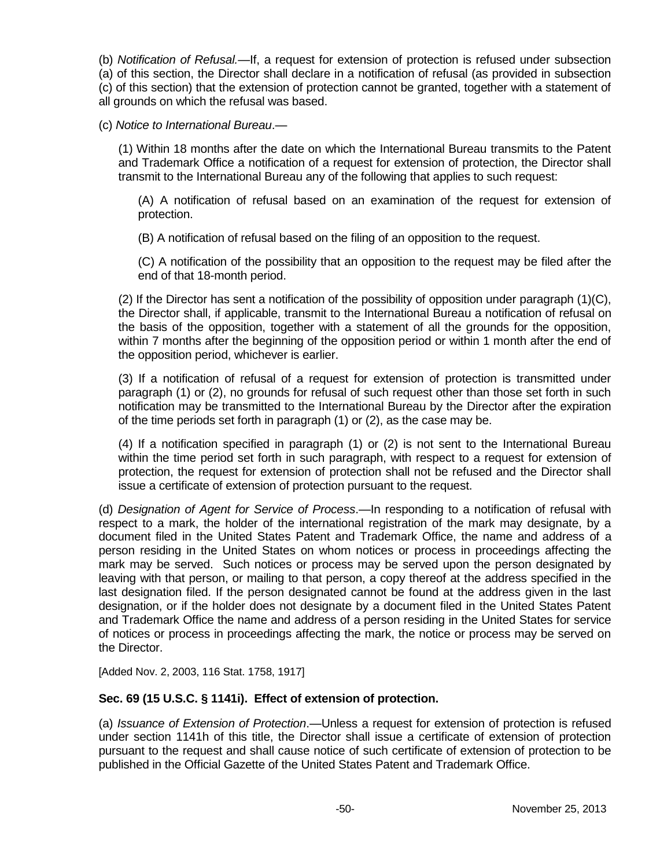(b) *Notification of Refusal.—*If, a request for extension of protection is refused under subsection (a) of this section, the Director shall declare in a notification of refusal (as provided in subsection (c) of this section) that the extension of protection cannot be granted, together with a statement of all grounds on which the refusal was based.

(c) *Notice to International Bureau*.—

(1) Within 18 months after the date on which the International Bureau transmits to the Patent and Trademark Office a notification of a request for extension of protection, the Director shall transmit to the International Bureau any of the following that applies to such request:

(A) A notification of refusal based on an examination of the request for extension of protection.

(B) A notification of refusal based on the filing of an opposition to the request.

(C) A notification of the possibility that an opposition to the request may be filed after the end of that 18-month period.

(2) If the Director has sent a notification of the possibility of opposition under paragraph  $(1)(C)$ , the Director shall, if applicable, transmit to the International Bureau a notification of refusal on the basis of the opposition, together with a statement of all the grounds for the opposition, within 7 months after the beginning of the opposition period or within 1 month after the end of the opposition period, whichever is earlier.

(3) If a notification of refusal of a request for extension of protection is transmitted under paragraph (1) or (2), no grounds for refusal of such request other than those set forth in such notification may be transmitted to the International Bureau by the Director after the expiration of the time periods set forth in paragraph (1) or (2), as the case may be.

(4) If a notification specified in paragraph (1) or (2) is not sent to the International Bureau within the time period set forth in such paragraph, with respect to a request for extension of protection, the request for extension of protection shall not be refused and the Director shall issue a certificate of extension of protection pursuant to the request.

(d) *Designation of Agent for Service of Process*.—In responding to a notification of refusal with respect to a mark, the holder of the international registration of the mark may designate, by a document filed in the United States Patent and Trademark Office, the name and address of a person residing in the United States on whom notices or process in proceedings affecting the mark may be served. Such notices or process may be served upon the person designated by leaving with that person, or mailing to that person, a copy thereof at the address specified in the last designation filed. If the person designated cannot be found at the address given in the last designation, or if the holder does not designate by a document filed in the United States Patent and Trademark Office the name and address of a person residing in the United States for service of notices or process in proceedings affecting the mark, the notice or process may be served on the Director.

[Added Nov. 2, 2003, 116 Stat. 1758, 1917]

#### **Sec. 69 (15 U.S.C. § 1141i). Effect of extension of protection.**

(a) *Issuance of Extension of Protection*.—Unless a request for extension of protection is refused under section 1141h of this title, the Director shall issue a certificate of extension of protection pursuant to the request and shall cause notice of such certificate of extension of protection to be published in the Official Gazette of the United States Patent and Trademark Office.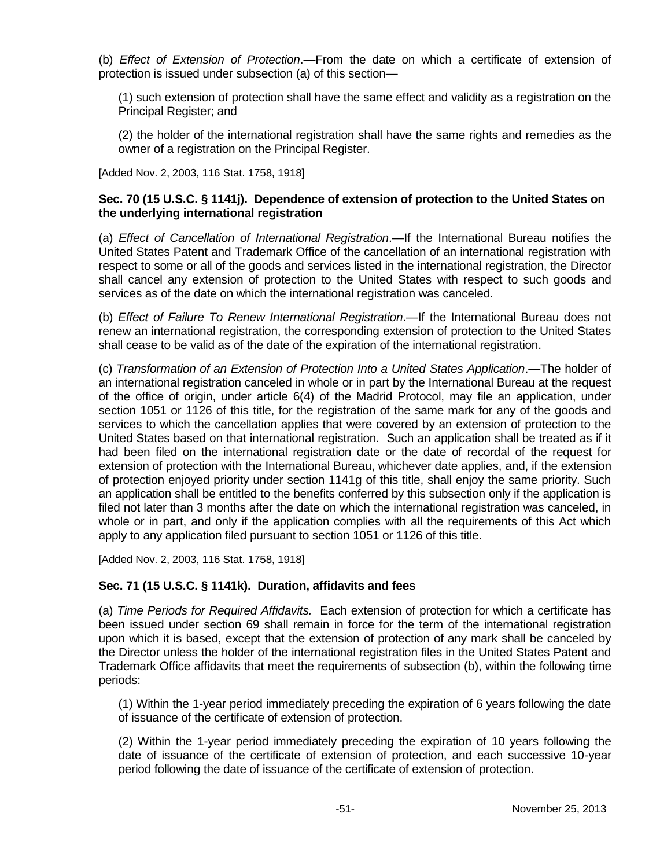(b) *Effect of Extension of Protection*.—From the date on which a certificate of extension of protection is issued under subsection (a) of this section—

(1) such extension of protection shall have the same effect and validity as a registration on the Principal Register; and

(2) the holder of the international registration shall have the same rights and remedies as the owner of a registration on the Principal Register.

[Added Nov. 2, 2003, 116 Stat. 1758, 1918]

### **Sec. 70 (15 U.S.C. § 1141j). Dependence of extension of protection to the United States on the underlying international registration**

(a) *Effect of Cancellation of International Registration*.—If the International Bureau notifies the United States Patent and Trademark Office of the cancellation of an international registration with respect to some or all of the goods and services listed in the international registration, the Director shall cancel any extension of protection to the United States with respect to such goods and services as of the date on which the international registration was canceled.

(b) *Effect of Failure To Renew International Registration*.—If the International Bureau does not renew an international registration, the corresponding extension of protection to the United States shall cease to be valid as of the date of the expiration of the international registration.

(c) *Transformation of an Extension of Protection Into a United States Application*.—The holder of an international registration canceled in whole or in part by the International Bureau at the request of the office of origin, under article 6(4) of the Madrid Protocol, may file an application, under section 1051 or 1126 of this title, for the registration of the same mark for any of the goods and services to which the cancellation applies that were covered by an extension of protection to the United States based on that international registration. Such an application shall be treated as if it had been filed on the international registration date or the date of recordal of the request for extension of protection with the International Bureau, whichever date applies, and, if the extension of protection enjoyed priority under section 1141g of this title, shall enjoy the same priority. Such an application shall be entitled to the benefits conferred by this subsection only if the application is filed not later than 3 months after the date on which the international registration was canceled, in whole or in part, and only if the application complies with all the requirements of this Act which apply to any application filed pursuant to section 1051 or 1126 of this title.

[Added Nov. 2, 2003, 116 Stat. 1758, 1918]

# **Sec. 71 (15 U.S.C. § 1141k). Duration, affidavits and fees**

(a) *Time Periods for Required Affidavits.* Each extension of protection for which a certificate has been issued under section 69 shall remain in force for the term of the international registration upon which it is based, except that the extension of protection of any mark shall be canceled by the Director unless the holder of the international registration files in the United States Patent and Trademark Office affidavits that meet the requirements of subsection (b), within the following time periods:

(1) Within the 1-year period immediately preceding the expiration of 6 years following the date of issuance of the certificate of extension of protection.

(2) Within the 1-year period immediately preceding the expiration of 10 years following the date of issuance of the certificate of extension of protection, and each successive 10-year period following the date of issuance of the certificate of extension of protection.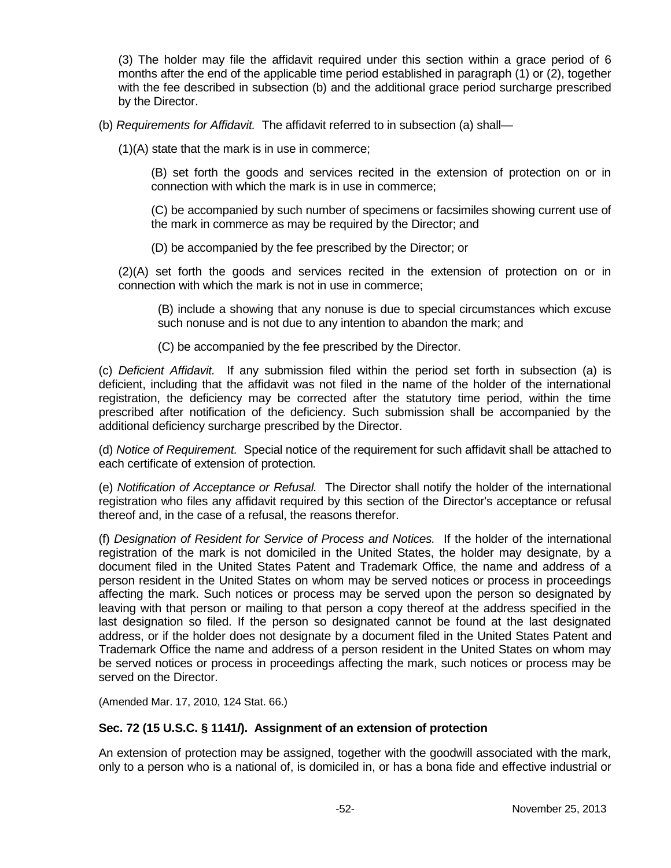(3) The holder may file the affidavit required under this section within a grace period of 6 months after the end of the applicable time period established in paragraph (1) or (2), together with the fee described in subsection (b) and the additional grace period surcharge prescribed by the Director.

(b) *Requirements for Affidavit.* The affidavit referred to in subsection (a) shall—

(1)(A) state that the mark is in use in commerce;

(B) set forth the goods and services recited in the extension of protection on or in connection with which the mark is in use in commerce;

(C) be accompanied by such number of specimens or facsimiles showing current use of the mark in commerce as may be required by the Director; and

(D) be accompanied by the fee prescribed by the Director; or

(2)(A) set forth the goods and services recited in the extension of protection on or in connection with which the mark is not in use in commerce;

(B) include a showing that any nonuse is due to special circumstances which excuse such nonuse and is not due to any intention to abandon the mark; and

(C) be accompanied by the fee prescribed by the Director.

(c) *Deficient Affidavit.* If any submission filed within the period set forth in subsection (a) is deficient, including that the affidavit was not filed in the name of the holder of the international registration, the deficiency may be corrected after the statutory time period, within the time prescribed after notification of the deficiency. Such submission shall be accompanied by the additional deficiency surcharge prescribed by the Director.

(d) *Notice of Requirement.* Special notice of the requirement for such affidavit shall be attached to each certificate of extension of protection*.*

(e) *Notification of Acceptance or Refusal.* The Director shall notify the holder of the international registration who files any affidavit required by this section of the Director's acceptance or refusal thereof and, in the case of a refusal, the reasons therefor.

(f) *Designation of Resident for Service of Process and Notices.* If the holder of the international registration of the mark is not domiciled in the United States, the holder may designate, by a document filed in the United States Patent and Trademark Office, the name and address of a person resident in the United States on whom may be served notices or process in proceedings affecting the mark. Such notices or process may be served upon the person so designated by leaving with that person or mailing to that person a copy thereof at the address specified in the last designation so filed. If the person so designated cannot be found at the last designated address, or if the holder does not designate by a document filed in the United States Patent and Trademark Office the name and address of a person resident in the United States on whom may be served notices or process in proceedings affecting the mark, such notices or process may be served on the Director.

(Amended Mar. 17, 2010, 124 Stat. 66.)

# **Sec. 72 (15 U.S.C. § 1141***l***). Assignment of an extension of protection**

An extension of protection may be assigned, together with the goodwill associated with the mark, only to a person who is a national of, is domiciled in, or has a bona fide and effective industrial or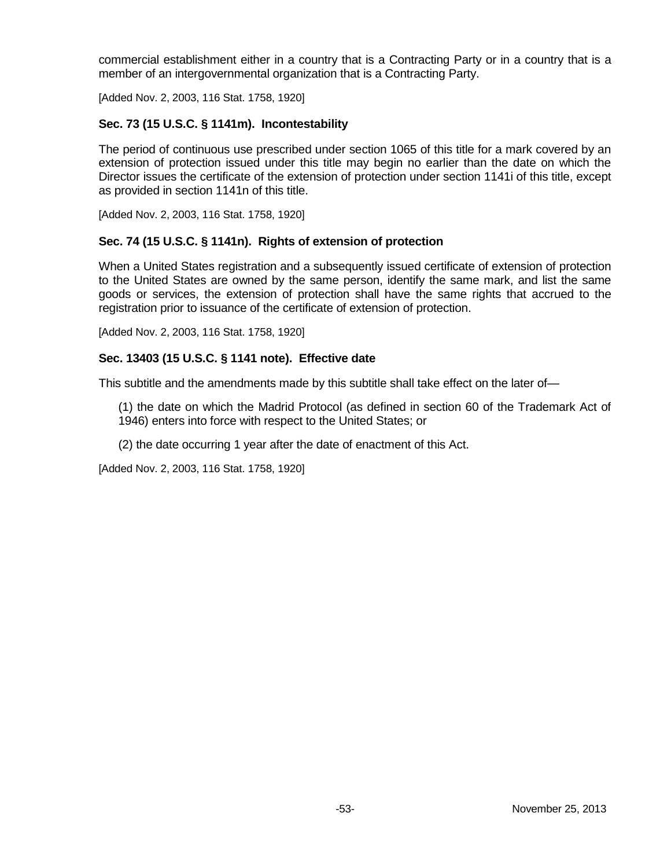commercial establishment either in a country that is a Contracting Party or in a country that is a member of an intergovernmental organization that is a Contracting Party.

[Added Nov. 2, 2003, 116 Stat. 1758, 1920]

### **Sec. 73 (15 U.S.C. § 1141m). Incontestability**

The period of continuous use prescribed under section 1065 of this title for a mark covered by an extension of protection issued under this title may begin no earlier than the date on which the Director issues the certificate of the extension of protection under section 1141i of this title, except as provided in section 1141n of this title.

[Added Nov. 2, 2003, 116 Stat. 1758, 1920]

#### **Sec. 74 (15 U.S.C. § 1141n). Rights of extension of protection**

When a United States registration and a subsequently issued certificate of extension of protection to the United States are owned by the same person, identify the same mark, and list the same goods or services, the extension of protection shall have the same rights that accrued to the registration prior to issuance of the certificate of extension of protection.

[Added Nov. 2, 2003, 116 Stat. 1758, 1920]

### **Sec. 13403 (15 U.S.C. § 1141 note). Effective date**

This subtitle and the amendments made by this subtitle shall take effect on the later of—

(1) the date on which the Madrid Protocol (as defined in section 60 of the Trademark Act of 1946) enters into force with respect to the United States; or

(2) the date occurring 1 year after the date of enactment of this Act.

[Added Nov. 2, 2003, 116 Stat. 1758, 1920]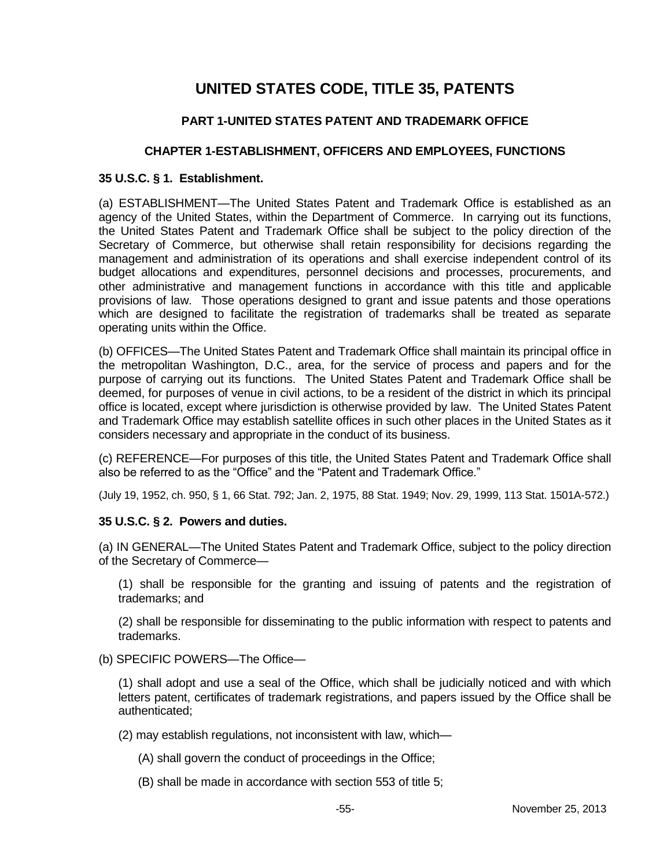# **UNITED STATES CODE, TITLE 35, PATENTS**

# **PART 1-UNITED STATES PATENT AND TRADEMARK OFFICE**

### **CHAPTER 1-ESTABLISHMENT, OFFICERS AND EMPLOYEES, FUNCTIONS**

#### **35 U.S.C. § 1. Establishment.**

(a) ESTABLISHMENT—The United States Patent and Trademark Office is established as an agency of the United States, within the Department of Commerce. In carrying out its functions, the United States Patent and Trademark Office shall be subject to the policy direction of the Secretary of Commerce, but otherwise shall retain responsibility for decisions regarding the management and administration of its operations and shall exercise independent control of its budget allocations and expenditures, personnel decisions and processes, procurements, and other administrative and management functions in accordance with this title and applicable provisions of law. Those operations designed to grant and issue patents and those operations which are designed to facilitate the registration of trademarks shall be treated as separate operating units within the Office.

(b) OFFICES—The United States Patent and Trademark Office shall maintain its principal office in the metropolitan Washington, D.C., area, for the service of process and papers and for the purpose of carrying out its functions. The United States Patent and Trademark Office shall be deemed, for purposes of venue in civil actions, to be a resident of the district in which its principal office is located, except where jurisdiction is otherwise provided by law. The United States Patent and Trademark Office may establish satellite offices in such other places in the United States as it considers necessary and appropriate in the conduct of its business.

(c) REFERENCE—For purposes of this title, the United States Patent and Trademark Office shall also be referred to as the "Office" and the "Patent and Trademark Office."

(July 19, 1952, ch. 950, § 1, 66 Stat. 792; Jan. 2, 1975, 88 Stat. 1949; Nov. 29, 1999, 113 Stat. 1501A-572.)

#### **35 U.S.C. § 2. Powers and duties.**

(a) IN GENERAL—The United States Patent and Trademark Office, subject to the policy direction of the Secretary of Commerce—

(1) shall be responsible for the granting and issuing of patents and the registration of trademarks; and

(2) shall be responsible for disseminating to the public information with respect to patents and trademarks.

(b) SPECIFIC POWERS—The Office—

(1) shall adopt and use a seal of the Office, which shall be judicially noticed and with which letters patent, certificates of trademark registrations, and papers issued by the Office shall be authenticated;

- (2) may establish regulations, not inconsistent with law, which—
	- (A) shall govern the conduct of proceedings in the Office;
	- (B) shall be made in accordance with section 553 of title 5;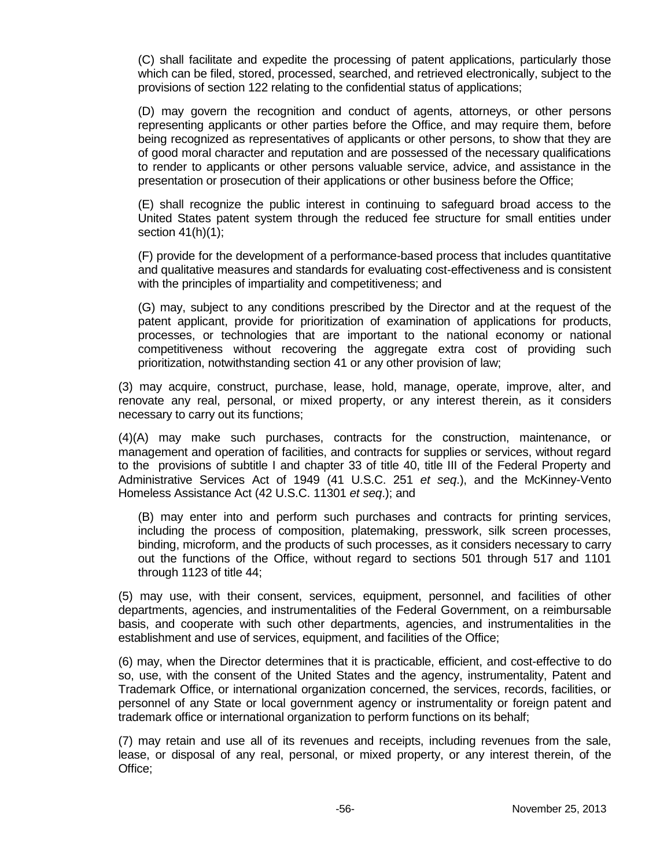(C) shall facilitate and expedite the processing of patent applications, particularly those which can be filed, stored, processed, searched, and retrieved electronically, subject to the provisions of section 122 relating to the confidential status of applications;

(D) may govern the recognition and conduct of agents, attorneys, or other persons representing applicants or other parties before the Office, and may require them, before being recognized as representatives of applicants or other persons, to show that they are of good moral character and reputation and are possessed of the necessary qualifications to render to applicants or other persons valuable service, advice, and assistance in the presentation or prosecution of their applications or other business before the Office;

(E) shall recognize the public interest in continuing to safeguard broad access to the United States patent system through the reduced fee structure for small entities under section  $41(h)(1)$ ;

(F) provide for the development of a performance-based process that includes quantitative and qualitative measures and standards for evaluating cost-effectiveness and is consistent with the principles of impartiality and competitiveness; and

(G) may, subject to any conditions prescribed by the Director and at the request of the patent applicant, provide for prioritization of examination of applications for products, processes, or technologies that are important to the national economy or national competitiveness without recovering the aggregate extra cost of providing such prioritization, notwithstanding section 41 or any other provision of law;

(3) may acquire, construct, purchase, lease, hold, manage, operate, improve, alter, and renovate any real, personal, or mixed property, or any interest therein, as it considers necessary to carry out its functions;

(4)(A) may make such purchases, contracts for the construction, maintenance, or management and operation of facilities, and contracts for supplies or services, without regard to the provisions of subtitle I and chapter 33 of title 40, title III of the Federal Property and Administrative Services Act of 1949 (41 U.S.C. 251 *et seq*.), and the McKinney-Vento Homeless Assistance Act (42 U.S.C. 11301 *et seq*.); and

(B) may enter into and perform such purchases and contracts for printing services, including the process of composition, platemaking, presswork, silk screen processes, binding, microform, and the products of such processes, as it considers necessary to carry out the functions of the Office, without regard to sections 501 through 517 and 1101 through 1123 of title 44;

(5) may use, with their consent, services, equipment, personnel, and facilities of other departments, agencies, and instrumentalities of the Federal Government, on a reimbursable basis, and cooperate with such other departments, agencies, and instrumentalities in the establishment and use of services, equipment, and facilities of the Office;

(6) may, when the Director determines that it is practicable, efficient, and cost-effective to do so, use, with the consent of the United States and the agency, instrumentality, Patent and Trademark Office, or international organization concerned, the services, records, facilities, or personnel of any State or local government agency or instrumentality or foreign patent and trademark office or international organization to perform functions on its behalf;

(7) may retain and use all of its revenues and receipts, including revenues from the sale, lease, or disposal of any real, personal, or mixed property, or any interest therein, of the Office;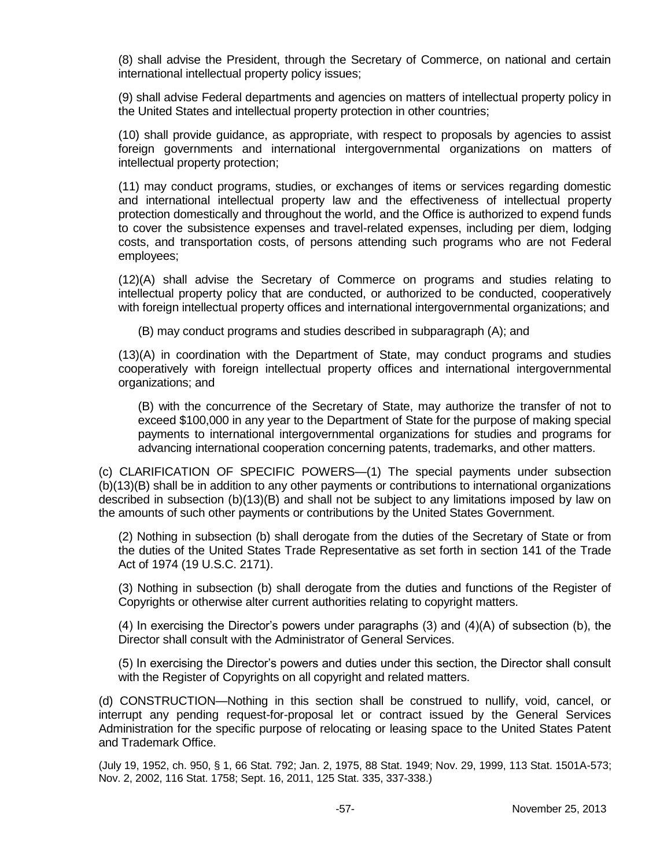(8) shall advise the President, through the Secretary of Commerce, on national and certain international intellectual property policy issues;

(9) shall advise Federal departments and agencies on matters of intellectual property policy in the United States and intellectual property protection in other countries;

(10) shall provide guidance, as appropriate, with respect to proposals by agencies to assist foreign governments and international intergovernmental organizations on matters of intellectual property protection;

(11) may conduct programs, studies, or exchanges of items or services regarding domestic and international intellectual property law and the effectiveness of intellectual property protection domestically and throughout the world, and the Office is authorized to expend funds to cover the subsistence expenses and travel-related expenses, including per diem, lodging costs, and transportation costs, of persons attending such programs who are not Federal employees;

(12)(A) shall advise the Secretary of Commerce on programs and studies relating to intellectual property policy that are conducted, or authorized to be conducted, cooperatively with foreign intellectual property offices and international intergovernmental organizations; and

(B) may conduct programs and studies described in subparagraph (A); and

(13)(A) in coordination with the Department of State, may conduct programs and studies cooperatively with foreign intellectual property offices and international intergovernmental organizations; and

(B) with the concurrence of the Secretary of State, may authorize the transfer of not to exceed \$100,000 in any year to the Department of State for the purpose of making special payments to international intergovernmental organizations for studies and programs for advancing international cooperation concerning patents, trademarks, and other matters.

(c) CLARIFICATION OF SPECIFIC POWERS—(1) The special payments under subsection (b)(13)(B) shall be in addition to any other payments or contributions to international organizations described in subsection (b)(13)(B) and shall not be subject to any limitations imposed by law on the amounts of such other payments or contributions by the United States Government.

(2) Nothing in subsection (b) shall derogate from the duties of the Secretary of State or from the duties of the United States Trade Representative as set forth in section 141 of the Trade Act of 1974 (19 U.S.C. 2171).

(3) Nothing in subsection (b) shall derogate from the duties and functions of the Register of Copyrights or otherwise alter current authorities relating to copyright matters.

(4) In exercising the Director's powers under paragraphs (3) and (4)(A) of subsection (b), the Director shall consult with the Administrator of General Services.

(5) In exercising the Director's powers and duties under this section, the Director shall consult with the Register of Copyrights on all copyright and related matters.

(d) CONSTRUCTION—Nothing in this section shall be construed to nullify, void, cancel, or interrupt any pending request-for-proposal let or contract issued by the General Services Administration for the specific purpose of relocating or leasing space to the United States Patent and Trademark Office.

(July 19, 1952, ch. 950, § 1, 66 Stat. 792; Jan. 2, 1975, 88 Stat. 1949; Nov. 29, 1999, 113 Stat. 1501A-573; Nov. 2, 2002, 116 Stat. 1758; Sept. 16, 2011, 125 Stat. 335, 337-338.)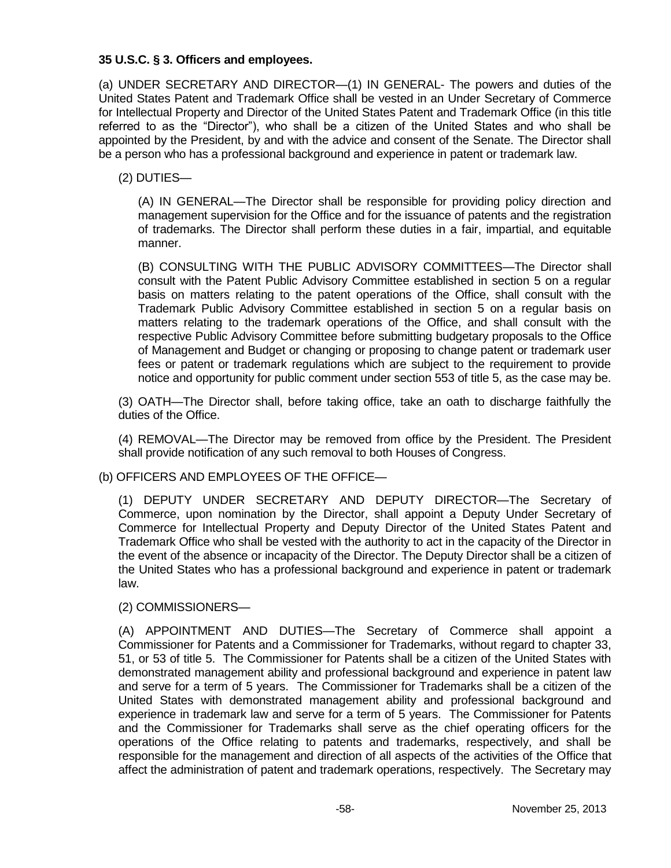### **35 U.S.C. § 3. Officers and employees.**

(a) UNDER SECRETARY AND DIRECTOR—(1) IN GENERAL- The powers and duties of the United States Patent and Trademark Office shall be vested in an Under Secretary of Commerce for Intellectual Property and Director of the United States Patent and Trademark Office (in this title referred to as the "Director"), who shall be a citizen of the United States and who shall be appointed by the President, by and with the advice and consent of the Senate. The Director shall be a person who has a professional background and experience in patent or trademark law.

(2) DUTIES—

(A) IN GENERAL—The Director shall be responsible for providing policy direction and management supervision for the Office and for the issuance of patents and the registration of trademarks. The Director shall perform these duties in a fair, impartial, and equitable manner.

(B) CONSULTING WITH THE PUBLIC ADVISORY COMMITTEES—The Director shall consult with the Patent Public Advisory Committee established in section 5 on a regular basis on matters relating to the patent operations of the Office, shall consult with the Trademark Public Advisory Committee established in section 5 on a regular basis on matters relating to the trademark operations of the Office, and shall consult with the respective Public Advisory Committee before submitting budgetary proposals to the Office of Management and Budget or changing or proposing to change patent or trademark user fees or patent or trademark regulations which are subject to the requirement to provide notice and opportunity for public comment under section 553 of title 5, as the case may be.

(3) OATH—The Director shall, before taking office, take an oath to discharge faithfully the duties of the Office.

(4) REMOVAL—The Director may be removed from office by the President. The President shall provide notification of any such removal to both Houses of Congress.

(b) OFFICERS AND EMPLOYEES OF THE OFFICE—

(1) DEPUTY UNDER SECRETARY AND DEPUTY DIRECTOR—The Secretary of Commerce, upon nomination by the Director, shall appoint a Deputy Under Secretary of Commerce for Intellectual Property and Deputy Director of the United States Patent and Trademark Office who shall be vested with the authority to act in the capacity of the Director in the event of the absence or incapacity of the Director. The Deputy Director shall be a citizen of the United States who has a professional background and experience in patent or trademark law.

(2) COMMISSIONERS—

(A) APPOINTMENT AND DUTIES—The Secretary of Commerce shall appoint a Commissioner for Patents and a Commissioner for Trademarks, without regard to chapter 33, 51, or 53 of title 5. The Commissioner for Patents shall be a citizen of the United States with demonstrated management ability and professional background and experience in patent law and serve for a term of 5 years. The Commissioner for Trademarks shall be a citizen of the United States with demonstrated management ability and professional background and experience in trademark law and serve for a term of 5 years. The Commissioner for Patents and the Commissioner for Trademarks shall serve as the chief operating officers for the operations of the Office relating to patents and trademarks, respectively, and shall be responsible for the management and direction of all aspects of the activities of the Office that affect the administration of patent and trademark operations, respectively. The Secretary may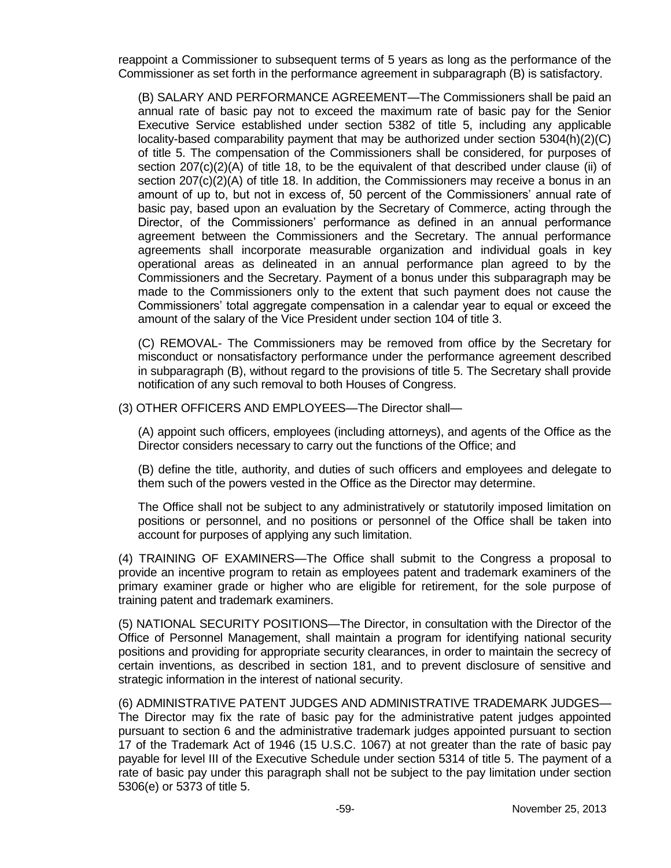reappoint a Commissioner to subsequent terms of 5 years as long as the performance of the Commissioner as set forth in the performance agreement in subparagraph (B) is satisfactory.

(B) SALARY AND PERFORMANCE AGREEMENT—The Commissioners shall be paid an annual rate of basic pay not to exceed the maximum rate of basic pay for the Senior Executive Service established under section 5382 of title 5, including any applicable locality-based comparability payment that may be authorized under section 5304(h)(2)(C) of title 5. The compensation of the Commissioners shall be considered, for purposes of section 207(c)(2)(A) of title 18, to be the equivalent of that described under clause (ii) of section 207(c)(2)(A) of title 18. In addition, the Commissioners may receive a bonus in an amount of up to, but not in excess of, 50 percent of the Commissioners' annual rate of basic pay, based upon an evaluation by the Secretary of Commerce, acting through the Director, of the Commissioners' performance as defined in an annual performance agreement between the Commissioners and the Secretary. The annual performance agreements shall incorporate measurable organization and individual goals in key operational areas as delineated in an annual performance plan agreed to by the Commissioners and the Secretary. Payment of a bonus under this subparagraph may be made to the Commissioners only to the extent that such payment does not cause the Commissioners' total aggregate compensation in a calendar year to equal or exceed the amount of the salary of the Vice President under section 104 of title 3.

(C) REMOVAL- The Commissioners may be removed from office by the Secretary for misconduct or nonsatisfactory performance under the performance agreement described in subparagraph (B), without regard to the provisions of title 5. The Secretary shall provide notification of any such removal to both Houses of Congress.

(3) OTHER OFFICERS AND EMPLOYEES—The Director shall—

(A) appoint such officers, employees (including attorneys), and agents of the Office as the Director considers necessary to carry out the functions of the Office; and

(B) define the title, authority, and duties of such officers and employees and delegate to them such of the powers vested in the Office as the Director may determine.

The Office shall not be subject to any administratively or statutorily imposed limitation on positions or personnel, and no positions or personnel of the Office shall be taken into account for purposes of applying any such limitation.

(4) TRAINING OF EXAMINERS—The Office shall submit to the Congress a proposal to provide an incentive program to retain as employees patent and trademark examiners of the primary examiner grade or higher who are eligible for retirement, for the sole purpose of training patent and trademark examiners.

(5) NATIONAL SECURITY POSITIONS—The Director, in consultation with the Director of the Office of Personnel Management, shall maintain a program for identifying national security positions and providing for appropriate security clearances, in order to maintain the secrecy of certain inventions, as described in section 181, and to prevent disclosure of sensitive and strategic information in the interest of national security.

(6) ADMINISTRATIVE PATENT JUDGES AND ADMINISTRATIVE TRADEMARK JUDGES— The Director may fix the rate of basic pay for the administrative patent judges appointed pursuant to section 6 and the administrative trademark judges appointed pursuant to section 17 of the Trademark Act of 1946 (15 U.S.C. 1067) at not greater than the rate of basic pay payable for level III of the Executive Schedule under section 5314 of title 5. The payment of a rate of basic pay under this paragraph shall not be subject to the pay limitation under section 5306(e) or 5373 of title 5.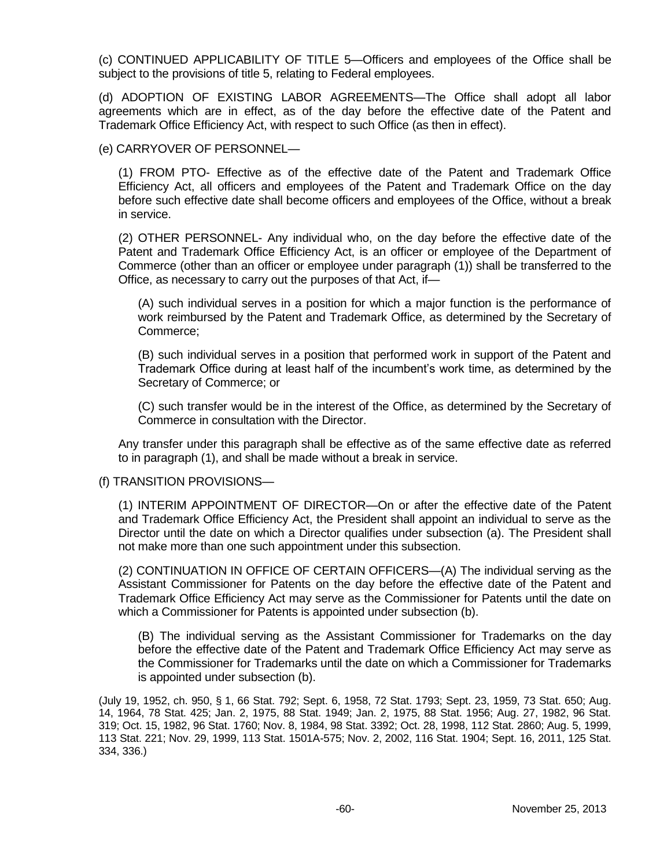(c) CONTINUED APPLICABILITY OF TITLE 5—Officers and employees of the Office shall be subject to the provisions of title 5, relating to Federal employees.

(d) ADOPTION OF EXISTING LABOR AGREEMENTS—The Office shall adopt all labor agreements which are in effect, as of the day before the effective date of the Patent and Trademark Office Efficiency Act, with respect to such Office (as then in effect).

(e) CARRYOVER OF PERSONNEL—

(1) FROM PTO- Effective as of the effective date of the Patent and Trademark Office Efficiency Act, all officers and employees of the Patent and Trademark Office on the day before such effective date shall become officers and employees of the Office, without a break in service.

(2) OTHER PERSONNEL- Any individual who, on the day before the effective date of the Patent and Trademark Office Efficiency Act, is an officer or employee of the Department of Commerce (other than an officer or employee under paragraph (1)) shall be transferred to the Office, as necessary to carry out the purposes of that Act, if—

(A) such individual serves in a position for which a major function is the performance of work reimbursed by the Patent and Trademark Office, as determined by the Secretary of Commerce;

(B) such individual serves in a position that performed work in support of the Patent and Trademark Office during at least half of the incumbent's work time, as determined by the Secretary of Commerce; or

(C) such transfer would be in the interest of the Office, as determined by the Secretary of Commerce in consultation with the Director.

Any transfer under this paragraph shall be effective as of the same effective date as referred to in paragraph (1), and shall be made without a break in service.

#### (f) TRANSITION PROVISIONS—

(1) INTERIM APPOINTMENT OF DIRECTOR—On or after the effective date of the Patent and Trademark Office Efficiency Act, the President shall appoint an individual to serve as the Director until the date on which a Director qualifies under subsection (a). The President shall not make more than one such appointment under this subsection.

(2) CONTINUATION IN OFFICE OF CERTAIN OFFICERS—(A) The individual serving as the Assistant Commissioner for Patents on the day before the effective date of the Patent and Trademark Office Efficiency Act may serve as the Commissioner for Patents until the date on which a Commissioner for Patents is appointed under subsection (b).

(B) The individual serving as the Assistant Commissioner for Trademarks on the day before the effective date of the Patent and Trademark Office Efficiency Act may serve as the Commissioner for Trademarks until the date on which a Commissioner for Trademarks is appointed under subsection (b).

(July 19, 1952, ch. 950, § 1, 66 Stat. 792; Sept. 6, 1958, 72 Stat. 1793; Sept. 23, 1959, 73 Stat. 650; Aug. 14, 1964, 78 Stat. 425; Jan. 2, 1975, 88 Stat. 1949; Jan. 2, 1975, 88 Stat. 1956; Aug. 27, 1982, 96 Stat. 319; Oct. 15, 1982, 96 Stat. 1760; Nov. 8, 1984, 98 Stat. 3392; Oct. 28, 1998, 112 Stat. 2860; Aug. 5, 1999, 113 Stat. 221; Nov. 29, 1999, 113 Stat. 1501A-575; Nov. 2, 2002, 116 Stat. 1904; Sept. 16, 2011, 125 Stat. 334, 336.)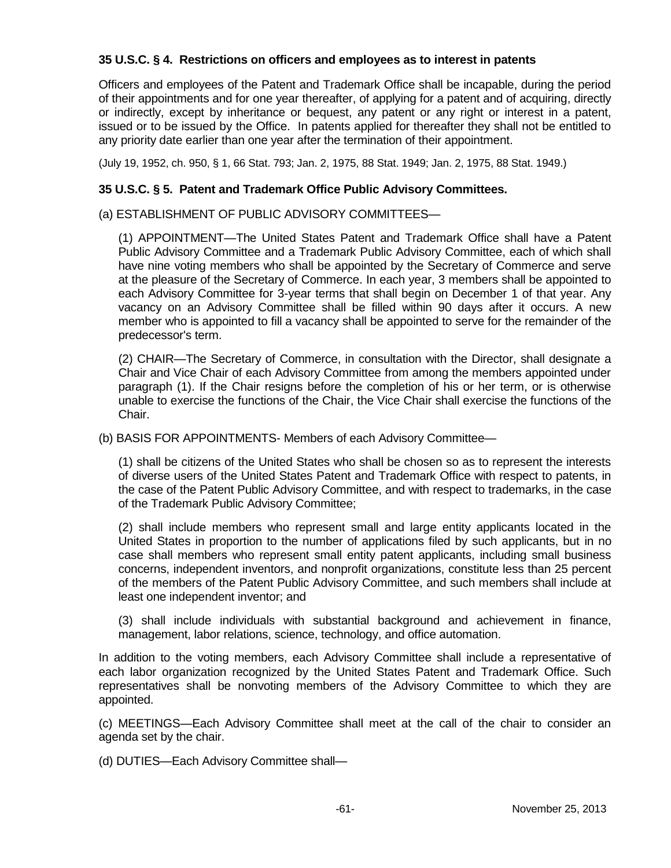# **35 U.S.C. § 4. Restrictions on officers and employees as to interest in patents**

Officers and employees of the Patent and Trademark Office shall be incapable, during the period of their appointments and for one year thereafter, of applying for a patent and of acquiring, directly or indirectly, except by inheritance or bequest, any patent or any right or interest in a patent, issued or to be issued by the Office. In patents applied for thereafter they shall not be entitled to any priority date earlier than one year after the termination of their appointment.

(July 19, 1952, ch. 950, § 1, 66 Stat. 793; Jan. 2, 1975, 88 Stat. 1949; Jan. 2, 1975, 88 Stat. 1949.)

# **35 U.S.C. § 5. Patent and Trademark Office Public Advisory Committees.**

(a) ESTABLISHMENT OF PUBLIC ADVISORY COMMITTEES—

(1) APPOINTMENT—The United States Patent and Trademark Office shall have a Patent Public Advisory Committee and a Trademark Public Advisory Committee, each of which shall have nine voting members who shall be appointed by the Secretary of Commerce and serve at the pleasure of the Secretary of Commerce. In each year, 3 members shall be appointed to each Advisory Committee for 3-year terms that shall begin on December 1 of that year. Any vacancy on an Advisory Committee shall be filled within 90 days after it occurs. A new member who is appointed to fill a vacancy shall be appointed to serve for the remainder of the predecessor's term.

(2) CHAIR—The Secretary of Commerce, in consultation with the Director, shall designate a Chair and Vice Chair of each Advisory Committee from among the members appointed under paragraph (1). If the Chair resigns before the completion of his or her term, or is otherwise unable to exercise the functions of the Chair, the Vice Chair shall exercise the functions of the Chair.

(b) BASIS FOR APPOINTMENTS- Members of each Advisory Committee—

(1) shall be citizens of the United States who shall be chosen so as to represent the interests of diverse users of the United States Patent and Trademark Office with respect to patents, in the case of the Patent Public Advisory Committee, and with respect to trademarks, in the case of the Trademark Public Advisory Committee;

(2) shall include members who represent small and large entity applicants located in the United States in proportion to the number of applications filed by such applicants, but in no case shall members who represent small entity patent applicants, including small business concerns, independent inventors, and nonprofit organizations, constitute less than 25 percent of the members of the Patent Public Advisory Committee, and such members shall include at least one independent inventor; and

(3) shall include individuals with substantial background and achievement in finance, management, labor relations, science, technology, and office automation.

In addition to the voting members, each Advisory Committee shall include a representative of each labor organization recognized by the United States Patent and Trademark Office. Such representatives shall be nonvoting members of the Advisory Committee to which they are appointed.

(c) MEETINGS—Each Advisory Committee shall meet at the call of the chair to consider an agenda set by the chair.

(d) DUTIES—Each Advisory Committee shall—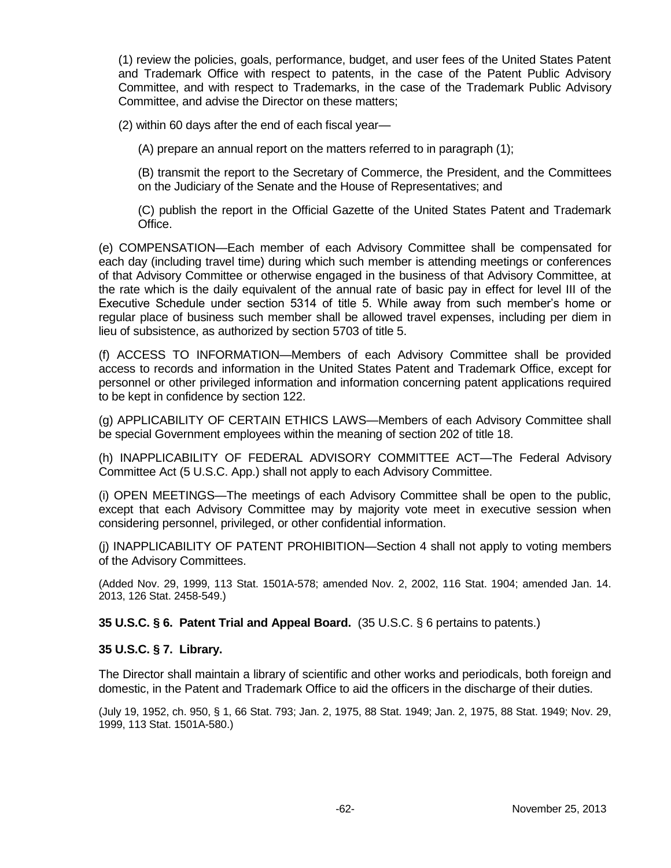(1) review the policies, goals, performance, budget, and user fees of the United States Patent and Trademark Office with respect to patents, in the case of the Patent Public Advisory Committee, and with respect to Trademarks, in the case of the Trademark Public Advisory Committee, and advise the Director on these matters;

(2) within 60 days after the end of each fiscal year—

(A) prepare an annual report on the matters referred to in paragraph (1);

(B) transmit the report to the Secretary of Commerce, the President, and the Committees on the Judiciary of the Senate and the House of Representatives; and

(C) publish the report in the Official Gazette of the United States Patent and Trademark Office.

(e) COMPENSATION—Each member of each Advisory Committee shall be compensated for each day (including travel time) during which such member is attending meetings or conferences of that Advisory Committee or otherwise engaged in the business of that Advisory Committee, at the rate which is the daily equivalent of the annual rate of basic pay in effect for level III of the Executive Schedule under section 5314 of title 5. While away from such member's home or regular place of business such member shall be allowed travel expenses, including per diem in lieu of subsistence, as authorized by section 5703 of title 5.

(f) ACCESS TO INFORMATION—Members of each Advisory Committee shall be provided access to records and information in the United States Patent and Trademark Office, except for personnel or other privileged information and information concerning patent applications required to be kept in confidence by section 122.

(g) APPLICABILITY OF CERTAIN ETHICS LAWS—Members of each Advisory Committee shall be special Government employees within the meaning of section 202 of title 18.

(h) INAPPLICABILITY OF FEDERAL ADVISORY COMMITTEE ACT—The Federal Advisory Committee Act (5 U.S.C. App.) shall not apply to each Advisory Committee.

(i) OPEN MEETINGS—The meetings of each Advisory Committee shall be open to the public, except that each Advisory Committee may by majority vote meet in executive session when considering personnel, privileged, or other confidential information.

(j) INAPPLICABILITY OF PATENT PROHIBITION—Section 4 shall not apply to voting members of the Advisory Committees.

(Added Nov. 29, 1999, 113 Stat. 1501A-578; amended Nov. 2, 2002, 116 Stat. 1904; amended Jan. 14. 2013, 126 Stat. 2458-549.)

**35 U.S.C. § 6. Patent Trial and Appeal Board.** (35 U.S.C. § 6 pertains to patents.)

# **35 U.S.C. § 7. Library.**

The Director shall maintain a library of scientific and other works and periodicals, both foreign and domestic, in the Patent and Trademark Office to aid the officers in the discharge of their duties.

(July 19, 1952, ch. 950, § 1, 66 Stat. 793; Jan. 2, 1975, 88 Stat. 1949; Jan. 2, 1975, 88 Stat. 1949; Nov. 29, 1999, 113 Stat. 1501A-580.)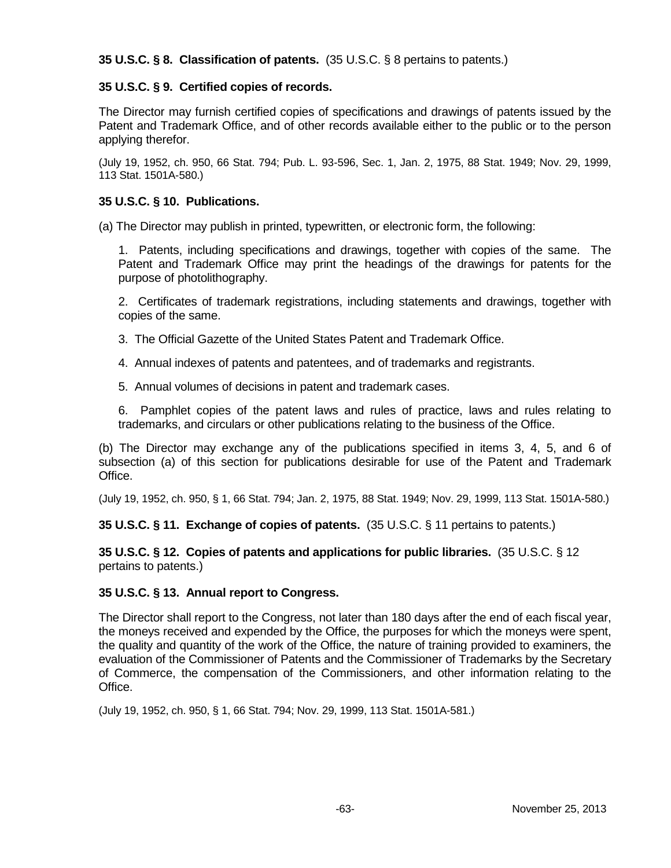# **35 U.S.C. § 8. Classification of patents.** (35 U.S.C. § 8 pertains to patents.)

### **35 U.S.C. § 9. Certified copies of records.**

The Director may furnish certified copies of specifications and drawings of patents issued by the Patent and Trademark Office, and of other records available either to the public or to the person applying therefor.

(July 19, 1952, ch. 950, 66 Stat. 794; Pub. L. 93-596, Sec. 1, Jan. 2, 1975, 88 Stat. 1949; Nov. 29, 1999, 113 Stat. 1501A-580.)

#### **35 U.S.C. § 10. Publications.**

(a) The Director may publish in printed, typewritten, or electronic form, the following:

1. Patents, including specifications and drawings, together with copies of the same. The Patent and Trademark Office may print the headings of the drawings for patents for the purpose of photolithography.

2. Certificates of trademark registrations, including statements and drawings, together with copies of the same.

3. The Official Gazette of the United States Patent and Trademark Office.

4. Annual indexes of patents and patentees, and of trademarks and registrants.

5. Annual volumes of decisions in patent and trademark cases.

6. Pamphlet copies of the patent laws and rules of practice, laws and rules relating to trademarks, and circulars or other publications relating to the business of the Office.

(b) The Director may exchange any of the publications specified in items 3, 4, 5, and 6 of subsection (a) of this section for publications desirable for use of the Patent and Trademark Office.

(July 19, 1952, ch. 950, § 1, 66 Stat. 794; Jan. 2, 1975, 88 Stat. 1949; Nov. 29, 1999, 113 Stat. 1501A-580.)

**35 U.S.C. § 11. Exchange of copies of patents.** (35 U.S.C. § 11 pertains to patents.)

**35 U.S.C. § 12. Copies of patents and applications for public libraries.** (35 U.S.C. § 12 pertains to patents.)

#### **35 U.S.C. § 13. Annual report to Congress.**

The Director shall report to the Congress, not later than 180 days after the end of each fiscal year, the moneys received and expended by the Office, the purposes for which the moneys were spent, the quality and quantity of the work of the Office, the nature of training provided to examiners, the evaluation of the Commissioner of Patents and the Commissioner of Trademarks by the Secretary of Commerce, the compensation of the Commissioners, and other information relating to the Office.

(July 19, 1952, ch. 950, § 1, 66 Stat. 794; Nov. 29, 1999, 113 Stat. 1501A-581.)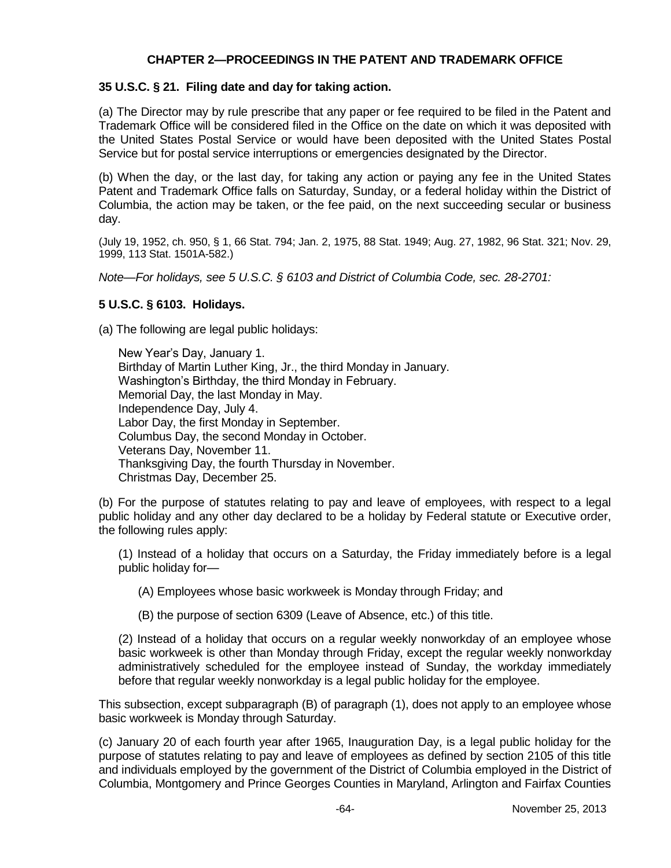# **CHAPTER 2—PROCEEDINGS IN THE PATENT AND TRADEMARK OFFICE**

### **35 U.S.C. § 21. Filing date and day for taking action.**

(a) The Director may by rule prescribe that any paper or fee required to be filed in the Patent and Trademark Office will be considered filed in the Office on the date on which it was deposited with the United States Postal Service or would have been deposited with the United States Postal Service but for postal service interruptions or emergencies designated by the Director.

(b) When the day, or the last day, for taking any action or paying any fee in the United States Patent and Trademark Office falls on Saturday, Sunday, or a federal holiday within the District of Columbia, the action may be taken, or the fee paid, on the next succeeding secular or business day.

(July 19, 1952, ch. 950, § 1, 66 Stat. 794; Jan. 2, 1975, 88 Stat. 1949; Aug. 27, 1982, 96 Stat. 321; Nov. 29, 1999, 113 Stat. 1501A-582.)

*Note—For holidays, see 5 U.S.C. § 6103 and District of Columbia Code, sec. 28-2701:*

#### **5 U.S.C. § 6103. Holidays.**

(a) The following are legal public holidays:

New Year's Day, January 1. Birthday of Martin Luther King, Jr., the third Monday in January. Washington's Birthday, the third Monday in February. Memorial Day, the last Monday in May. Independence Day, July 4. Labor Day, the first Monday in September. Columbus Day, the second Monday in October. Veterans Day, November 11. Thanksgiving Day, the fourth Thursday in November. Christmas Day, December 25.

(b) For the purpose of statutes relating to pay and leave of employees, with respect to a legal public holiday and any other day declared to be a holiday by Federal statute or Executive order, the following rules apply:

(1) Instead of a holiday that occurs on a Saturday, the Friday immediately before is a legal public holiday for—

(A) Employees whose basic workweek is Monday through Friday; and

(B) the purpose of section 6309 (Leave of Absence, etc.) of this title.

(2) Instead of a holiday that occurs on a regular weekly nonworkday of an employee whose basic workweek is other than Monday through Friday, except the regular weekly nonworkday administratively scheduled for the employee instead of Sunday, the workday immediately before that regular weekly nonworkday is a legal public holiday for the employee.

This subsection, except subparagraph (B) of paragraph (1), does not apply to an employee whose basic workweek is Monday through Saturday.

(c) January 20 of each fourth year after 1965, Inauguration Day, is a legal public holiday for the purpose of statutes relating to pay and leave of employees as defined by section 2105 of this title and individuals employed by the government of the District of Columbia employed in the District of Columbia, Montgomery and Prince Georges Counties in Maryland, Arlington and Fairfax Counties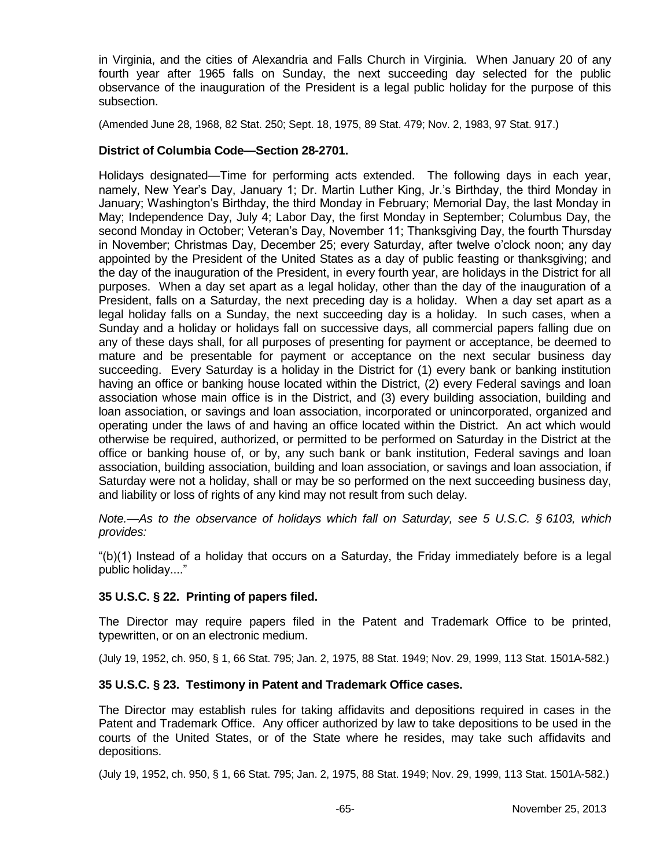in Virginia, and the cities of Alexandria and Falls Church in Virginia. When January 20 of any fourth year after 1965 falls on Sunday, the next succeeding day selected for the public observance of the inauguration of the President is a legal public holiday for the purpose of this subsection.

(Amended June 28, 1968, 82 Stat. 250; Sept. 18, 1975, 89 Stat. 479; Nov. 2, 1983, 97 Stat. 917.)

### **District of Columbia Code—Section 28-2701.**

Holidays designated—Time for performing acts extended. The following days in each year, namely, New Year's Day, January 1; Dr. Martin Luther King, Jr.'s Birthday, the third Monday in January; Washington's Birthday, the third Monday in February; Memorial Day, the last Monday in May; Independence Day, July 4; Labor Day, the first Monday in September; Columbus Day, the second Monday in October; Veteran's Day, November 11; Thanksgiving Day, the fourth Thursday in November; Christmas Day, December 25; every Saturday, after twelve o'clock noon; any day appointed by the President of the United States as a day of public feasting or thanksgiving; and the day of the inauguration of the President, in every fourth year, are holidays in the District for all purposes. When a day set apart as a legal holiday, other than the day of the inauguration of a President, falls on a Saturday, the next preceding day is a holiday. When a day set apart as a legal holiday falls on a Sunday, the next succeeding day is a holiday. In such cases, when a Sunday and a holiday or holidays fall on successive days, all commercial papers falling due on any of these days shall, for all purposes of presenting for payment or acceptance, be deemed to mature and be presentable for payment or acceptance on the next secular business day succeeding. Every Saturday is a holiday in the District for (1) every bank or banking institution having an office or banking house located within the District, (2) every Federal savings and loan association whose main office is in the District, and (3) every building association, building and loan association, or savings and loan association, incorporated or unincorporated, organized and operating under the laws of and having an office located within the District. An act which would otherwise be required, authorized, or permitted to be performed on Saturday in the District at the office or banking house of, or by, any such bank or bank institution, Federal savings and loan association, building association, building and loan association, or savings and loan association, if Saturday were not a holiday, shall or may be so performed on the next succeeding business day, and liability or loss of rights of any kind may not result from such delay.

*Note.—As to the observance of holidays which fall on Saturday, see 5 U.S.C. § 6103, which provides:*

"(b)(1) Instead of a holiday that occurs on a Saturday, the Friday immediately before is a legal public holiday...."

#### **35 U.S.C. § 22. Printing of papers filed.**

The Director may require papers filed in the Patent and Trademark Office to be printed, typewritten, or on an electronic medium.

(July 19, 1952, ch. 950, § 1, 66 Stat. 795; Jan. 2, 1975, 88 Stat. 1949; Nov. 29, 1999, 113 Stat. 1501A-582.)

#### **35 U.S.C. § 23. Testimony in Patent and Trademark Office cases.**

The Director may establish rules for taking affidavits and depositions required in cases in the Patent and Trademark Office. Any officer authorized by law to take depositions to be used in the courts of the United States, or of the State where he resides, may take such affidavits and depositions.

(July 19, 1952, ch. 950, § 1, 66 Stat. 795; Jan. 2, 1975, 88 Stat. 1949; Nov. 29, 1999, 113 Stat. 1501A-582.)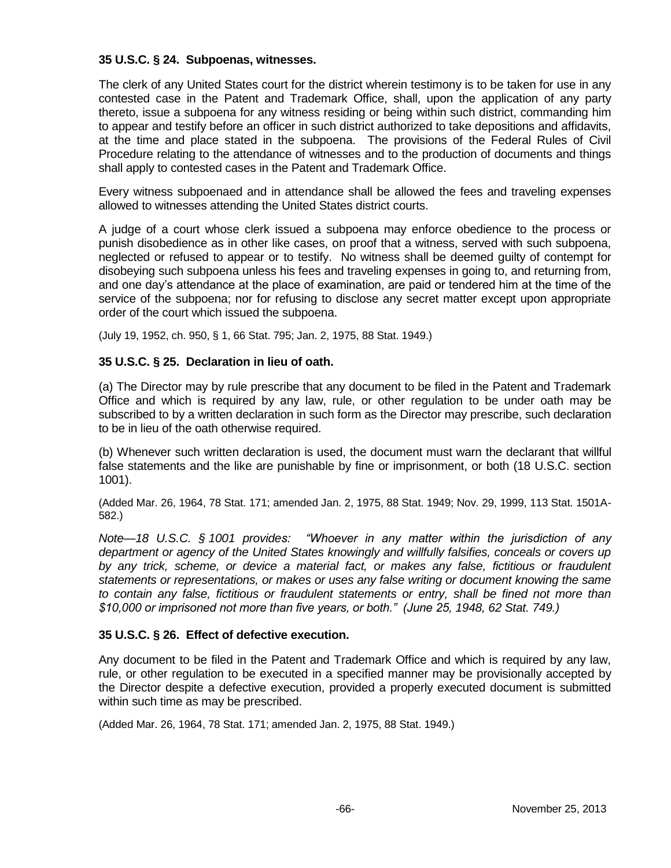### **35 U.S.C. § 24. Subpoenas, witnesses.**

The clerk of any United States court for the district wherein testimony is to be taken for use in any contested case in the Patent and Trademark Office, shall, upon the application of any party thereto, issue a subpoena for any witness residing or being within such district, commanding him to appear and testify before an officer in such district authorized to take depositions and affidavits, at the time and place stated in the subpoena. The provisions of the Federal Rules of Civil Procedure relating to the attendance of witnesses and to the production of documents and things shall apply to contested cases in the Patent and Trademark Office.

Every witness subpoenaed and in attendance shall be allowed the fees and traveling expenses allowed to witnesses attending the United States district courts.

A judge of a court whose clerk issued a subpoena may enforce obedience to the process or punish disobedience as in other like cases, on proof that a witness, served with such subpoena, neglected or refused to appear or to testify. No witness shall be deemed guilty of contempt for disobeying such subpoena unless his fees and traveling expenses in going to, and returning from, and one day's attendance at the place of examination, are paid or tendered him at the time of the service of the subpoena; nor for refusing to disclose any secret matter except upon appropriate order of the court which issued the subpoena.

(July 19, 1952, ch. 950, § 1, 66 Stat. 795; Jan. 2, 1975, 88 Stat. 1949.)

### **35 U.S.C. § 25. Declaration in lieu of oath.**

(a) The Director may by rule prescribe that any document to be filed in the Patent and Trademark Office and which is required by any law, rule, or other regulation to be under oath may be subscribed to by a written declaration in such form as the Director may prescribe, such declaration to be in lieu of the oath otherwise required.

(b) Whenever such written declaration is used, the document must warn the declarant that willful false statements and the like are punishable by fine or imprisonment, or both (18 U.S.C. section 1001).

(Added Mar. 26, 1964, 78 Stat. 171; amended Jan. 2, 1975, 88 Stat. 1949; Nov. 29, 1999, 113 Stat. 1501A-582.)

*Note—18 U.S.C. § 1001 provides: "Whoever in any matter within the jurisdiction of any department or agency of the United States knowingly and willfully falsifies, conceals or covers up by any trick, scheme, or device a material fact, or makes any false, fictitious or fraudulent statements or representations, or makes or uses any false writing or document knowing the same to contain any false, fictitious or fraudulent statements or entry, shall be fined not more than \$10,000 or imprisoned not more than five years, or both." (June 25, 1948, 62 Stat. 749.)*

#### **35 U.S.C. § 26. Effect of defective execution.**

Any document to be filed in the Patent and Trademark Office and which is required by any law, rule, or other regulation to be executed in a specified manner may be provisionally accepted by the Director despite a defective execution, provided a properly executed document is submitted within such time as may be prescribed.

(Added Mar. 26, 1964, 78 Stat. 171; amended Jan. 2, 1975, 88 Stat. 1949.)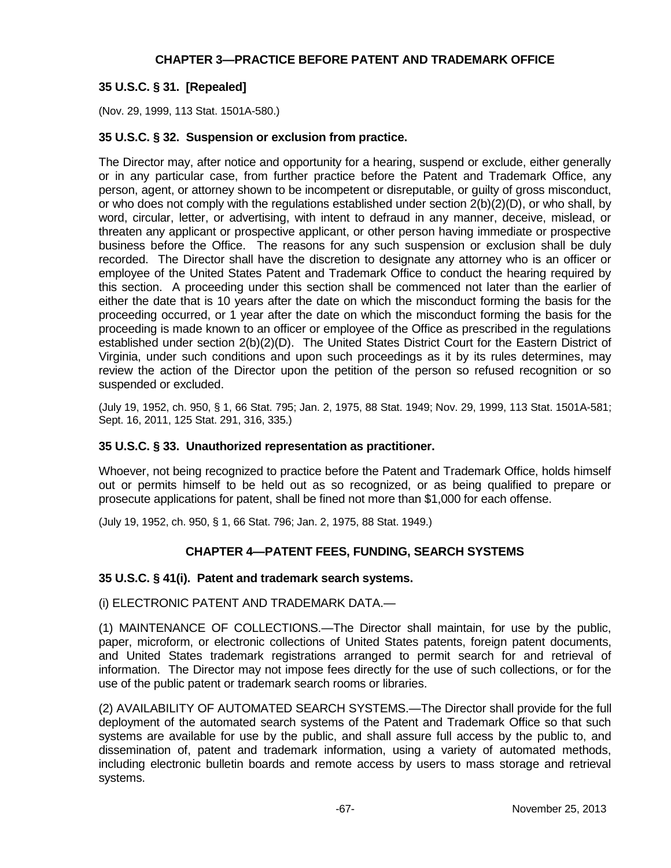# **CHAPTER 3—PRACTICE BEFORE PATENT AND TRADEMARK OFFICE**

# **35 U.S.C. § 31. [Repealed]**

(Nov. 29, 1999, 113 Stat. 1501A-580.)

### **35 U.S.C. § 32. Suspension or exclusion from practice.**

The Director may, after notice and opportunity for a hearing, suspend or exclude, either generally or in any particular case, from further practice before the Patent and Trademark Office, any person, agent, or attorney shown to be incompetent or disreputable, or guilty of gross misconduct, or who does not comply with the regulations established under section 2(b)(2)(D), or who shall, by word, circular, letter, or advertising, with intent to defraud in any manner, deceive, mislead, or threaten any applicant or prospective applicant, or other person having immediate or prospective business before the Office. The reasons for any such suspension or exclusion shall be duly recorded. The Director shall have the discretion to designate any attorney who is an officer or employee of the United States Patent and Trademark Office to conduct the hearing required by this section. A proceeding under this section shall be commenced not later than the earlier of either the date that is 10 years after the date on which the misconduct forming the basis for the proceeding occurred, or 1 year after the date on which the misconduct forming the basis for the proceeding is made known to an officer or employee of the Office as prescribed in the regulations established under section 2(b)(2)(D). The United States District Court for the Eastern District of Virginia, under such conditions and upon such proceedings as it by its rules determines, may review the action of the Director upon the petition of the person so refused recognition or so suspended or excluded.

(July 19, 1952, ch. 950, § 1, 66 Stat. 795; Jan. 2, 1975, 88 Stat. 1949; Nov. 29, 1999, 113 Stat. 1501A-581; Sept. 16, 2011, 125 Stat. 291, 316, 335.)

#### **35 U.S.C. § 33. Unauthorized representation as practitioner.**

Whoever, not being recognized to practice before the Patent and Trademark Office, holds himself out or permits himself to be held out as so recognized, or as being qualified to prepare or prosecute applications for patent, shall be fined not more than \$1,000 for each offense.

(July 19, 1952, ch. 950, § 1, 66 Stat. 796; Jan. 2, 1975, 88 Stat. 1949.)

# **CHAPTER 4—PATENT FEES, FUNDING, SEARCH SYSTEMS**

#### **35 U.S.C. § 41(i). Patent and trademark search systems.**

(i) ELECTRONIC PATENT AND TRADEMARK DATA.—

(1) MAINTENANCE OF COLLECTIONS.—The Director shall maintain, for use by the public, paper, microform, or electronic collections of United States patents, foreign patent documents, and United States trademark registrations arranged to permit search for and retrieval of information. The Director may not impose fees directly for the use of such collections, or for the use of the public patent or trademark search rooms or libraries.

(2) AVAILABILITY OF AUTOMATED SEARCH SYSTEMS.—The Director shall provide for the full deployment of the automated search systems of the Patent and Trademark Office so that such systems are available for use by the public, and shall assure full access by the public to, and dissemination of, patent and trademark information, using a variety of automated methods, including electronic bulletin boards and remote access by users to mass storage and retrieval systems.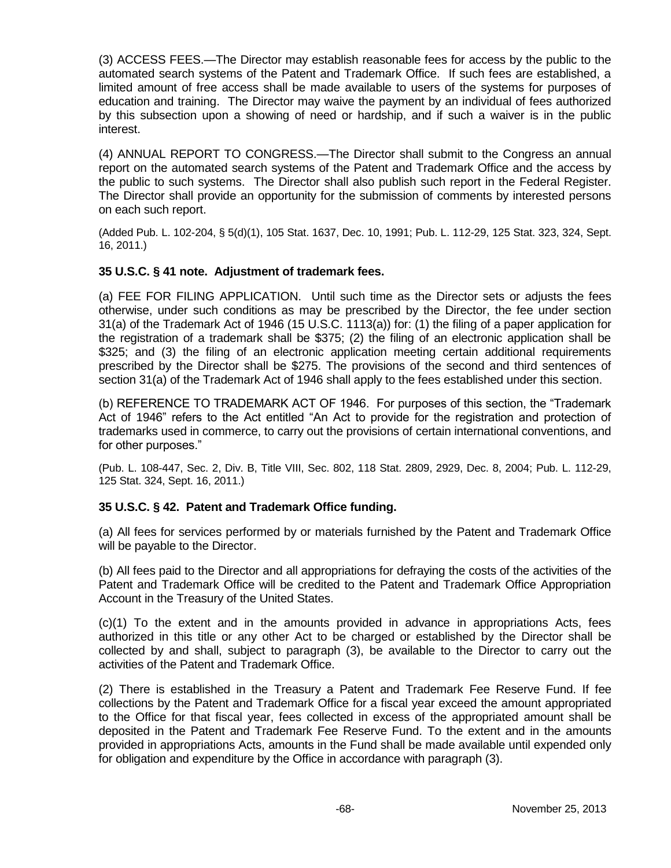(3) ACCESS FEES.—The Director may establish reasonable fees for access by the public to the automated search systems of the Patent and Trademark Office. If such fees are established, a limited amount of free access shall be made available to users of the systems for purposes of education and training. The Director may waive the payment by an individual of fees authorized by this subsection upon a showing of need or hardship, and if such a waiver is in the public interest.

(4) ANNUAL REPORT TO CONGRESS.—The Director shall submit to the Congress an annual report on the automated search systems of the Patent and Trademark Office and the access by the public to such systems. The Director shall also publish such report in the Federal Register. The Director shall provide an opportunity for the submission of comments by interested persons on each such report.

(Added Pub. L. 102-204, § 5(d)(1), 105 Stat. 1637, Dec. 10, 1991; Pub. L. 112-29, 125 Stat. 323, 324, Sept. 16, 2011.)

### **35 U.S.C. § 41 note. Adjustment of trademark fees.**

(a) FEE FOR FILING APPLICATION. Until such time as the Director sets or adjusts the fees otherwise, under such conditions as may be prescribed by the Director, the fee under section 31(a) of the Trademark Act of 1946 (15 U.S.C. 1113(a)) for: (1) the filing of a paper application for the registration of a trademark shall be \$375; (2) the filing of an electronic application shall be \$325; and (3) the filing of an electronic application meeting certain additional requirements prescribed by the Director shall be \$275. The provisions of the second and third sentences of section 31(a) of the Trademark Act of 1946 shall apply to the fees established under this section.

(b) REFERENCE TO TRADEMARK ACT OF 1946. For purposes of this section, the "Trademark Act of 1946" refers to the Act entitled "An Act to provide for the registration and protection of trademarks used in commerce, to carry out the provisions of certain international conventions, and for other purposes."

(Pub. L. 108-447, Sec. 2, Div. B, Title VIII, Sec. 802, 118 Stat. 2809, 2929, Dec. 8, 2004; Pub. L. 112-29, 125 Stat. 324, Sept. 16, 2011.)

# **35 U.S.C. § 42. Patent and Trademark Office funding.**

(a) All fees for services performed by or materials furnished by the Patent and Trademark Office will be payable to the Director.

(b) All fees paid to the Director and all appropriations for defraying the costs of the activities of the Patent and Trademark Office will be credited to the Patent and Trademark Office Appropriation Account in the Treasury of the United States.

(c)(1) To the extent and in the amounts provided in advance in appropriations Acts, fees authorized in this title or any other Act to be charged or established by the Director shall be collected by and shall, subject to paragraph (3), be available to the Director to carry out the activities of the Patent and Trademark Office.

(2) There is established in the Treasury a Patent and Trademark Fee Reserve Fund. If fee collections by the Patent and Trademark Office for a fiscal year exceed the amount appropriated to the Office for that fiscal year, fees collected in excess of the appropriated amount shall be deposited in the Patent and Trademark Fee Reserve Fund. To the extent and in the amounts provided in appropriations Acts, amounts in the Fund shall be made available until expended only for obligation and expenditure by the Office in accordance with paragraph (3).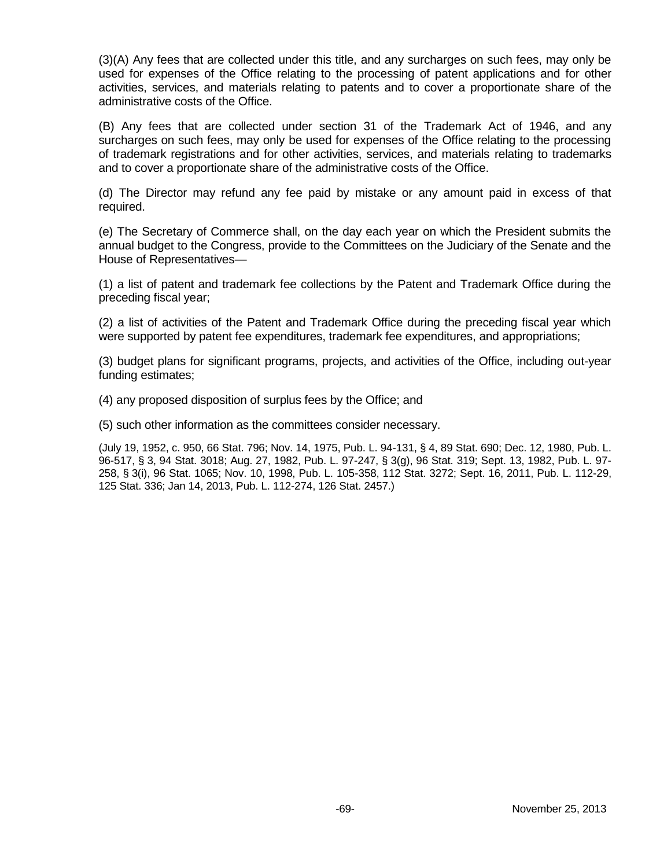(3)(A) Any fees that are collected under this title, and any surcharges on such fees, may only be used for expenses of the Office relating to the processing of patent applications and for other activities, services, and materials relating to patents and to cover a proportionate share of the administrative costs of the Office.

(B) Any fees that are collected under section 31 of the Trademark Act of 1946, and any surcharges on such fees, may only be used for expenses of the Office relating to the processing of trademark registrations and for other activities, services, and materials relating to trademarks and to cover a proportionate share of the administrative costs of the Office.

(d) The Director may refund any fee paid by mistake or any amount paid in excess of that required.

(e) The Secretary of Commerce shall, on the day each year on which the President submits the annual budget to the Congress, provide to the Committees on the Judiciary of the Senate and the House of Representatives—

(1) a list of patent and trademark fee collections by the Patent and Trademark Office during the preceding fiscal year;

(2) a list of activities of the Patent and Trademark Office during the preceding fiscal year which were supported by patent fee expenditures, trademark fee expenditures, and appropriations;

(3) budget plans for significant programs, projects, and activities of the Office, including out-year funding estimates;

(4) any proposed disposition of surplus fees by the Office; and

(5) such other information as the committees consider necessary.

(July 19, 1952, c. 950, 66 Stat. 796; Nov. 14, 1975, Pub. L. 94-131, § 4, 89 Stat. 690; Dec. 12, 1980, Pub. L. 96-517, § 3, 94 Stat. 3018; Aug. 27, 1982, Pub. L. 97-247, § 3(g), 96 Stat. 319; Sept. 13, 1982, Pub. L. 97- 258, § 3(i), 96 Stat. 1065; Nov. 10, 1998, Pub. L. 105-358, 112 Stat. 3272; Sept. 16, 2011, Pub. L. 112-29, 125 Stat. 336; Jan 14, 2013, Pub. L. 112-274, 126 Stat. 2457.)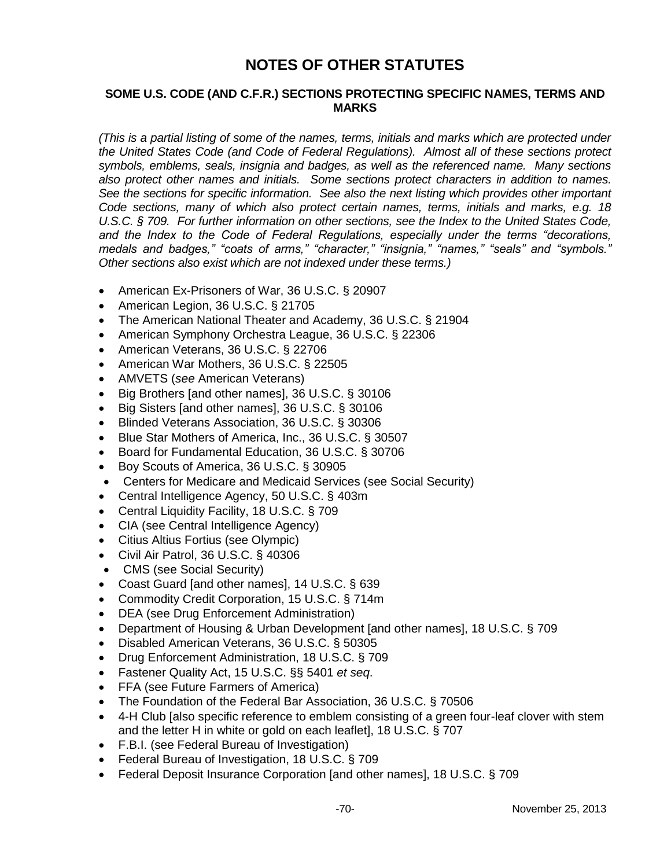# **NOTES OF OTHER STATUTES**

# **SOME U.S. CODE (AND C.F.R.) SECTIONS PROTECTING SPECIFIC NAMES, TERMS AND MARKS**

*(This is a partial listing of some of the names, terms, initials and marks which are protected under the United States Code (and Code of Federal Regulations). Almost all of these sections protect symbols, emblems, seals, insignia and badges, as well as the referenced name. Many sections also protect other names and initials. Some sections protect characters in addition to names. See the sections for specific information. See also the next listing which provides other important Code sections, many of which also protect certain names, terms, initials and marks, e.g. 18 U.S.C. § 709. For further information on other sections, see the Index to the United States Code, and the Index to the Code of Federal Regulations, especially under the terms "decorations, medals and badges," "coats of arms," "character," "insignia," "names," "seals" and "symbols." Other sections also exist which are not indexed under these terms.)*

- American Ex-Prisoners of War, 36 U.S.C. § 20907
- American Legion, 36 U.S.C. § 21705
- The American National Theater and Academy, 36 U.S.C. § 21904
- American Symphony Orchestra League, 36 U.S.C. § 22306
- American Veterans, 36 U.S.C. § 22706
- American War Mothers, 36 U.S.C. § 22505
- AMVETS (*see* American Veterans)
- Big Brothers [and other names], 36 U.S.C. § 30106
- Big Sisters [and other names], 36 U.S.C. § 30106
- Blinded Veterans Association, 36 U.S.C. § 30306
- Blue Star Mothers of America, Inc., 36 U.S.C. § 30507
- Board for Fundamental Education, 36 U.S.C. § 30706
- Boy Scouts of America, 36 U.S.C. § 30905
- Centers for Medicare and Medicaid Services (see Social Security)
- Central Intelligence Agency, 50 U.S.C. § 403m
- Central Liquidity Facility, 18 U.S.C. § 709
- CIA (see Central Intelligence Agency)
- Citius Altius Fortius (see Olympic)
- Civil Air Patrol, 36 U.S.C. § 40306
- CMS (see Social Security)
- Coast Guard [and other names], 14 U.S.C. § 639
- Commodity Credit Corporation, 15 U.S.C. § 714m
- DEA (see Drug Enforcement Administration)
- Department of Housing & Urban Development [and other names], 18 U.S.C. § 709
- Disabled American Veterans, 36 U.S.C. § 50305
- Drug Enforcement Administration, 18 U.S.C. § 709
- Fastener Quality Act, 15 U.S.C. §§ 5401 *et seq*.
- FFA (see Future Farmers of America)
- The Foundation of the Federal Bar Association, 36 U.S.C. § 70506
- 4-H Club [also specific reference to emblem consisting of a green four-leaf clover with stem and the letter H in white or gold on each leaflet], 18 U.S.C. § 707
- F.B.I. (see Federal Bureau of Investigation)
- Federal Bureau of Investigation, 18 U.S.C. § 709
- Federal Deposit Insurance Corporation [and other names], 18 U.S.C. § 709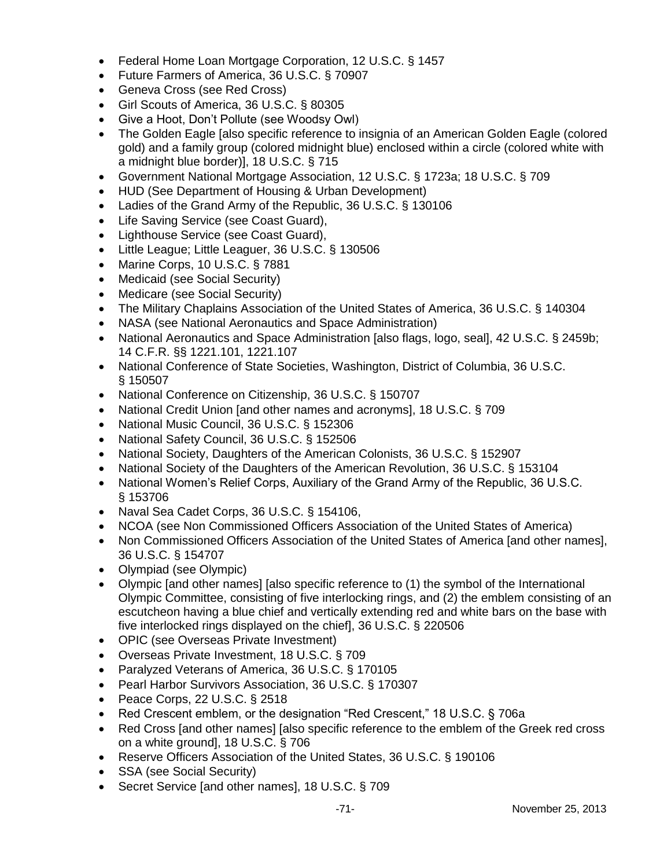- Federal Home Loan Mortgage Corporation, 12 U.S.C. § 1457
- Future Farmers of America, 36 U.S.C. § 70907
- Geneva Cross (see Red Cross)
- Girl Scouts of America, 36 U.S.C. § 80305
- Give a Hoot, Don't Pollute (see Woodsy Owl)
- The Golden Eagle [also specific reference to insignia of an American Golden Eagle (colored gold) and a family group (colored midnight blue) enclosed within a circle (colored white with a midnight blue border)], 18 U.S.C. § 715
- Government National Mortgage Association, 12 U.S.C. § 1723a; 18 U.S.C. § 709
- HUD (See Department of Housing & Urban Development)
- Ladies of the Grand Army of the Republic, 36 U.S.C. § 130106
- Life Saving Service (see Coast Guard),
- Lighthouse Service (see Coast Guard),
- Little League; Little Leaguer, 36 U.S.C. § 130506
- Marine Corps, 10 U.S.C. § 7881
- Medicaid (see Social Security)
- Medicare (see Social Security)
- The Military Chaplains Association of the United States of America, 36 U.S.C. § 140304
- NASA (see National Aeronautics and Space Administration)
- National Aeronautics and Space Administration [also flags, logo, seal], 42 U.S.C. § 2459b; 14 C.F.R. §§ 1221.101, 1221.107
- National Conference of State Societies, Washington, District of Columbia, 36 U.S.C. § 150507
- National Conference on Citizenship, 36 U.S.C. § 150707
- National Credit Union [and other names and acronyms], 18 U.S.C. § 709
- National Music Council, 36 U.S.C. § 152306
- National Safety Council, 36 U.S.C. § 152506
- National Society, Daughters of the American Colonists, 36 U.S.C. § 152907
- National Society of the Daughters of the American Revolution, 36 U.S.C. § 153104
- National Women's Relief Corps, Auxiliary of the Grand Army of the Republic, 36 U.S.C. § 153706
- Naval Sea Cadet Corps, 36 U.S.C. § 154106,
- NCOA (see Non Commissioned Officers Association of the United States of America)
- Non Commissioned Officers Association of the United States of America [and other names], 36 U.S.C. § 154707
- Olympiad (see Olympic)
- Olympic [and other names] [also specific reference to (1) the symbol of the International Olympic Committee, consisting of five interlocking rings, and (2) the emblem consisting of an escutcheon having a blue chief and vertically extending red and white bars on the base with five interlocked rings displayed on the chief], 36 U.S.C. § 220506
- OPIC (see Overseas Private Investment)
- Overseas Private Investment, 18 U.S.C. § 709
- Paralyzed Veterans of America, 36 U.S.C. § 170105
- Pearl Harbor Survivors Association, 36 U.S.C. § 170307
- $\bullet$  Peace Corps, 22 U.S.C. § 2518
- Red Crescent emblem, or the designation "Red Crescent," 18 U.S.C. § 706a
- Red Cross [and other names] [also specific reference to the emblem of the Greek red cross on a white ground], 18 U.S.C. § 706
- Reserve Officers Association of the United States, 36 U.S.C. § 190106
- SSA (see Social Security)
- Secret Service [and other names], 18 U.S.C. § 709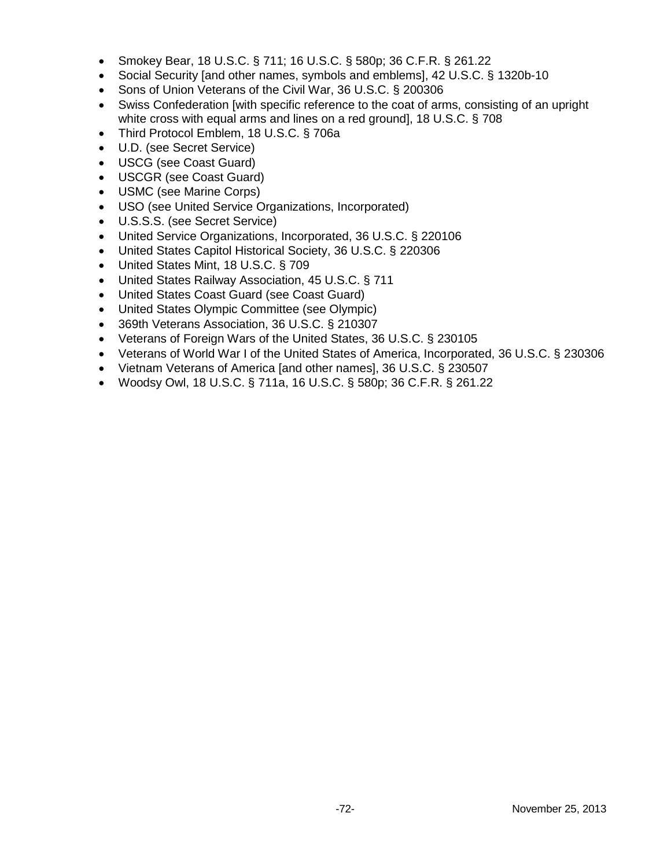- Smokey Bear, 18 U.S.C. § 711; 16 U.S.C. § 580p; 36 C.F.R. § 261.22
- Social Security [and other names, symbols and emblems], 42 U.S.C. § 1320b-10
- Sons of Union Veterans of the Civil War, 36 U.S.C. § 200306
- Swiss Confederation [with specific reference to the coat of arms, consisting of an upright white cross with equal arms and lines on a red ground], 18 U.S.C. § 708
- Third Protocol Emblem, 18 U.S.C. § 706a
- U.D. (see Secret Service)
- USCG (see Coast Guard)
- USCGR (see Coast Guard)
- USMC (see Marine Corps)
- USO (see United Service Organizations, Incorporated)
- U.S.S.S. (see Secret Service)
- United Service Organizations, Incorporated, 36 U.S.C. § 220106
- United States Capitol Historical Society, 36 U.S.C. § 220306
- United States Mint, 18 U.S.C. § 709
- United States Railway Association, 45 U.S.C. § 711
- United States Coast Guard (see Coast Guard)
- United States Olympic Committee (see Olympic)
- 369th Veterans Association, 36 U.S.C. § 210307
- Veterans of Foreign Wars of the United States, 36 U.S.C. § 230105
- Veterans of World War I of the United States of America, Incorporated, 36 U.S.C. § 230306
- Vietnam Veterans of America [and other names], 36 U.S.C. § 230507
- Woodsy Owl, 18 U.S.C. § 711a, 16 U.S.C. § 580p; 36 C.F.R. § 261.22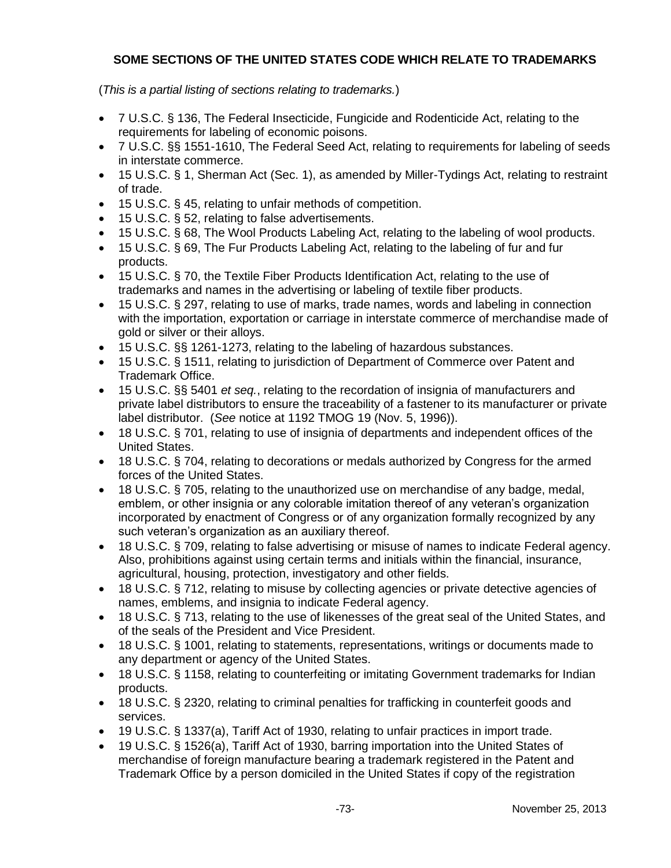## **SOME SECTIONS OF THE UNITED STATES CODE WHICH RELATE TO TRADEMARKS**

(*This is a partial listing of sections relating to trademarks.*)

- 7 U.S.C. § 136, The Federal Insecticide, Fungicide and Rodenticide Act, relating to the requirements for labeling of economic poisons.
- 7 U.S.C. §§ 1551-1610, The Federal Seed Act, relating to requirements for labeling of seeds in interstate commerce.
- 15 U.S.C. § 1, Sherman Act (Sec. 1), as amended by Miller-Tydings Act, relating to restraint of trade.
- 15 U.S.C. § 45, relating to unfair methods of competition.
- 15 U.S.C. § 52, relating to false advertisements.
- 15 U.S.C. § 68, The Wool Products Labeling Act, relating to the labeling of wool products.
- 15 U.S.C. § 69, The Fur Products Labeling Act, relating to the labeling of fur and fur products.
- 15 U.S.C. § 70, the Textile Fiber Products Identification Act, relating to the use of trademarks and names in the advertising or labeling of textile fiber products.
- 15 U.S.C. § 297, relating to use of marks, trade names, words and labeling in connection with the importation, exportation or carriage in interstate commerce of merchandise made of gold or silver or their alloys.
- 15 U.S.C. §§ 1261-1273, relating to the labeling of hazardous substances.
- 15 U.S.C. § 1511, relating to jurisdiction of Department of Commerce over Patent and Trademark Office.
- 15 U.S.C. §§ 5401 *et seq.*, relating to the recordation of insignia of manufacturers and private label distributors to ensure the traceability of a fastener to its manufacturer or private label distributor. (*See* notice at 1192 TMOG 19 (Nov. 5, 1996)).
- 18 U.S.C. § 701, relating to use of insignia of departments and independent offices of the United States.
- 18 U.S.C. § 704, relating to decorations or medals authorized by Congress for the armed forces of the United States.
- 18 U.S.C. § 705, relating to the unauthorized use on merchandise of any badge, medal, emblem, or other insignia or any colorable imitation thereof of any veteran's organization incorporated by enactment of Congress or of any organization formally recognized by any such veteran's organization as an auxiliary thereof.
- 18 U.S.C. § 709, relating to false advertising or misuse of names to indicate Federal agency. Also, prohibitions against using certain terms and initials within the financial, insurance, agricultural, housing, protection, investigatory and other fields.
- 18 U.S.C. § 712, relating to misuse by collecting agencies or private detective agencies of names, emblems, and insignia to indicate Federal agency.
- 18 U.S.C. § 713, relating to the use of likenesses of the great seal of the United States, and of the seals of the President and Vice President.
- 18 U.S.C. § 1001, relating to statements, representations, writings or documents made to any department or agency of the United States.
- 18 U.S.C. § 1158, relating to counterfeiting or imitating Government trademarks for Indian products.
- 18 U.S.C. § 2320, relating to criminal penalties for trafficking in counterfeit goods and services.
- 19 U.S.C. § 1337(a), Tariff Act of 1930, relating to unfair practices in import trade.
- 19 U.S.C. § 1526(a), Tariff Act of 1930, barring importation into the United States of merchandise of foreign manufacture bearing a trademark registered in the Patent and Trademark Office by a person domiciled in the United States if copy of the registration